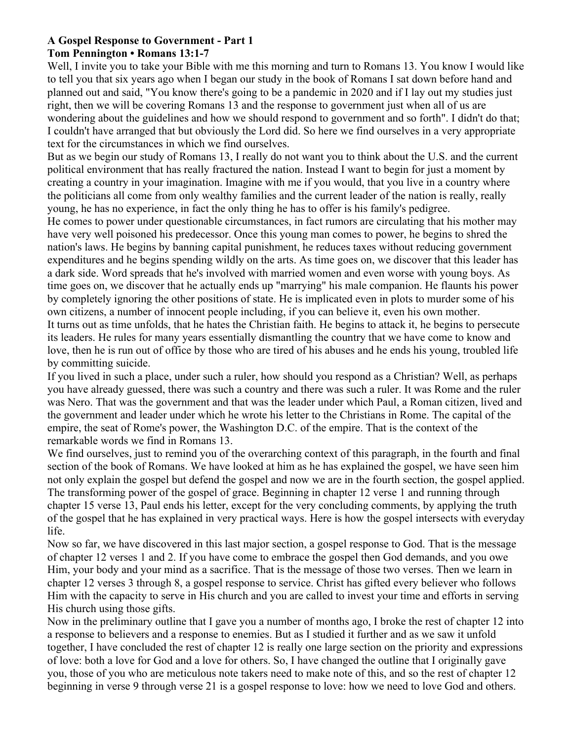# **A Gospel Response to Government - Part 1**

# **Tom Pennington • Romans 13:1-7**

Well, I invite you to take your Bible with me this morning and turn to Romans 13. You know I would like to tell you that six years ago when I began our study in the book of Romans I sat down before hand and planned out and said, "You know there's going to be a pandemic in 2020 and if I lay out my studies just right, then we will be covering Romans 13 and the response to government just when all of us are wondering about the guidelines and how we should respond to government and so forth". I didn't do that; I couldn't have arranged that but obviously the Lord did. So here we find ourselves in a very appropriate text for the circumstances in which we find ourselves.

But as we begin our study of Romans 13, I really do not want you to think about the U.S. and the current political environment that has really fractured the nation. Instead I want to begin for just a moment by creating a country in your imagination. Imagine with me if you would, that you live in a country where the politicians all come from only wealthy families and the current leader of the nation is really, really young, he has no experience, in fact the only thing he has to offer is his family's pedigree.

He comes to power under questionable circumstances, in fact rumors are circulating that his mother may have very well poisoned his predecessor. Once this young man comes to power, he begins to shred the nation's laws. He begins by banning capital punishment, he reduces taxes without reducing government expenditures and he begins spending wildly on the arts. As time goes on, we discover that this leader has a dark side. Word spreads that he's involved with married women and even worse with young boys. As time goes on, we discover that he actually ends up "marrying" his male companion. He flaunts his power by completely ignoring the other positions of state. He is implicated even in plots to murder some of his own citizens, a number of innocent people including, if you can believe it, even his own mother. It turns out as time unfolds, that he hates the Christian faith. He begins to attack it, he begins to persecute its leaders. He rules for many years essentially dismantling the country that we have come to know and love, then he is run out of office by those who are tired of his abuses and he ends his young, troubled life by committing suicide.

If you lived in such a place, under such a ruler, how should you respond as a Christian? Well, as perhaps you have already guessed, there was such a country and there was such a ruler. It was Rome and the ruler was Nero. That was the government and that was the leader under which Paul, a Roman citizen, lived and the government and leader under which he wrote his letter to the Christians in Rome. The capital of the empire, the seat of Rome's power, the Washington D.C. of the empire. That is the context of the remarkable words we find in Romans 13.

We find ourselves, just to remind you of the overarching context of this paragraph, in the fourth and final section of the book of Romans. We have looked at him as he has explained the gospel, we have seen him not only explain the gospel but defend the gospel and now we are in the fourth section, the gospel applied. The transforming power of the gospel of grace. Beginning in chapter 12 verse 1 and running through chapter 15 verse 13, Paul ends his letter, except for the very concluding comments, by applying the truth of the gospel that he has explained in very practical ways. Here is how the gospel intersects with everyday life.

Now so far, we have discovered in this last major section, a gospel response to God. That is the message of chapter 12 verses 1 and 2. If you have come to embrace the gospel then God demands, and you owe Him, your body and your mind as a sacrifice. That is the message of those two verses. Then we learn in chapter 12 verses 3 through 8, a gospel response to service. Christ has gifted every believer who follows Him with the capacity to serve in His church and you are called to invest your time and efforts in serving His church using those gifts.

Now in the preliminary outline that I gave you a number of months ago, I broke the rest of chapter 12 into a response to believers and a response to enemies. But as I studied it further and as we saw it unfold together, I have concluded the rest of chapter 12 is really one large section on the priority and expressions of love: both a love for God and a love for others. So, I have changed the outline that I originally gave you, those of you who are meticulous note takers need to make note of this, and so the rest of chapter 12 beginning in verse 9 through verse 21 is a gospel response to love: how we need to love God and others.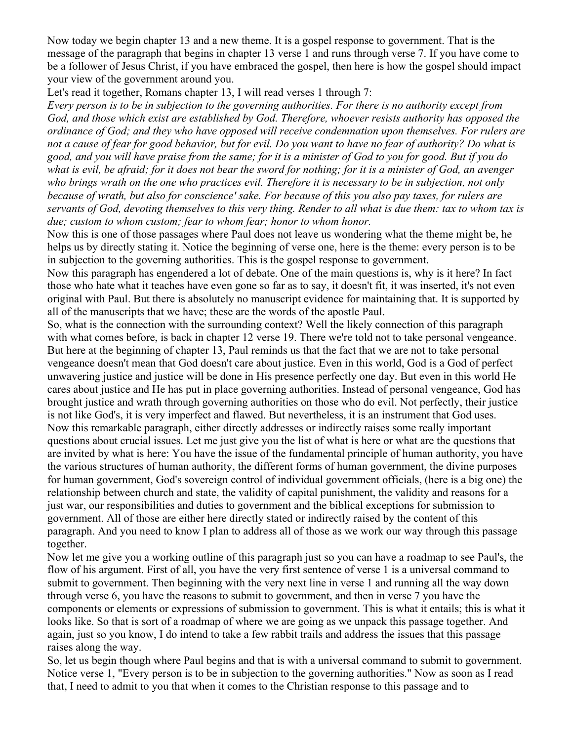Now today we begin chapter 13 and a new theme. It is a gospel response to government. That is the message of the paragraph that begins in chapter 13 verse 1 and runs through verse 7. If you have come to be a follower of Jesus Christ, if you have embraced the gospel, then here is how the gospel should impact your view of the government around you.

Let's read it together, Romans chapter 13, I will read verses 1 through 7:

*Every person is to be in subjection to the governing authorities. For there is no authority except from God, and those which exist are established by God. Therefore, whoever resists authority has opposed the ordinance of God; and they who have opposed will receive condemnation upon themselves. For rulers are not a cause of fear for good behavior, but for evil. Do you want to have no fear of authority? Do what is good, and you will have praise from the same; for it is a minister of God to you for good. But if you do what is evil, be afraid; for it does not bear the sword for nothing; for it is a minister of God, an avenger who brings wrath on the one who practices evil. Therefore it is necessary to be in subjection, not only because of wrath, but also for conscience' sake. For because of this you also pay taxes, for rulers are servants of God, devoting themselves to this very thing. Render to all what is due them: tax to whom tax is due; custom to whom custom; fear to whom fear; honor to whom honor.*

Now this is one of those passages where Paul does not leave us wondering what the theme might be, he helps us by directly stating it. Notice the beginning of verse one, here is the theme: every person is to be in subjection to the governing authorities. This is the gospel response to government.

Now this paragraph has engendered a lot of debate. One of the main questions is, why is it here? In fact those who hate what it teaches have even gone so far as to say, it doesn't fit, it was inserted, it's not even original with Paul. But there is absolutely no manuscript evidence for maintaining that. It is supported by all of the manuscripts that we have; these are the words of the apostle Paul.

So, what is the connection with the surrounding context? Well the likely connection of this paragraph with what comes before, is back in chapter 12 verse 19. There we're told not to take personal vengeance. But here at the beginning of chapter 13, Paul reminds us that the fact that we are not to take personal vengeance doesn't mean that God doesn't care about justice. Even in this world, God is a God of perfect unwavering justice and justice will be done in His presence perfectly one day. But even in this world He cares about justice and He has put in place governing authorities. Instead of personal vengeance, God has brought justice and wrath through governing authorities on those who do evil. Not perfectly, their justice is not like God's, it is very imperfect and flawed. But nevertheless, it is an instrument that God uses. Now this remarkable paragraph, either directly addresses or indirectly raises some really important questions about crucial issues. Let me just give you the list of what is here or what are the questions that are invited by what is here: You have the issue of the fundamental principle of human authority, you have the various structures of human authority, the different forms of human government, the divine purposes for human government, God's sovereign control of individual government officials, (here is a big one) the relationship between church and state, the validity of capital punishment, the validity and reasons for a just war, our responsibilities and duties to government and the biblical exceptions for submission to government. All of those are either here directly stated or indirectly raised by the content of this paragraph. And you need to know I plan to address all of those as we work our way through this passage together.

Now let me give you a working outline of this paragraph just so you can have a roadmap to see Paul's, the flow of his argument. First of all, you have the very first sentence of verse 1 is a universal command to submit to government. Then beginning with the very next line in verse 1 and running all the way down through verse 6, you have the reasons to submit to government, and then in verse 7 you have the components or elements or expressions of submission to government. This is what it entails; this is what it looks like. So that is sort of a roadmap of where we are going as we unpack this passage together. And again, just so you know, I do intend to take a few rabbit trails and address the issues that this passage raises along the way.

So, let us begin though where Paul begins and that is with a universal command to submit to government. Notice verse 1, "Every person is to be in subjection to the governing authorities." Now as soon as I read that, I need to admit to you that when it comes to the Christian response to this passage and to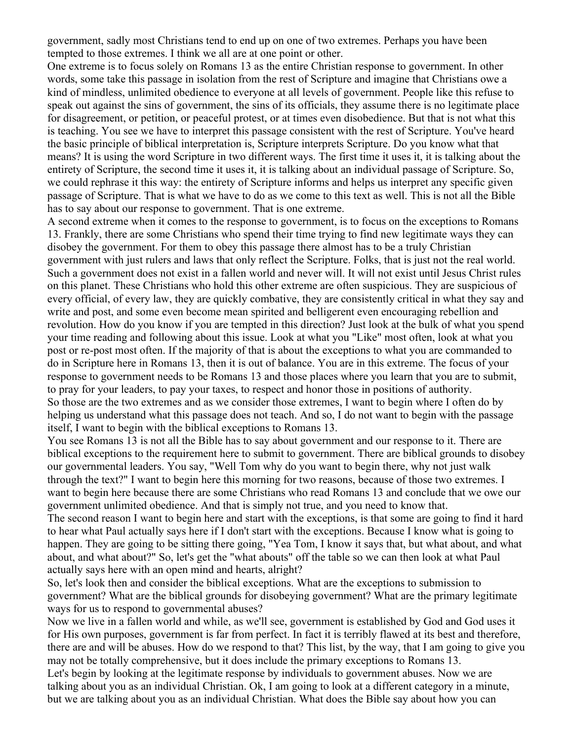government, sadly most Christians tend to end up on one of two extremes. Perhaps you have been tempted to those extremes. I think we all are at one point or other.

One extreme is to focus solely on Romans 13 as the entire Christian response to government. In other words, some take this passage in isolation from the rest of Scripture and imagine that Christians owe a kind of mindless, unlimited obedience to everyone at all levels of government. People like this refuse to speak out against the sins of government, the sins of its officials, they assume there is no legitimate place for disagreement, or petition, or peaceful protest, or at times even disobedience. But that is not what this is teaching. You see we have to interpret this passage consistent with the rest of Scripture. You've heard the basic principle of biblical interpretation is, Scripture interprets Scripture. Do you know what that means? It is using the word Scripture in two different ways. The first time it uses it, it is talking about the entirety of Scripture, the second time it uses it, it is talking about an individual passage of Scripture. So, we could rephrase it this way: the entirety of Scripture informs and helps us interpret any specific given passage of Scripture. That is what we have to do as we come to this text as well. This is not all the Bible has to say about our response to government. That is one extreme.

A second extreme when it comes to the response to government, is to focus on the exceptions to Romans 13. Frankly, there are some Christians who spend their time trying to find new legitimate ways they can disobey the government. For them to obey this passage there almost has to be a truly Christian government with just rulers and laws that only reflect the Scripture. Folks, that is just not the real world. Such a government does not exist in a fallen world and never will. It will not exist until Jesus Christ rules on this planet. These Christians who hold this other extreme are often suspicious. They are suspicious of every official, of every law, they are quickly combative, they are consistently critical in what they say and write and post, and some even become mean spirited and belligerent even encouraging rebellion and revolution. How do you know if you are tempted in this direction? Just look at the bulk of what you spend your time reading and following about this issue. Look at what you "Like" most often, look at what you post or re-post most often. If the majority of that is about the exceptions to what you are commanded to do in Scripture here in Romans 13, then it is out of balance. You are in this extreme. The focus of your response to government needs to be Romans 13 and those places where you learn that you are to submit, to pray for your leaders, to pay your taxes, to respect and honor those in positions of authority. So those are the two extremes and as we consider those extremes, I want to begin where I often do by helping us understand what this passage does not teach. And so, I do not want to begin with the passage itself, I want to begin with the biblical exceptions to Romans 13.

You see Romans 13 is not all the Bible has to say about government and our response to it. There are biblical exceptions to the requirement here to submit to government. There are biblical grounds to disobey our governmental leaders. You say, "Well Tom why do you want to begin there, why not just walk through the text?" I want to begin here this morning for two reasons, because of those two extremes. I want to begin here because there are some Christians who read Romans 13 and conclude that we owe our government unlimited obedience. And that is simply not true, and you need to know that.

The second reason I want to begin here and start with the exceptions, is that some are going to find it hard to hear what Paul actually says here if I don't start with the exceptions. Because I know what is going to happen. They are going to be sitting there going, "Yea Tom, I know it says that, but what about, and what about, and what about?" So, let's get the "what abouts" off the table so we can then look at what Paul actually says here with an open mind and hearts, alright?

So, let's look then and consider the biblical exceptions. What are the exceptions to submission to government? What are the biblical grounds for disobeying government? What are the primary legitimate ways for us to respond to governmental abuses?

Now we live in a fallen world and while, as we'll see, government is established by God and God uses it for His own purposes, government is far from perfect. In fact it is terribly flawed at its best and therefore, there are and will be abuses. How do we respond to that? This list, by the way, that I am going to give you may not be totally comprehensive, but it does include the primary exceptions to Romans 13. Let's begin by looking at the legitimate response by individuals to government abuses. Now we are talking about you as an individual Christian. Ok, I am going to look at a different category in a minute, but we are talking about you as an individual Christian. What does the Bible say about how you can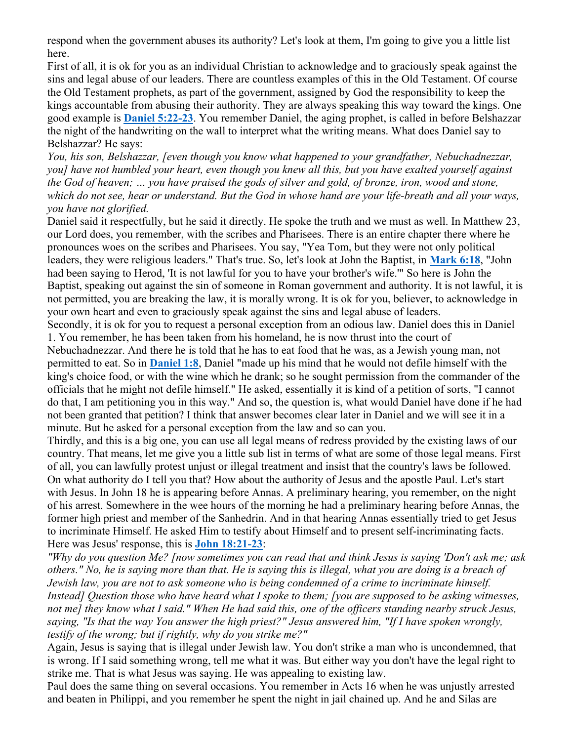respond when the government abuses its authority? Let's look at them, I'm going to give you a little list here.

First of all, it is ok for you as an individual Christian to acknowledge and to graciously speak against the sins and legal abuse of our leaders. There are countless examples of this in the Old Testament. Of course the Old Testament prophets, as part of the government, assigned by God the responsibility to keep the kings accountable from abusing their authority. They are always speaking this way toward the kings. One good example is **Daniel 5:22-23**. You remember Daniel, the aging prophet, is called in before Belshazzar the night of the handwriting on the wall to interpret what the writing means. What does Daniel say to Belshazzar? He says:

*You, his son, Belshazzar, [even though you know what happened to your grandfather, Nebuchadnezzar, you] have not humbled your heart, even though you knew all this, but you have exalted yourself against the God of heaven; … you have praised the gods of silver and gold, of bronze, iron, wood and stone, which do not see, hear or understand. But the God in whose hand are your life-breath and all your ways, you have not glorified.*

Daniel said it respectfully, but he said it directly. He spoke the truth and we must as well. In Matthew 23, our Lord does, you remember, with the scribes and Pharisees. There is an entire chapter there where he pronounces woes on the scribes and Pharisees. You say, "Yea Tom, but they were not only political leaders, they were religious leaders." That's true. So, let's look at John the Baptist, in **Mark 6:18**, "John had been saying to Herod, 'It is not lawful for you to have your brother's wife.'" So here is John the Baptist, speaking out against the sin of someone in Roman government and authority. It is not lawful, it is not permitted, you are breaking the law, it is morally wrong. It is ok for you, believer, to acknowledge in your own heart and even to graciously speak against the sins and legal abuse of leaders.

Secondly, it is ok for you to request a personal exception from an odious law. Daniel does this in Daniel 1. You remember, he has been taken from his homeland, he is now thrust into the court of

Nebuchadnezzar. And there he is told that he has to eat food that he was, as a Jewish young man, not permitted to eat. So in **Daniel 1:8**, Daniel "made up his mind that he would not defile himself with the king's choice food, or with the wine which he drank; so he sought permission from the commander of the officials that he might not defile himself." He asked, essentially it is kind of a petition of sorts, "I cannot do that, I am petitioning you in this way." And so, the question is, what would Daniel have done if he had not been granted that petition? I think that answer becomes clear later in Daniel and we will see it in a minute. But he asked for a personal exception from the law and so can you.

Thirdly, and this is a big one, you can use all legal means of redress provided by the existing laws of our country. That means, let me give you a little sub list in terms of what are some of those legal means. First of all, you can lawfully protest unjust or illegal treatment and insist that the country's laws be followed. On what authority do I tell you that? How about the authority of Jesus and the apostle Paul. Let's start with Jesus. In John 18 he is appearing before Annas. A preliminary hearing, you remember, on the night of his arrest. Somewhere in the wee hours of the morning he had a preliminary hearing before Annas, the former high priest and member of the Sanhedrin. And in that hearing Annas essentially tried to get Jesus to incriminate Himself. He asked Him to testify about Himself and to present self-incriminating facts. Here was Jesus' response, this is **John 18:21-23**:

*"Why do you question Me? [now sometimes you can read that and think Jesus is saying 'Don't ask me; ask others." No, he is saying more than that. He is saying this is illegal, what you are doing is a breach of Jewish law, you are not to ask someone who is being condemned of a crime to incriminate himself. Instead] Question those who have heard what I spoke to them; [you are supposed to be asking witnesses, not me] they know what I said." When He had said this, one of the officers standing nearby struck Jesus, saying, "Is that the way You answer the high priest?" Jesus answered him, "If I have spoken wrongly, testify of the wrong; but if rightly, why do you strike me?"*

Again, Jesus is saying that is illegal under Jewish law. You don't strike a man who is uncondemned, that is wrong. If I said something wrong, tell me what it was. But either way you don't have the legal right to strike me. That is what Jesus was saying. He was appealing to existing law.

Paul does the same thing on several occasions. You remember in Acts 16 when he was unjustly arrested and beaten in Philippi, and you remember he spent the night in jail chained up. And he and Silas are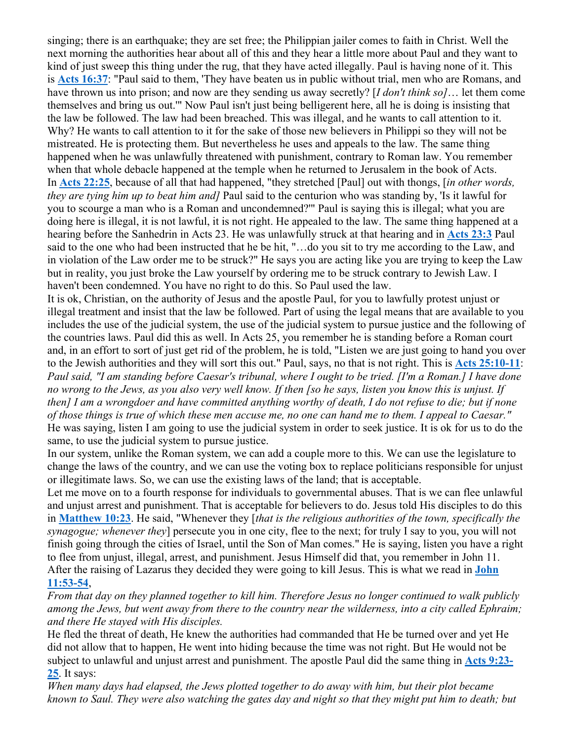singing; there is an earthquake; they are set free; the Philippian jailer comes to faith in Christ. Well the next morning the authorities hear about all of this and they hear a little more about Paul and they want to kind of just sweep this thing under the rug, that they have acted illegally. Paul is having none of it. This is **Acts 16:37**: "Paul said to them, 'They have beaten us in public without trial, men who are Romans, and have thrown us into prison; and now are they sending us away secretly? [*I don't think so]*… let them come themselves and bring us out.'" Now Paul isn't just being belligerent here, all he is doing is insisting that the law be followed. The law had been breached. This was illegal, and he wants to call attention to it. Why? He wants to call attention to it for the sake of those new believers in Philippi so they will not be mistreated. He is protecting them. But nevertheless he uses and appeals to the law. The same thing happened when he was unlawfully threatened with punishment, contrary to Roman law. You remember when that whole debacle happened at the temple when he returned to Jerusalem in the book of Acts. In **Acts 22:25**, because of all that had happened, "they stretched [Paul] out with thongs, [*in other words, they are tying him up to beat him and]* Paul said to the centurion who was standing by, 'Is it lawful for you to scourge a man who is a Roman and uncondemned?'" Paul is saying this is illegal; what you are doing here is illegal, it is not lawful, it is not right. He appealed to the law. The same thing happened at a hearing before the Sanhedrin in Acts 23. He was unlawfully struck at that hearing and in **Acts 23:3** Paul said to the one who had been instructed that he be hit, "…do you sit to try me according to the Law, and in violation of the Law order me to be struck?" He says you are acting like you are trying to keep the Law but in reality, you just broke the Law yourself by ordering me to be struck contrary to Jewish Law. I haven't been condemned. You have no right to do this. So Paul used the law.

It is ok, Christian, on the authority of Jesus and the apostle Paul, for you to lawfully protest unjust or illegal treatment and insist that the law be followed. Part of using the legal means that are available to you includes the use of the judicial system, the use of the judicial system to pursue justice and the following of the countries laws. Paul did this as well. In Acts 25, you remember he is standing before a Roman court and, in an effort to sort of just get rid of the problem, he is told, "Listen we are just going to hand you over to the Jewish authorities and they will sort this out." Paul, says, no that is not right. This is **Acts 25:10-11**: *Paul said, "I am standing before Caesar's tribunal, where I ought to be tried. [I'm a Roman.] I have done no wrong to the Jews, as you also very well know. If then [so he says, listen you know this is unjust. If then] I am a wrongdoer and have committed anything worthy of death, I do not refuse to die; but if none of those things is true of which these men accuse me, no one can hand me to them. I appeal to Caesar."* He was saying, listen I am going to use the judicial system in order to seek justice. It is ok for us to do the same, to use the judicial system to pursue justice.

In our system, unlike the Roman system, we can add a couple more to this. We can use the legislature to change the laws of the country, and we can use the voting box to replace politicians responsible for unjust or illegitimate laws. So, we can use the existing laws of the land; that is acceptable.

Let me move on to a fourth response for individuals to governmental abuses. That is we can flee unlawful and unjust arrest and punishment. That is acceptable for believers to do. Jesus told His disciples to do this in **Matthew 10:23**. He said, "Whenever they [*that is the religious authorities of the town, specifically the synagogue; whenever they*] persecute you in one city, flee to the next; for truly I say to you, you will not finish going through the cities of Israel, until the Son of Man comes." He is saying, listen you have a right to flee from unjust, illegal, arrest, and punishment. Jesus Himself did that, you remember in John 11. After the raising of Lazarus they decided they were going to kill Jesus. This is what we read in **John 11:53-54**,

*From that day on they planned together to kill him. Therefore Jesus no longer continued to walk publicly among the Jews, but went away from there to the country near the wilderness, into a city called Ephraim; and there He stayed with His disciples.*

He fled the threat of death, He knew the authorities had commanded that He be turned over and yet He did not allow that to happen, He went into hiding because the time was not right. But He would not be subject to unlawful and unjust arrest and punishment. The apostle Paul did the same thing in **Acts 9:23- 25**. It says:

*When many days had elapsed, the Jews plotted together to do away with him, but their plot became known to Saul. They were also watching the gates day and night so that they might put him to death; but*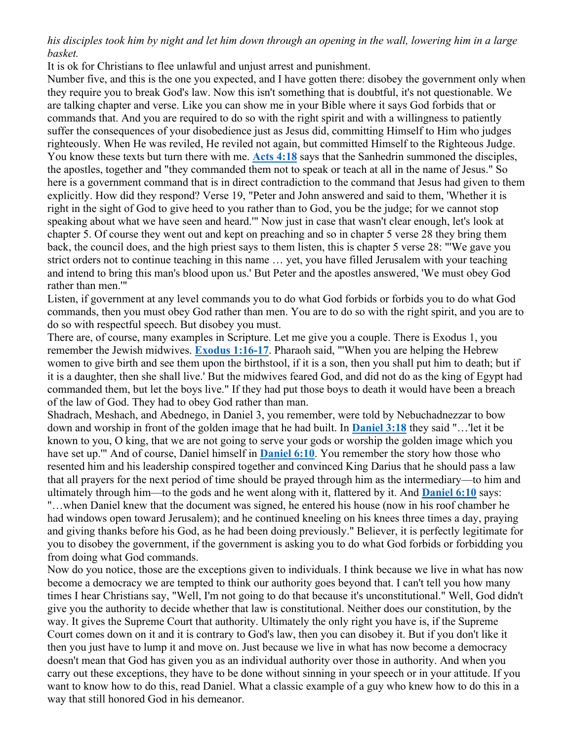*his disciples took him by night and let him down through an opening in the wall, lowering him in a large basket.*

It is ok for Christians to flee unlawful and unjust arrest and punishment.

Number five, and this is the one you expected, and I have gotten there: disobey the government only when they require you to break God's law. Now this isn't something that is doubtful, it's not questionable. We are talking chapter and verse. Like you can show me in your Bible where it says God forbids that or commands that. And you are required to do so with the right spirit and with a willingness to patiently suffer the consequences of your disobedience just as Jesus did, committing Himself to Him who judges righteously. When He was reviled, He reviled not again, but committed Himself to the Righteous Judge. You know these texts but turn there with me. **Acts 4:18** says that the Sanhedrin summoned the disciples, the apostles, together and "they commanded them not to speak or teach at all in the name of Jesus." So here is a government command that is in direct contradiction to the command that Jesus had given to them explicitly. How did they respond? Verse 19, "Peter and John answered and said to them, 'Whether it is right in the sight of God to give heed to you rather than to God, you be the judge; for we cannot stop speaking about what we have seen and heard.'" Now just in case that wasn't clear enough, let's look at chapter 5. Of course they went out and kept on preaching and so in chapter 5 verse 28 they bring them back, the council does, and the high priest says to them listen, this is chapter 5 verse 28: "'We gave you strict orders not to continue teaching in this name … yet, you have filled Jerusalem with your teaching and intend to bring this man's blood upon us.' But Peter and the apostles answered, 'We must obey God rather than men.'"

Listen, if government at any level commands you to do what God forbids or forbids you to do what God commands, then you must obey God rather than men. You are to do so with the right spirit, and you are to do so with respectful speech. But disobey you must.

There are, of course, many examples in Scripture. Let me give you a couple. There is Exodus 1, you remember the Jewish midwives. **Exodus 1:16-17**. Pharaoh said, "'When you are helping the Hebrew women to give birth and see them upon the birthstool, if it is a son, then you shall put him to death; but if it is a daughter, then she shall live.' But the midwives feared God, and did not do as the king of Egypt had commanded them, but let the boys live." If they had put those boys to death it would have been a breach of the law of God. They had to obey God rather than man.

Shadrach, Meshach, and Abednego, in Daniel 3, you remember, were told by Nebuchadnezzar to bow down and worship in front of the golden image that he had built. In **Daniel 3:18** they said "…'let it be known to you, O king, that we are not going to serve your gods or worship the golden image which you have set up.'" And of course, Daniel himself in **Daniel 6:10**. You remember the story how those who resented him and his leadership conspired together and convinced King Darius that he should pass a law that all prayers for the next period of time should be prayed through him as the intermediary—to him and ultimately through him—to the gods and he went along with it, flattered by it. And **Daniel 6:10** says: "…when Daniel knew that the document was signed, he entered his house (now in his roof chamber he had windows open toward Jerusalem); and he continued kneeling on his knees three times a day, praying and giving thanks before his God, as he had been doing previously." Believer, it is perfectly legitimate for you to disobey the government, if the government is asking you to do what God forbids or forbidding you from doing what God commands.

Now do you notice, those are the exceptions given to individuals. I think because we live in what has now become a democracy we are tempted to think our authority goes beyond that. I can't tell you how many times I hear Christians say, "Well, I'm not going to do that because it's unconstitutional." Well, God didn't give you the authority to decide whether that law is constitutional. Neither does our constitution, by the way. It gives the Supreme Court that authority. Ultimately the only right you have is, if the Supreme Court comes down on it and it is contrary to God's law, then you can disobey it. But if you don't like it then you just have to lump it and move on. Just because we live in what has now become a democracy doesn't mean that God has given you as an individual authority over those in authority. And when you carry out these exceptions, they have to be done without sinning in your speech or in your attitude. If you want to know how to do this, read Daniel. What a classic example of a guy who knew how to do this in a way that still honored God in his demeanor.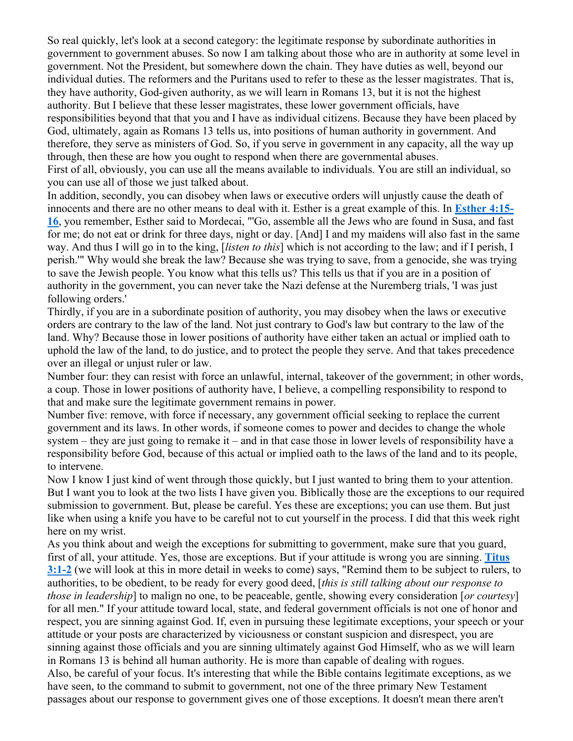So real quickly, let's look at a second category: the legitimate response by subordinate authorities in government to government abuses. So now I am talking about those who are in authority at some level in government. Not the President, but somewhere down the chain. They have duties as well, beyond our individual duties. The reformers and the Puritans used to refer to these as the lesser magistrates. That is, they have authority, God-given authority, as we will learn in Romans 13, but it is not the highest authority. But I believe that these lesser magistrates, these lower government officials, have responsibilities beyond that that you and I have as individual citizens. Because they have been placed by God, ultimately, again as Romans 13 tells us, into positions of human authority in government. And therefore, they serve as ministers of God. So, if you serve in government in any capacity, all the way up through, then these are how you ought to respond when there are governmental abuses. First of all, obviously, you can use all the means available to individuals. You are still an individual, so you can use all of those we just talked about.

In addition, secondly, you can disobey when laws or executive orders will unjustly cause the death of innocents and there are no other means to deal with it. Esther is a great example of this. In **Esther 4:15- 16**, you remember, Esther said to Mordecai, "'Go, assemble all the Jews who are found in Susa, and fast for me; do not eat or drink for three days, night or day. [And] I and my maidens will also fast in the same way. And thus I will go in to the king, [*listen to this*] which is not according to the law; and if I perish, I perish.'" Why would she break the law? Because she was trying to save, from a genocide, she was trying to save the Jewish people. You know what this tells us? This tells us that if you are in a position of authority in the government, you can never take the Nazi defense at the Nuremberg trials, 'I was just following orders.'

Thirdly, if you are in a subordinate position of authority, you may disobey when the laws or executive orders are contrary to the law of the land. Not just contrary to God's law but contrary to the law of the land. Why? Because those in lower positions of authority have either taken an actual or implied oath to uphold the law of the land, to do justice, and to protect the people they serve. And that takes precedence over an illegal or unjust ruler or law.

Number four: they can resist with force an unlawful, internal, takeover of the government; in other words, a coup. Those in lower positions of authority have, I believe, a compelling responsibility to respond to that and make sure the legitimate government remains in power.

Number five: remove, with force if necessary, any government official seeking to replace the current government and its laws. In other words, if someone comes to power and decides to change the whole system – they are just going to remake it – and in that case those in lower levels of responsibility have a responsibility before God, because of this actual or implied oath to the laws of the land and to its people, to intervene.

Now I know I just kind of went through those quickly, but I just wanted to bring them to your attention. But I want you to look at the two lists I have given you. Biblically those are the exceptions to our required submission to government. But, please be careful. Yes these are exceptions; you can use them. But just like when using a knife you have to be careful not to cut yourself in the process. I did that this week right here on my wrist.

As you think about and weigh the exceptions for submitting to government, make sure that you guard, first of all, your attitude. Yes, those are exceptions. But if your attitude is wrong you are sinning. **Titus 3:1-2** (we will look at this in more detail in weeks to come) says, "Remind them to be subject to rulers, to authorities, to be obedient, to be ready for every good deed, [*this is still talking about our response to those in leadership*] to malign no one, to be peaceable, gentle, showing every consideration [*or courtesy*] for all men." If your attitude toward local, state, and federal government officials is not one of honor and respect, you are sinning against God. If, even in pursuing these legitimate exceptions, your speech or your attitude or your posts are characterized by viciousness or constant suspicion and disrespect, you are sinning against those officials and you are sinning ultimately against God Himself, who as we will learn in Romans 13 is behind all human authority. He is more than capable of dealing with rogues. Also, be careful of your focus. It's interesting that while the Bible contains legitimate exceptions, as we have seen, to the command to submit to government, not one of the three primary New Testament passages about our response to government gives one of those exceptions. It doesn't mean there aren't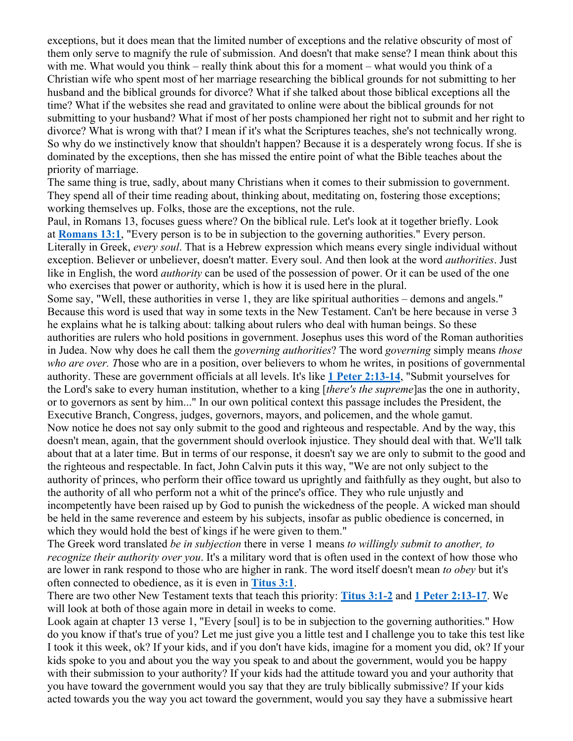exceptions, but it does mean that the limited number of exceptions and the relative obscurity of most of them only serve to magnify the rule of submission. And doesn't that make sense? I mean think about this with me. What would you think – really think about this for a moment – what would you think of a Christian wife who spent most of her marriage researching the biblical grounds for not submitting to her husband and the biblical grounds for divorce? What if she talked about those biblical exceptions all the time? What if the websites she read and gravitated to online were about the biblical grounds for not submitting to your husband? What if most of her posts championed her right not to submit and her right to divorce? What is wrong with that? I mean if it's what the Scriptures teaches, she's not technically wrong. So why do we instinctively know that shouldn't happen? Because it is a desperately wrong focus. If she is dominated by the exceptions, then she has missed the entire point of what the Bible teaches about the priority of marriage.

The same thing is true, sadly, about many Christians when it comes to their submission to government. They spend all of their time reading about, thinking about, meditating on, fostering those exceptions; working themselves up. Folks, those are the exceptions, not the rule.

Paul, in Romans 13, focuses guess where? On the biblical rule. Let's look at it together briefly. Look at **Romans 13:1**, "Every person is to be in subjection to the governing authorities." Every person. Literally in Greek, *every soul*. That is a Hebrew expression which means every single individual without exception. Believer or unbeliever, doesn't matter. Every soul. And then look at the word *authorities*. Just like in English, the word *authority* can be used of the possession of power. Or it can be used of the one who exercises that power or authority, which is how it is used here in the plural.

Some say, "Well, these authorities in verse 1, they are like spiritual authorities – demons and angels." Because this word is used that way in some texts in the New Testament. Can't be here because in verse 3 he explains what he is talking about: talking about rulers who deal with human beings. So these authorities are rulers who hold positions in government. Josephus uses this word of the Roman authorities in Judea. Now why does he call them the *governing authorities*? The word *governing* simply means *those who are over. T*hose who are in a position, over believers to whom he writes, in positions of governmental authority. These are government officials at all levels. It's like **1 Peter 2:13-14**, "Submit yourselves for the Lord's sake to every human institution, whether to a king [*there's the supreme*]as the one in authority, or to governors as sent by him..." In our own political context this passage includes the President, the Executive Branch, Congress, judges, governors, mayors, and policemen, and the whole gamut. Now notice he does not say only submit to the good and righteous and respectable. And by the way, this doesn't mean, again, that the government should overlook injustice. They should deal with that. We'll talk about that at a later time. But in terms of our response, it doesn't say we are only to submit to the good and the righteous and respectable. In fact, John Calvin puts it this way, "We are not only subject to the authority of princes, who perform their office toward us uprightly and faithfully as they ought, but also to the authority of all who perform not a whit of the prince's office. They who rule unjustly and incompetently have been raised up by God to punish the wickedness of the people. A wicked man should be held in the same reverence and esteem by his subjects, insofar as public obedience is concerned, in which they would hold the best of kings if he were given to them."

The Greek word translated *be in subjection* there in verse 1 means *to willingly submit to another, to recognize their authority over you*. It's a military word that is often used in the context of how those who are lower in rank respond to those who are higher in rank. The word itself doesn't mean *to obey* but it's often connected to obedience, as it is even in **Titus 3:1**.

There are two other New Testament texts that teach this priority: **Titus 3:1-2** and **1 Peter 2:13-17**. We will look at both of those again more in detail in weeks to come.

Look again at chapter 13 verse 1, "Every [soul] is to be in subjection to the governing authorities." How do you know if that's true of you? Let me just give you a little test and I challenge you to take this test like I took it this week, ok? If your kids, and if you don't have kids, imagine for a moment you did, ok? If your kids spoke to you and about you the way you speak to and about the government, would you be happy with their submission to your authority? If your kids had the attitude toward you and your authority that you have toward the government would you say that they are truly biblically submissive? If your kids acted towards you the way you act toward the government, would you say they have a submissive heart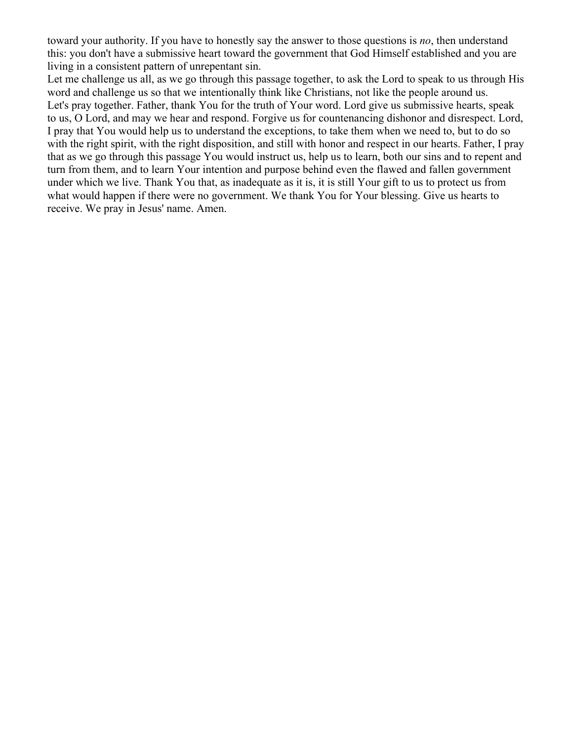toward your authority. If you have to honestly say the answer to those questions is *no*, then understand this: you don't have a submissive heart toward the government that God Himself established and you are living in a consistent pattern of unrepentant sin.

Let me challenge us all, as we go through this passage together, to ask the Lord to speak to us through His word and challenge us so that we intentionally think like Christians, not like the people around us. Let's pray together. Father, thank You for the truth of Your word. Lord give us submissive hearts, speak to us, O Lord, and may we hear and respond. Forgive us for countenancing dishonor and disrespect. Lord, I pray that You would help us to understand the exceptions, to take them when we need to, but to do so with the right spirit, with the right disposition, and still with honor and respect in our hearts. Father, I pray that as we go through this passage You would instruct us, help us to learn, both our sins and to repent and turn from them, and to learn Your intention and purpose behind even the flawed and fallen government under which we live. Thank You that, as inadequate as it is, it is still Your gift to us to protect us from what would happen if there were no government. We thank You for Your blessing. Give us hearts to receive. We pray in Jesus' name. Amen.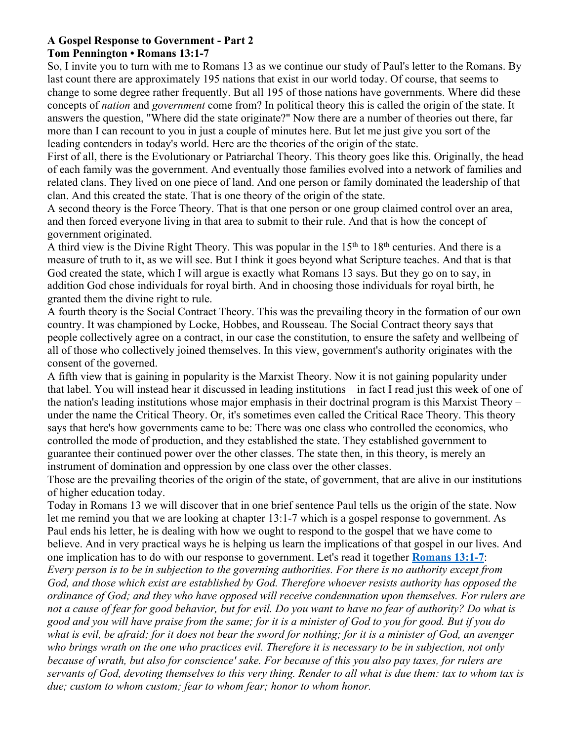#### **A Gospel Response to Government - Part 2 Tom Pennington • Romans 13:1-7**

So, I invite you to turn with me to Romans 13 as we continue our study of Paul's letter to the Romans. By last count there are approximately 195 nations that exist in our world today. Of course, that seems to change to some degree rather frequently. But all 195 of those nations have governments. Where did these concepts of *nation* and *government* come from? In political theory this is called the origin of the state. It answers the question, "Where did the state originate?" Now there are a number of theories out there, far more than I can recount to you in just a couple of minutes here. But let me just give you sort of the leading contenders in today's world. Here are the theories of the origin of the state.

First of all, there is the Evolutionary or Patriarchal Theory. This theory goes like this. Originally, the head of each family was the government. And eventually those families evolved into a network of families and related clans. They lived on one piece of land. And one person or family dominated the leadership of that clan. And this created the state. That is one theory of the origin of the state.

A second theory is the Force Theory. That is that one person or one group claimed control over an area, and then forced everyone living in that area to submit to their rule. And that is how the concept of government originated.

A third view is the Divine Right Theory. This was popular in the  $15<sup>th</sup>$  to  $18<sup>th</sup>$  centuries. And there is a measure of truth to it, as we will see. But I think it goes beyond what Scripture teaches. And that is that God created the state, which I will argue is exactly what Romans 13 says. But they go on to say, in addition God chose individuals for royal birth. And in choosing those individuals for royal birth, he granted them the divine right to rule.

A fourth theory is the Social Contract Theory. This was the prevailing theory in the formation of our own country. It was championed by Locke, Hobbes, and Rousseau. The Social Contract theory says that people collectively agree on a contract, in our case the constitution, to ensure the safety and wellbeing of all of those who collectively joined themselves. In this view, government's authority originates with the consent of the governed.

A fifth view that is gaining in popularity is the Marxist Theory. Now it is not gaining popularity under that label. You will instead hear it discussed in leading institutions – in fact I read just this week of one of the nation's leading institutions whose major emphasis in their doctrinal program is this Marxist Theory – under the name the Critical Theory. Or, it's sometimes even called the Critical Race Theory. This theory says that here's how governments came to be: There was one class who controlled the economics, who controlled the mode of production, and they established the state. They established government to guarantee their continued power over the other classes. The state then, in this theory, is merely an instrument of domination and oppression by one class over the other classes.

Those are the prevailing theories of the origin of the state, of government, that are alive in our institutions of higher education today.

Today in Romans 13 we will discover that in one brief sentence Paul tells us the origin of the state. Now let me remind you that we are looking at chapter 13:1-7 which is a gospel response to government. As Paul ends his letter, he is dealing with how we ought to respond to the gospel that we have come to believe. And in very practical ways he is helping us learn the implications of that gospel in our lives. And one implication has to do with our response to government. Let's read it together **Romans 13:1-7**: *Every person is to be in subjection to the governing authorities. For there is no authority except from God, and those which exist are established by God. Therefore whoever resists authority has opposed the ordinance of God; and they who have opposed will receive condemnation upon themselves. For rulers are not a cause of fear for good behavior, but for evil. Do you want to have no fear of authority? Do what is good and you will have praise from the same; for it is a minister of God to you for good. But if you do what is evil, be afraid; for it does not bear the sword for nothing; for it is a minister of God, an avenger who brings wrath on the one who practices evil. Therefore it is necessary to be in subjection, not only because of wrath, but also for conscience' sake. For because of this you also pay taxes, for rulers are servants of God, devoting themselves to this very thing. Render to all what is due them: tax to whom tax is due; custom to whom custom; fear to whom fear; honor to whom honor.*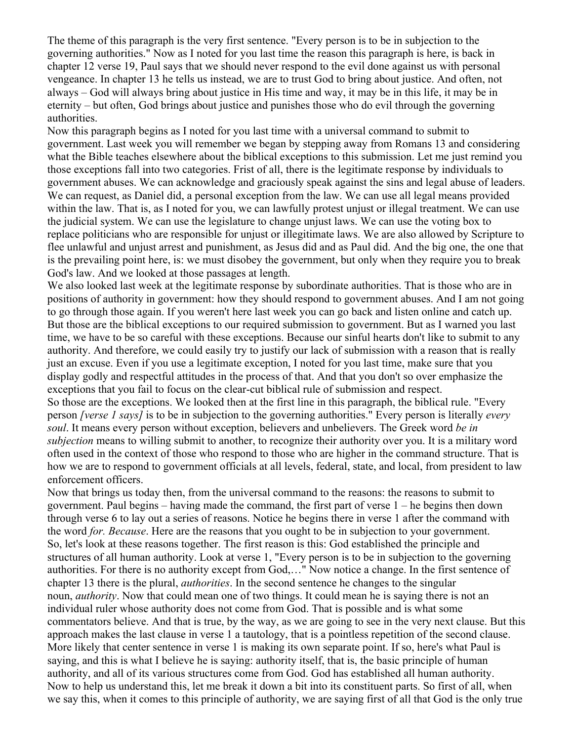The theme of this paragraph is the very first sentence. "Every person is to be in subjection to the governing authorities." Now as I noted for you last time the reason this paragraph is here, is back in chapter 12 verse 19, Paul says that we should never respond to the evil done against us with personal vengeance. In chapter 13 he tells us instead, we are to trust God to bring about justice. And often, not always – God will always bring about justice in His time and way, it may be in this life, it may be in eternity – but often, God brings about justice and punishes those who do evil through the governing authorities.

Now this paragraph begins as I noted for you last time with a universal command to submit to government. Last week you will remember we began by stepping away from Romans 13 and considering what the Bible teaches elsewhere about the biblical exceptions to this submission. Let me just remind you those exceptions fall into two categories. Frist of all, there is the legitimate response by individuals to government abuses. We can acknowledge and graciously speak against the sins and legal abuse of leaders. We can request, as Daniel did, a personal exception from the law. We can use all legal means provided within the law. That is, as I noted for you, we can lawfully protest unjust or illegal treatment. We can use the judicial system. We can use the legislature to change unjust laws. We can use the voting box to replace politicians who are responsible for unjust or illegitimate laws. We are also allowed by Scripture to flee unlawful and unjust arrest and punishment, as Jesus did and as Paul did. And the big one, the one that is the prevailing point here, is: we must disobey the government, but only when they require you to break God's law. And we looked at those passages at length.

We also looked last week at the legitimate response by subordinate authorities. That is those who are in positions of authority in government: how they should respond to government abuses. And I am not going to go through those again. If you weren't here last week you can go back and listen online and catch up. But those are the biblical exceptions to our required submission to government. But as I warned you last time, we have to be so careful with these exceptions. Because our sinful hearts don't like to submit to any authority. And therefore, we could easily try to justify our lack of submission with a reason that is really just an excuse. Even if you use a legitimate exception, I noted for you last time, make sure that you display godly and respectful attitudes in the process of that. And that you don't so over emphasize the exceptions that you fail to focus on the clear-cut biblical rule of submission and respect.

So those are the exceptions. We looked then at the first line in this paragraph, the biblical rule. "Every person *[verse 1 says]* is to be in subjection to the governing authorities." Every person is literally *every soul*. It means every person without exception, believers and unbelievers. The Greek word *be in subjection* means to willing submit to another, to recognize their authority over you. It is a military word often used in the context of those who respond to those who are higher in the command structure. That is how we are to respond to government officials at all levels, federal, state, and local, from president to law enforcement officers.

Now that brings us today then, from the universal command to the reasons: the reasons to submit to government. Paul begins – having made the command, the first part of verse 1 – he begins then down through verse 6 to lay out a series of reasons. Notice he begins there in verse 1 after the command with the word *for. Because*. Here are the reasons that you ought to be in subjection to your government. So, let's look at these reasons together. The first reason is this: God established the principle and structures of all human authority. Look at verse 1, "Every person is to be in subjection to the governing authorities. For there is no authority except from God,…" Now notice a change. In the first sentence of chapter 13 there is the plural, *authorities*. In the second sentence he changes to the singular noun, *authority*. Now that could mean one of two things. It could mean he is saying there is not an individual ruler whose authority does not come from God. That is possible and is what some commentators believe. And that is true, by the way, as we are going to see in the very next clause. But this approach makes the last clause in verse 1 a tautology, that is a pointless repetition of the second clause. More likely that center sentence in verse 1 is making its own separate point. If so, here's what Paul is saying, and this is what I believe he is saying: authority itself, that is, the basic principle of human authority, and all of its various structures come from God. God has established all human authority. Now to help us understand this, let me break it down a bit into its constituent parts. So first of all, when we say this, when it comes to this principle of authority, we are saying first of all that God is the only true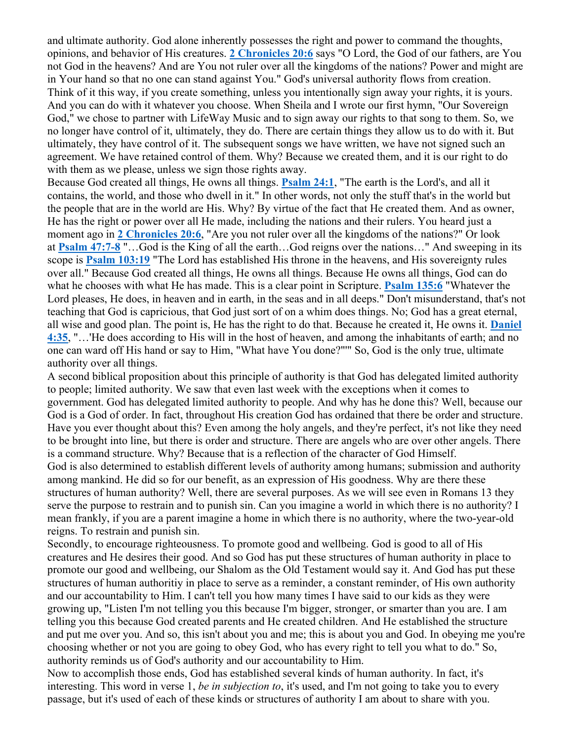and ultimate authority. God alone inherently possesses the right and power to command the thoughts, opinions, and behavior of His creatures. **2 Chronicles 20:6** says "O Lord, the God of our fathers, are You not God in the heavens? And are You not ruler over all the kingdoms of the nations? Power and might are in Your hand so that no one can stand against You." God's universal authority flows from creation. Think of it this way, if you create something, unless you intentionally sign away your rights, it is yours. And you can do with it whatever you choose. When Sheila and I wrote our first hymn, "Our Sovereign God," we chose to partner with LifeWay Music and to sign away our rights to that song to them. So, we no longer have control of it, ultimately, they do. There are certain things they allow us to do with it. But ultimately, they have control of it. The subsequent songs we have written, we have not signed such an agreement. We have retained control of them. Why? Because we created them, and it is our right to do with them as we please, unless we sign those rights away.

Because God created all things, He owns all things. **Psalm 24:1**, "The earth is the Lord's, and all it contains, the world, and those who dwell in it." In other words, not only the stuff that's in the world but the people that are in the world are His. Why? By virtue of the fact that He created them. And as owner, He has the right or power over all He made, including the nations and their rulers. You heard just a moment ago in **2 Chronicles 20:6**, "Are you not ruler over all the kingdoms of the nations?" Or look at **Psalm 47:7-8** "…God is the King of all the earth…God reigns over the nations…" And sweeping in its scope is **Psalm 103:19** "The Lord has established His throne in the heavens, and His sovereignty rules over all." Because God created all things, He owns all things. Because He owns all things, God can do what he chooses with what He has made. This is a clear point in Scripture. **Psalm 135:6** "Whatever the Lord pleases, He does, in heaven and in earth, in the seas and in all deeps." Don't misunderstand, that's not teaching that God is capricious, that God just sort of on a whim does things. No; God has a great eternal, all wise and good plan. The point is, He has the right to do that. Because he created it, He owns it. **Daniel 4:35**, "…'He does according to His will in the host of heaven, and among the inhabitants of earth; and no one can ward off His hand or say to Him, "What have You done?"'" So, God is the only true, ultimate authority over all things.

A second biblical proposition about this principle of authority is that God has delegated limited authority to people; limited authority. We saw that even last week with the exceptions when it comes to government. God has delegated limited authority to people. And why has he done this? Well, because our God is a God of order. In fact, throughout His creation God has ordained that there be order and structure. Have you ever thought about this? Even among the holy angels, and they're perfect, it's not like they need to be brought into line, but there is order and structure. There are angels who are over other angels. There is a command structure. Why? Because that is a reflection of the character of God Himself. God is also determined to establish different levels of authority among humans; submission and authority among mankind. He did so for our benefit, as an expression of His goodness. Why are there these structures of human authority? Well, there are several purposes. As we will see even in Romans 13 they serve the purpose to restrain and to punish sin. Can you imagine a world in which there is no authority? I mean frankly, if you are a parent imagine a home in which there is no authority, where the two-year-old reigns. To restrain and punish sin.

Secondly, to encourage righteousness. To promote good and wellbeing. God is good to all of His creatures and He desires their good. And so God has put these structures of human authority in place to promote our good and wellbeing, our Shalom as the Old Testament would say it. And God has put these structures of human authoritiy in place to serve as a reminder, a constant reminder, of His own authority and our accountability to Him. I can't tell you how many times I have said to our kids as they were growing up, "Listen I'm not telling you this because I'm bigger, stronger, or smarter than you are. I am telling you this because God created parents and He created children. And He established the structure and put me over you. And so, this isn't about you and me; this is about you and God. In obeying me you're choosing whether or not you are going to obey God, who has every right to tell you what to do." So, authority reminds us of God's authority and our accountability to Him.

Now to accomplish those ends, God has established several kinds of human authority. In fact, it's interesting. This word in verse 1, *be in subjection to*, it's used, and I'm not going to take you to every passage, but it's used of each of these kinds or structures of authority I am about to share with you.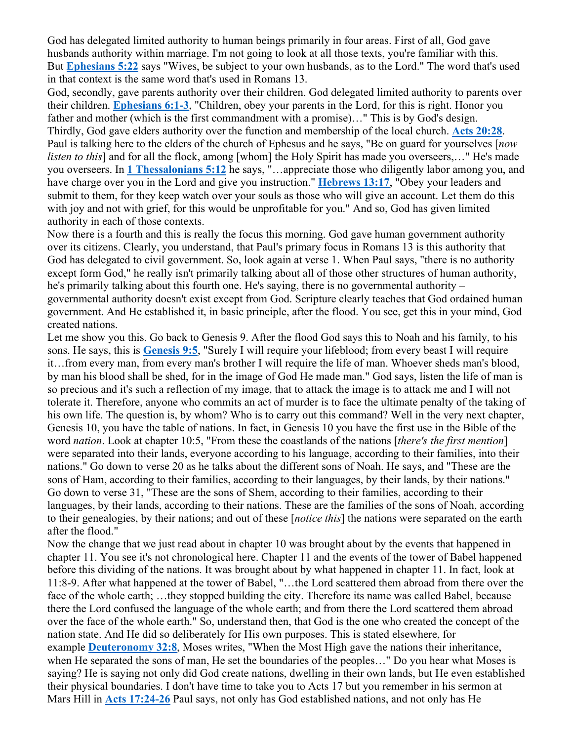God has delegated limited authority to human beings primarily in four areas. First of all, God gave husbands authority within marriage. I'm not going to look at all those texts, you're familiar with this. But **Ephesians 5:22** says "Wives, be subject to your own husbands, as to the Lord." The word that's used in that context is the same word that's used in Romans 13.

God, secondly, gave parents authority over their children. God delegated limited authority to parents over their children. **Ephesians 6:1-3**, "Children, obey your parents in the Lord, for this is right. Honor you father and mother (which is the first commandment with a promise)…" This is by God's design. Thirdly, God gave elders authority over the function and membership of the local church. **Acts 20:28**. Paul is talking here to the elders of the church of Ephesus and he says, "Be on guard for yourselves [*now listen to this*] and for all the flock, among [whom] the Holy Spirit has made you overseers,..." He's made you overseers. In **1 Thessalonians 5:12** he says, "…appreciate those who diligently labor among you, and have charge over you in the Lord and give you instruction." **Hebrews 13:17**, "Obey your leaders and submit to them, for they keep watch over your souls as those who will give an account. Let them do this with joy and not with grief, for this would be unprofitable for you." And so, God has given limited authority in each of those contexts.

Now there is a fourth and this is really the focus this morning. God gave human government authority over its citizens. Clearly, you understand, that Paul's primary focus in Romans 13 is this authority that God has delegated to civil government. So, look again at verse 1. When Paul says, "there is no authority except form God," he really isn't primarily talking about all of those other structures of human authority, he's primarily talking about this fourth one. He's saying, there is no governmental authority – governmental authority doesn't exist except from God. Scripture clearly teaches that God ordained human government. And He established it, in basic principle, after the flood. You see, get this in your mind, God created nations.

Let me show you this. Go back to Genesis 9. After the flood God says this to Noah and his family, to his sons. He says, this is **Genesis 9:5**, "Surely I will require your lifeblood; from every beast I will require it…from every man, from every man's brother I will require the life of man. Whoever sheds man's blood, by man his blood shall be shed, for in the image of God He made man." God says, listen the life of man is so precious and it's such a reflection of my image, that to attack the image is to attack me and I will not tolerate it. Therefore, anyone who commits an act of murder is to face the ultimate penalty of the taking of his own life. The question is, by whom? Who is to carry out this command? Well in the very next chapter, Genesis 10, you have the table of nations. In fact, in Genesis 10 you have the first use in the Bible of the word *nation*. Look at chapter 10:5, "From these the coastlands of the nations [*there's the first mention*] were separated into their lands, everyone according to his language, according to their families, into their nations." Go down to verse 20 as he talks about the different sons of Noah. He says, and "These are the sons of Ham, according to their families, according to their languages, by their lands, by their nations." Go down to verse 31, "These are the sons of Shem, according to their families, according to their languages, by their lands, according to their nations. These are the families of the sons of Noah, according to their genealogies, by their nations; and out of these [*notice this*] the nations were separated on the earth after the flood."

Now the change that we just read about in chapter 10 was brought about by the events that happened in chapter 11. You see it's not chronological here. Chapter 11 and the events of the tower of Babel happened before this dividing of the nations. It was brought about by what happened in chapter 11. In fact, look at 11:8-9. After what happened at the tower of Babel, "…the Lord scattered them abroad from there over the face of the whole earth; …they stopped building the city. Therefore its name was called Babel, because there the Lord confused the language of the whole earth; and from there the Lord scattered them abroad over the face of the whole earth." So, understand then, that God is the one who created the concept of the nation state. And He did so deliberately for His own purposes. This is stated elsewhere, for example **Deuteronomy 32:8**, Moses writes, "When the Most High gave the nations their inheritance, when He separated the sons of man, He set the boundaries of the peoples…" Do you hear what Moses is saying? He is saying not only did God create nations, dwelling in their own lands, but He even established their physical boundaries. I don't have time to take you to Acts 17 but you remember in his sermon at Mars Hill in **Acts 17:24-26** Paul says, not only has God established nations, and not only has He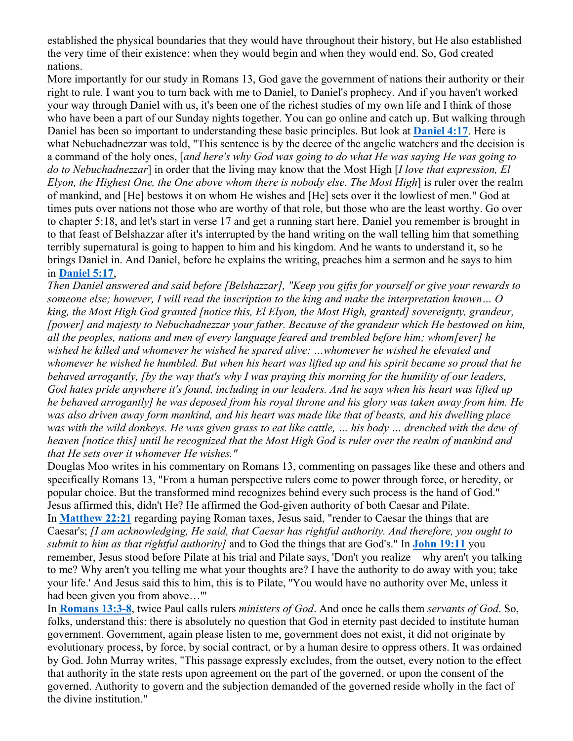established the physical boundaries that they would have throughout their history, but He also established the very time of their existence: when they would begin and when they would end. So, God created nations.

More importantly for our study in Romans 13, God gave the government of nations their authority or their right to rule. I want you to turn back with me to Daniel, to Daniel's prophecy. And if you haven't worked your way through Daniel with us, it's been one of the richest studies of my own life and I think of those who have been a part of our Sunday nights together. You can go online and catch up. But walking through Daniel has been so important to understanding these basic principles. But look at **Daniel 4:17**. Here is what Nebuchadnezzar was told, "This sentence is by the decree of the angelic watchers and the decision is a command of the holy ones, [*and here's why God was going to do what He was saying He was going to do to Nebuchadnezzar*] in order that the living may know that the Most High [*I love that expression, El Elyon, the Highest One, the One above whom there is nobody else. The Most High*] is ruler over the realm of mankind, and [He] bestows it on whom He wishes and [He] sets over it the lowliest of men." God at times puts over nations not those who are worthy of that role, but those who are the least worthy. Go over to chapter 5:18, and let's start in verse 17 and get a running start here. Daniel you remember is brought in to that feast of Belshazzar after it's interrupted by the hand writing on the wall telling him that something terribly supernatural is going to happen to him and his kingdom. And he wants to understand it, so he brings Daniel in. And Daniel, before he explains the writing, preaches him a sermon and he says to him in **Daniel 5:17**,

*Then Daniel answered and said before [Belshazzar], "Keep you gifts for yourself or give your rewards to someone else; however, I will read the inscription to the king and make the interpretation known… O king, the Most High God granted [notice this, El Elyon, the Most High, granted] sovereignty, grandeur, [power] and majesty to Nebuchadnezzar your father. Because of the grandeur which He bestowed on him, all the peoples, nations and men of every language feared and trembled before him; whom[ever] he wished he killed and whomever he wished he spared alive; …whomever he wished he elevated and whomever he wished he humbled. But when his heart was lifted up and his spirit became so proud that he behaved arrogantly, [by the way that's why I was praying this morning for the humility of our leaders, God hates pride anywhere it's found, including in our leaders. And he says when his heart was lifted up he behaved arrogantly] he was deposed from his royal throne and his glory was taken away from him. He was also driven away form mankind, and his heart was made like that of beasts, and his dwelling place was with the wild donkeys. He was given grass to eat like cattle, … his body … drenched with the dew of heaven [notice this] until he recognized that the Most High God is ruler over the realm of mankind and that He sets over it whomever He wishes."*

Douglas Moo writes in his commentary on Romans 13, commenting on passages like these and others and specifically Romans 13, "From a human perspective rulers come to power through force, or heredity, or popular choice. But the transformed mind recognizes behind every such process is the hand of God." Jesus affirmed this, didn't He? He affirmed the God-given authority of both Caesar and Pilate. In **Matthew 22:21** regarding paying Roman taxes, Jesus said, "render to Caesar the things that are Caesar's; *[I am acknowledging, He said, that Caesar has rightful authority. And therefore, you ought to submit to him as that rightful authority]* and to God the things that are God's." In **John 19:11** you remember, Jesus stood before Pilate at his trial and Pilate says, 'Don't you realize – why aren't you talking to me? Why aren't you telling me what your thoughts are? I have the authority to do away with you; take your life.' And Jesus said this to him, this is to Pilate, ''You would have no authority over Me, unless it had been given you from above…'"

In **Romans 13:3-8**, twice Paul calls rulers *ministers of God*. And once he calls them *servants of God*. So, folks, understand this: there is absolutely no question that God in eternity past decided to institute human government. Government, again please listen to me, government does not exist, it did not originate by evolutionary process, by force, by social contract, or by a human desire to oppress others. It was ordained by God. John Murray writes, "This passage expressly excludes, from the outset, every notion to the effect that authority in the state rests upon agreement on the part of the governed, or upon the consent of the governed. Authority to govern and the subjection demanded of the governed reside wholly in the fact of the divine institution."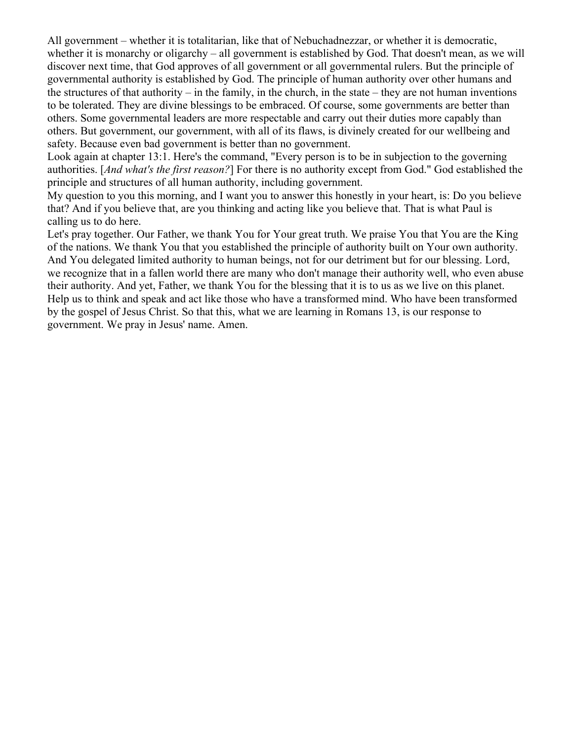All government – whether it is totalitarian, like that of Nebuchadnezzar, or whether it is democratic, whether it is monarchy or oligarchy – all government is established by God. That doesn't mean, as we will discover next time, that God approves of all government or all governmental rulers. But the principle of governmental authority is established by God. The principle of human authority over other humans and the structures of that authority – in the family, in the church, in the state – they are not human inventions to be tolerated. They are divine blessings to be embraced. Of course, some governments are better than others. Some governmental leaders are more respectable and carry out their duties more capably than others. But government, our government, with all of its flaws, is divinely created for our wellbeing and safety. Because even bad government is better than no government.

Look again at chapter 13:1. Here's the command, "Every person is to be in subjection to the governing authorities. [*And what's the first reason?*] For there is no authority except from God." God established the principle and structures of all human authority, including government.

My question to you this morning, and I want you to answer this honestly in your heart, is: Do you believe that? And if you believe that, are you thinking and acting like you believe that. That is what Paul is calling us to do here.

Let's pray together. Our Father, we thank You for Your great truth. We praise You that You are the King of the nations. We thank You that you established the principle of authority built on Your own authority. And You delegated limited authority to human beings, not for our detriment but for our blessing. Lord, we recognize that in a fallen world there are many who don't manage their authority well, who even abuse their authority. And yet, Father, we thank You for the blessing that it is to us as we live on this planet. Help us to think and speak and act like those who have a transformed mind. Who have been transformed by the gospel of Jesus Christ. So that this, what we are learning in Romans 13, is our response to government. We pray in Jesus' name. Amen.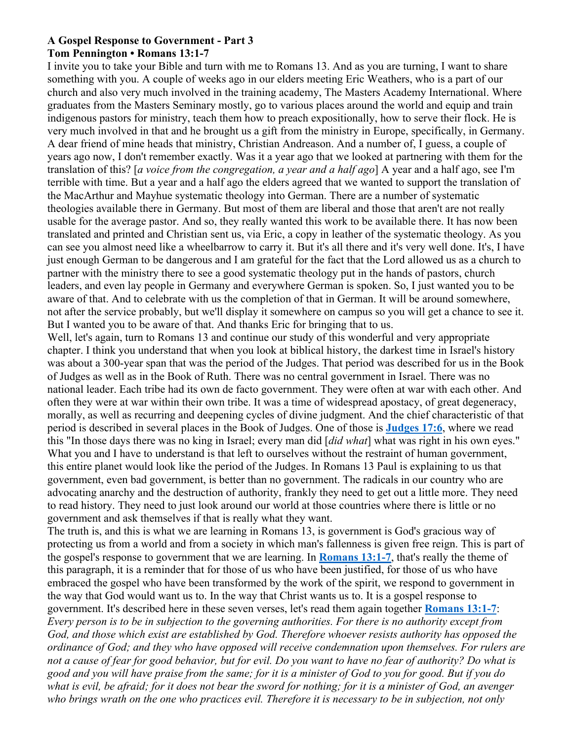#### **A Gospel Response to Government - Part 3 Tom Pennington • Romans 13:1-7**

I invite you to take your Bible and turn with me to Romans 13. And as you are turning, I want to share something with you. A couple of weeks ago in our elders meeting Eric Weathers, who is a part of our church and also very much involved in the training academy, The Masters Academy International. Where graduates from the Masters Seminary mostly, go to various places around the world and equip and train indigenous pastors for ministry, teach them how to preach expositionally, how to serve their flock. He is very much involved in that and he brought us a gift from the ministry in Europe, specifically, in Germany. A dear friend of mine heads that ministry, Christian Andreason. And a number of, I guess, a couple of years ago now, I don't remember exactly. Was it a year ago that we looked at partnering with them for the translation of this? [*a voice from the congregation, a year and a half ago*] A year and a half ago, see I'm terrible with time. But a year and a half ago the elders agreed that we wanted to support the translation of the MacArthur and Mayhue systematic theology into German. There are a number of systematic theologies available there in Germany. But most of them are liberal and those that aren't are not really usable for the average pastor. And so, they really wanted this work to be available there. It has now been translated and printed and Christian sent us, via Eric, a copy in leather of the systematic theology. As you can see you almost need like a wheelbarrow to carry it. But it's all there and it's very well done. It's, I have just enough German to be dangerous and I am grateful for the fact that the Lord allowed us as a church to partner with the ministry there to see a good systematic theology put in the hands of pastors, church leaders, and even lay people in Germany and everywhere German is spoken. So, I just wanted you to be aware of that. And to celebrate with us the completion of that in German. It will be around somewhere, not after the service probably, but we'll display it somewhere on campus so you will get a chance to see it. But I wanted you to be aware of that. And thanks Eric for bringing that to us.

Well, let's again, turn to Romans 13 and continue our study of this wonderful and very appropriate chapter. I think you understand that when you look at biblical history, the darkest time in Israel's history was about a 300-year span that was the period of the Judges. That period was described for us in the Book of Judges as well as in the Book of Ruth. There was no central government in Israel. There was no national leader. Each tribe had its own de facto government. They were often at war with each other. And often they were at war within their own tribe. It was a time of widespread apostacy, of great degeneracy, morally, as well as recurring and deepening cycles of divine judgment. And the chief characteristic of that period is described in several places in the Book of Judges. One of those is **Judges 17:6**, where we read this "In those days there was no king in Israel; every man did [*did what*] what was right in his own eyes." What you and I have to understand is that left to ourselves without the restraint of human government, this entire planet would look like the period of the Judges. In Romans 13 Paul is explaining to us that government, even bad government, is better than no government. The radicals in our country who are advocating anarchy and the destruction of authority, frankly they need to get out a little more. They need to read history. They need to just look around our world at those countries where there is little or no government and ask themselves if that is really what they want.

The truth is, and this is what we are learning in Romans 13, is government is God's gracious way of protecting us from a world and from a society in which man's fallenness is given free reign. This is part of the gospel's response to government that we are learning. In **Romans 13:1-7**, that's really the theme of this paragraph, it is a reminder that for those of us who have been justified, for those of us who have embraced the gospel who have been transformed by the work of the spirit, we respond to government in the way that God would want us to. In the way that Christ wants us to. It is a gospel response to government. It's described here in these seven verses, let's read them again together **Romans 13:1-7**: *Every person is to be in subjection to the governing authorities. For there is no authority except from God, and those which exist are established by God. Therefore whoever resists authority has opposed the ordinance of God; and they who have opposed will receive condemnation upon themselves. For rulers are not a cause of fear for good behavior, but for evil. Do you want to have no fear of authority? Do what is good and you will have praise from the same; for it is a minister of God to you for good. But if you do what is evil, be afraid; for it does not bear the sword for nothing; for it is a minister of God, an avenger who brings wrath on the one who practices evil. Therefore it is necessary to be in subjection, not only*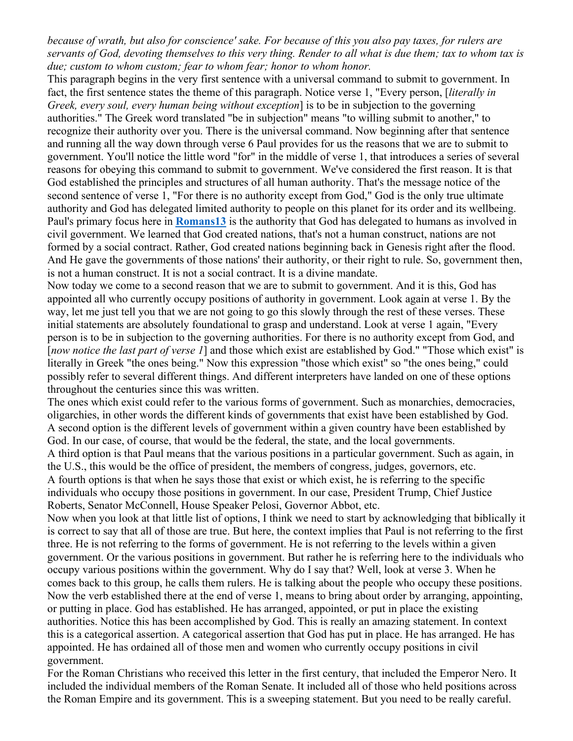*because of wrath, but also for conscience' sake. For because of this you also pay taxes, for rulers are servants of God, devoting themselves to this very thing. Render to all what is due them; tax to whom tax is due; custom to whom custom; fear to whom fear; honor to whom honor.*

This paragraph begins in the very first sentence with a universal command to submit to government. In fact, the first sentence states the theme of this paragraph. Notice verse 1, "Every person, [*literally in Greek, every soul, every human being without exception*] is to be in subjection to the governing authorities." The Greek word translated "be in subjection" means "to willing submit to another," to recognize their authority over you. There is the universal command. Now beginning after that sentence and running all the way down through verse 6 Paul provides for us the reasons that we are to submit to government. You'll notice the little word "for" in the middle of verse 1, that introduces a series of several reasons for obeying this command to submit to government. We've considered the first reason. It is that God established the principles and structures of all human authority. That's the message notice of the second sentence of verse 1, "For there is no authority except from God," God is the only true ultimate authority and God has delegated limited authority to people on this planet for its order and its wellbeing. Paul's primary focus here in **Romans13** is the authority that God has delegated to humans as involved in civil government. We learned that God created nations, that's not a human construct, nations are not formed by a social contract. Rather, God created nations beginning back in Genesis right after the flood. And He gave the governments of those nations' their authority, or their right to rule. So, government then, is not a human construct. It is not a social contract. It is a divine mandate.

Now today we come to a second reason that we are to submit to government. And it is this, God has appointed all who currently occupy positions of authority in government. Look again at verse 1. By the way, let me just tell you that we are not going to go this slowly through the rest of these verses. These initial statements are absolutely foundational to grasp and understand. Look at verse 1 again, "Every person is to be in subjection to the governing authorities. For there is no authority except from God, and [now notice the last part of verse 1] and those which exist are established by God." "Those which exist" is literally in Greek "the ones being." Now this expression "those which exist" so "the ones being," could possibly refer to several different things. And different interpreters have landed on one of these options throughout the centuries since this was written.

The ones which exist could refer to the various forms of government. Such as monarchies, democracies, oligarchies, in other words the different kinds of governments that exist have been established by God. A second option is the different levels of government within a given country have been established by God. In our case, of course, that would be the federal, the state, and the local governments. A third option is that Paul means that the various positions in a particular government. Such as again, in the U.S., this would be the office of president, the members of congress, judges, governors, etc. A fourth options is that when he says those that exist or which exist, he is referring to the specific

individuals who occupy those positions in government. In our case, President Trump, Chief Justice Roberts, Senator McConnell, House Speaker Pelosi, Governor Abbot, etc.

Now when you look at that little list of options, I think we need to start by acknowledging that biblically it is correct to say that all of those are true. But here, the context implies that Paul is not referring to the first three. He is not referring to the forms of government. He is not referring to the levels within a given government. Or the various positions in government. But rather he is referring here to the individuals who occupy various positions within the government. Why do I say that? Well, look at verse 3. When he comes back to this group, he calls them rulers. He is talking about the people who occupy these positions. Now the verb established there at the end of verse 1, means to bring about order by arranging, appointing, or putting in place. God has established. He has arranged, appointed, or put in place the existing authorities. Notice this has been accomplished by God. This is really an amazing statement. In context this is a categorical assertion. A categorical assertion that God has put in place. He has arranged. He has appointed. He has ordained all of those men and women who currently occupy positions in civil government.

For the Roman Christians who received this letter in the first century, that included the Emperor Nero. It included the individual members of the Roman Senate. It included all of those who held positions across the Roman Empire and its government. This is a sweeping statement. But you need to be really careful.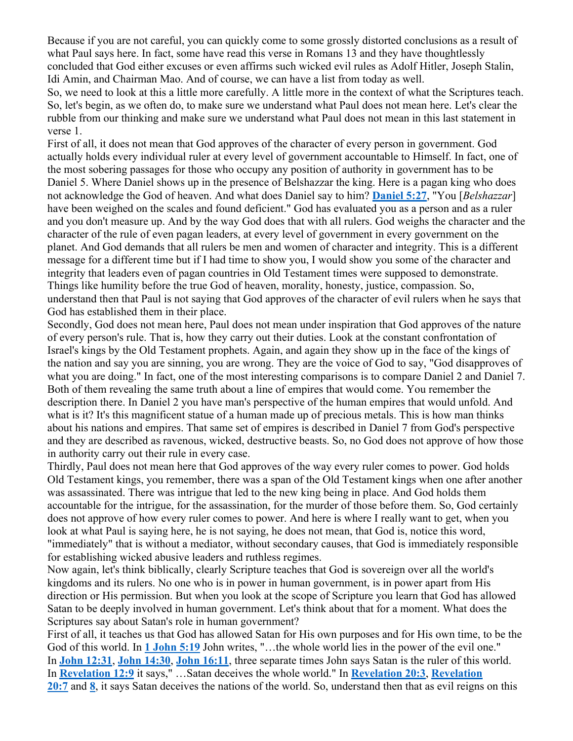Because if you are not careful, you can quickly come to some grossly distorted conclusions as a result of what Paul says here. In fact, some have read this verse in Romans 13 and they have thoughtlessly concluded that God either excuses or even affirms such wicked evil rules as Adolf Hitler, Joseph Stalin, Idi Amin, and Chairman Mao. And of course, we can have a list from today as well.

So, we need to look at this a little more carefully. A little more in the context of what the Scriptures teach. So, let's begin, as we often do, to make sure we understand what Paul does not mean here. Let's clear the rubble from our thinking and make sure we understand what Paul does not mean in this last statement in verse 1.

First of all, it does not mean that God approves of the character of every person in government. God actually holds every individual ruler at every level of government accountable to Himself. In fact, one of the most sobering passages for those who occupy any position of authority in government has to be Daniel 5. Where Daniel shows up in the presence of Belshazzar the king. Here is a pagan king who does not acknowledge the God of heaven. And what does Daniel say to him? **Daniel 5:27**, "You [*Belshazzar*] have been weighed on the scales and found deficient." God has evaluated you as a person and as a ruler and you don't measure up. And by the way God does that with all rulers. God weighs the character and the character of the rule of even pagan leaders, at every level of government in every government on the planet. And God demands that all rulers be men and women of character and integrity. This is a different message for a different time but if I had time to show you, I would show you some of the character and integrity that leaders even of pagan countries in Old Testament times were supposed to demonstrate. Things like humility before the true God of heaven, morality, honesty, justice, compassion. So, understand then that Paul is not saying that God approves of the character of evil rulers when he says that God has established them in their place.

Secondly, God does not mean here, Paul does not mean under inspiration that God approves of the nature of every person's rule. That is, how they carry out their duties. Look at the constant confrontation of Israel's kings by the Old Testament prophets. Again, and again they show up in the face of the kings of the nation and say you are sinning, you are wrong. They are the voice of God to say, "God disapproves of what you are doing." In fact, one of the most interesting comparisons is to compare Daniel 2 and Daniel 7. Both of them revealing the same truth about a line of empires that would come. You remember the description there. In Daniel 2 you have man's perspective of the human empires that would unfold. And what is it? It's this magnificent statue of a human made up of precious metals. This is how man thinks about his nations and empires. That same set of empires is described in Daniel 7 from God's perspective and they are described as ravenous, wicked, destructive beasts. So, no God does not approve of how those in authority carry out their rule in every case.

Thirdly, Paul does not mean here that God approves of the way every ruler comes to power. God holds Old Testament kings, you remember, there was a span of the Old Testament kings when one after another was assassinated. There was intrigue that led to the new king being in place. And God holds them accountable for the intrigue, for the assassination, for the murder of those before them. So, God certainly does not approve of how every ruler comes to power. And here is where I really want to get, when you look at what Paul is saying here, he is not saying, he does not mean, that God is, notice this word, "immediately" that is without a mediator, without secondary causes, that God is immediately responsible for establishing wicked abusive leaders and ruthless regimes.

Now again, let's think biblically, clearly Scripture teaches that God is sovereign over all the world's kingdoms and its rulers. No one who is in power in human government, is in power apart from His direction or His permission. But when you look at the scope of Scripture you learn that God has allowed Satan to be deeply involved in human government. Let's think about that for a moment. What does the Scriptures say about Satan's role in human government?

First of all, it teaches us that God has allowed Satan for His own purposes and for His own time, to be the God of this world. In **1 John 5:19** John writes, "...the whole world lies in the power of the evil one." In **John 12:31**, **John 14:30**, **John 16:11**, three separate times John says Satan is the ruler of this world. In **Revelation 12:9** it says," …Satan deceives the whole world." In **Revelation 20:3**, **Revelation 20:7** and **8**, it says Satan deceives the nations of the world. So, understand then that as evil reigns on this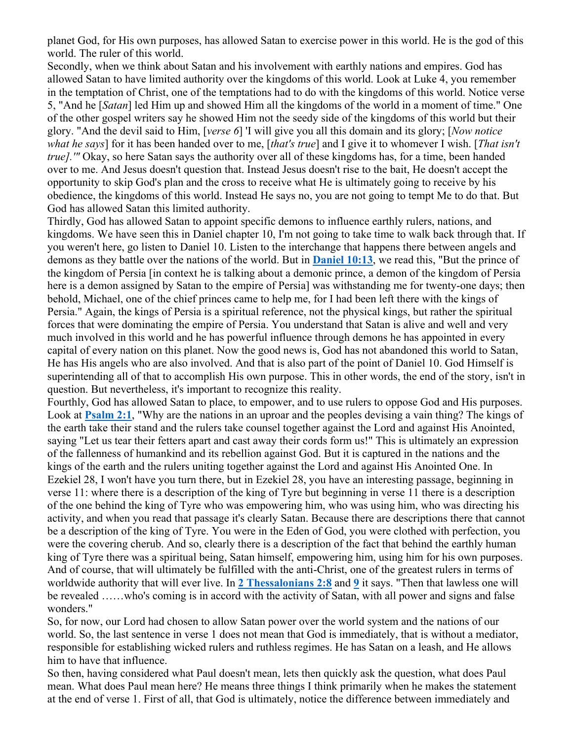planet God, for His own purposes, has allowed Satan to exercise power in this world. He is the god of this world. The ruler of this world.

Secondly, when we think about Satan and his involvement with earthly nations and empires. God has allowed Satan to have limited authority over the kingdoms of this world. Look at Luke 4, you remember in the temptation of Christ, one of the temptations had to do with the kingdoms of this world. Notice verse 5, "And he [*Satan*] led Him up and showed Him all the kingdoms of the world in a moment of time." One of the other gospel writers say he showed Him not the seedy side of the kingdoms of this world but their glory. "And the devil said to Him, [*verse 6*] 'I will give you all this domain and its glory; [*Now notice what he says*] for it has been handed over to me, [*that's true*] and I give it to whomever I wish. [*That isn't true].'"* Okay, so here Satan says the authority over all of these kingdoms has, for a time, been handed over to me. And Jesus doesn't question that. Instead Jesus doesn't rise to the bait, He doesn't accept the opportunity to skip God's plan and the cross to receive what He is ultimately going to receive by his obedience, the kingdoms of this world. Instead He says no, you are not going to tempt Me to do that. But God has allowed Satan this limited authority.

Thirdly, God has allowed Satan to appoint specific demons to influence earthly rulers, nations, and kingdoms. We have seen this in Daniel chapter 10, I'm not going to take time to walk back through that. If you weren't here, go listen to Daniel 10. Listen to the interchange that happens there between angels and demons as they battle over the nations of the world. But in **Daniel 10:13**, we read this, "But the prince of the kingdom of Persia [in context he is talking about a demonic prince, a demon of the kingdom of Persia here is a demon assigned by Satan to the empire of Persia] was withstanding me for twenty-one days; then behold, Michael, one of the chief princes came to help me, for I had been left there with the kings of Persia." Again, the kings of Persia is a spiritual reference, not the physical kings, but rather the spiritual forces that were dominating the empire of Persia. You understand that Satan is alive and well and very much involved in this world and he has powerful influence through demons he has appointed in every capital of every nation on this planet. Now the good news is, God has not abandoned this world to Satan, He has His angels who are also involved. And that is also part of the point of Daniel 10. God Himself is superintending all of that to accomplish His own purpose. This in other words, the end of the story, isn't in question. But nevertheless, it's important to recognize this reality.

Fourthly, God has allowed Satan to place, to empower, and to use rulers to oppose God and His purposes. Look at **Psalm 2:1**, "Why are the nations in an uproar and the peoples devising a vain thing? The kings of the earth take their stand and the rulers take counsel together against the Lord and against His Anointed, saying "Let us tear their fetters apart and cast away their cords form us!" This is ultimately an expression of the fallenness of humankind and its rebellion against God. But it is captured in the nations and the kings of the earth and the rulers uniting together against the Lord and against His Anointed One. In Ezekiel 28, I won't have you turn there, but in Ezekiel 28, you have an interesting passage, beginning in verse 11: where there is a description of the king of Tyre but beginning in verse 11 there is a description of the one behind the king of Tyre who was empowering him, who was using him, who was directing his activity, and when you read that passage it's clearly Satan. Because there are descriptions there that cannot be a description of the king of Tyre. You were in the Eden of God, you were clothed with perfection, you were the covering cherub. And so, clearly there is a description of the fact that behind the earthly human king of Tyre there was a spiritual being, Satan himself, empowering him, using him for his own purposes. And of course, that will ultimately be fulfilled with the anti-Christ, one of the greatest rulers in terms of worldwide authority that will ever live. In **2 Thessalonians 2:8** and **9** it says. "Then that lawless one will be revealed ……who's coming is in accord with the activity of Satan, with all power and signs and false wonders."

So, for now, our Lord had chosen to allow Satan power over the world system and the nations of our world. So, the last sentence in verse 1 does not mean that God is immediately, that is without a mediator, responsible for establishing wicked rulers and ruthless regimes. He has Satan on a leash, and He allows him to have that influence.

So then, having considered what Paul doesn't mean, lets then quickly ask the question, what does Paul mean. What does Paul mean here? He means three things I think primarily when he makes the statement at the end of verse 1. First of all, that God is ultimately, notice the difference between immediately and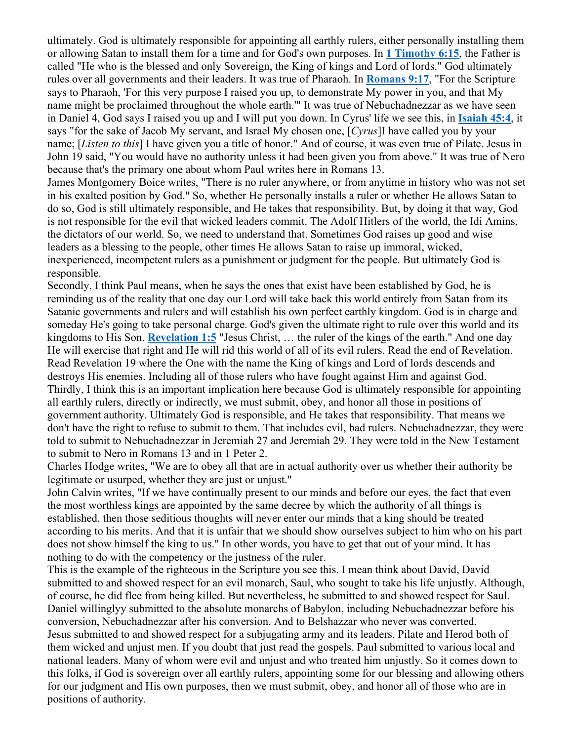ultimately. God is ultimately responsible for appointing all earthly rulers, either personally installing them or allowing Satan to install them for a time and for God's own purposes. In **1 Timothy 6:15**, the Father is called "He who is the blessed and only Sovereign, the King of kings and Lord of lords." God ultimately rules over all governments and their leaders. It was true of Pharaoh. In **Romans 9:17**, "For the Scripture says to Pharaoh, 'For this very purpose I raised you up, to demonstrate My power in you, and that My name might be proclaimed throughout the whole earth.'" It was true of Nebuchadnezzar as we have seen in Daniel 4, God says I raised you up and I will put you down. In Cyrus' life we see this, in **Isaiah 45:4**, it says "for the sake of Jacob My servant, and Israel My chosen one, [*Cyrus*]I have called you by your name; [*Listen to this*] I have given you a title of honor." And of course, it was even true of Pilate. Jesus in John 19 said, "You would have no authority unless it had been given you from above." It was true of Nero because that's the primary one about whom Paul writes here in Romans 13.

James Montgomery Boice writes, "There is no ruler anywhere, or from anytime in history who was not set in his exalted position by God." So, whether He personally installs a ruler or whether He allows Satan to do so, God is still ultimately responsible, and He takes that responsibility. But, by doing it that way, God is not responsible for the evil that wicked leaders commit. The Adolf Hitlers of the world, the Idi Amins, the dictators of our world. So, we need to understand that. Sometimes God raises up good and wise leaders as a blessing to the people, other times He allows Satan to raise up immoral, wicked, inexperienced, incompetent rulers as a punishment or judgment for the people. But ultimately God is responsible.

Secondly, I think Paul means, when he says the ones that exist have been established by God, he is reminding us of the reality that one day our Lord will take back this world entirely from Satan from its Satanic governments and rulers and will establish his own perfect earthly kingdom. God is in charge and someday He's going to take personal charge. God's given the ultimate right to rule over this world and its kingdoms to His Son. **Revelation 1:5** "Jesus Christ, … the ruler of the kings of the earth." And one day He will exercise that right and He will rid this world of all of its evil rulers. Read the end of Revelation. Read Revelation 19 where the One with the name the King of kings and Lord of lords descends and destroys His enemies. Including all of those rulers who have fought against Him and against God. Thirdly, I think this is an important implication here because God is ultimately responsible for appointing all earthly rulers, directly or indirectly, we must submit, obey, and honor all those in positions of government authority. Ultimately God is responsible, and He takes that responsibility. That means we don't have the right to refuse to submit to them. That includes evil, bad rulers. Nebuchadnezzar, they were told to submit to Nebuchadnezzar in Jeremiah 27 and Jeremiah 29. They were told in the New Testament to submit to Nero in Romans 13 and in 1 Peter 2.

Charles Hodge writes, "We are to obey all that are in actual authority over us whether their authority be legitimate or usurped, whether they are just or unjust."

John Calvin writes, "If we have continually present to our minds and before our eyes, the fact that even the most worthless kings are appointed by the same decree by which the authority of all things is established, then those seditious thoughts will never enter our minds that a king should be treated according to his merits. And that it is unfair that we should show ourselves subject to him who on his part does not show himself the king to us." In other words, you have to get that out of your mind. It has nothing to do with the competency or the justness of the ruler.

This is the example of the righteous in the Scripture you see this. I mean think about David, David submitted to and showed respect for an evil monarch, Saul, who sought to take his life unjustly. Although, of course, he did flee from being killed. But nevertheless, he submitted to and showed respect for Saul. Daniel willinglyy submitted to the absolute monarchs of Babylon, including Nebuchadnezzar before his conversion, Nebuchadnezzar after his conversion. And to Belshazzar who never was converted. Jesus submitted to and showed respect for a subjugating army and its leaders, Pilate and Herod both of them wicked and unjust men. If you doubt that just read the gospels. Paul submitted to various local and national leaders. Many of whom were evil and unjust and who treated him unjustly. So it comes down to this folks, if God is sovereign over all earthly rulers, appointing some for our blessing and allowing others for our judgment and His own purposes, then we must submit, obey, and honor all of those who are in positions of authority.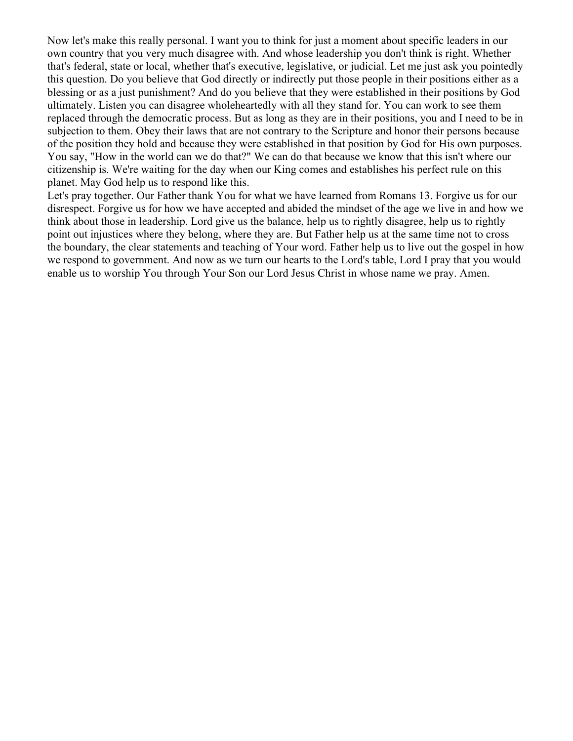Now let's make this really personal. I want you to think for just a moment about specific leaders in our own country that you very much disagree with. And whose leadership you don't think is right. Whether that's federal, state or local, whether that's executive, legislative, or judicial. Let me just ask you pointedly this question. Do you believe that God directly or indirectly put those people in their positions either as a blessing or as a just punishment? And do you believe that they were established in their positions by God ultimately. Listen you can disagree wholeheartedly with all they stand for. You can work to see them replaced through the democratic process. But as long as they are in their positions, you and I need to be in subjection to them. Obey their laws that are not contrary to the Scripture and honor their persons because of the position they hold and because they were established in that position by God for His own purposes. You say, "How in the world can we do that?" We can do that because we know that this isn't where our citizenship is. We're waiting for the day when our King comes and establishes his perfect rule on this planet. May God help us to respond like this.

Let's pray together. Our Father thank You for what we have learned from Romans 13. Forgive us for our disrespect. Forgive us for how we have accepted and abided the mindset of the age we live in and how we think about those in leadership. Lord give us the balance, help us to rightly disagree, help us to rightly point out injustices where they belong, where they are. But Father help us at the same time not to cross the boundary, the clear statements and teaching of Your word. Father help us to live out the gospel in how we respond to government. And now as we turn our hearts to the Lord's table, Lord I pray that you would enable us to worship You through Your Son our Lord Jesus Christ in whose name we pray. Amen.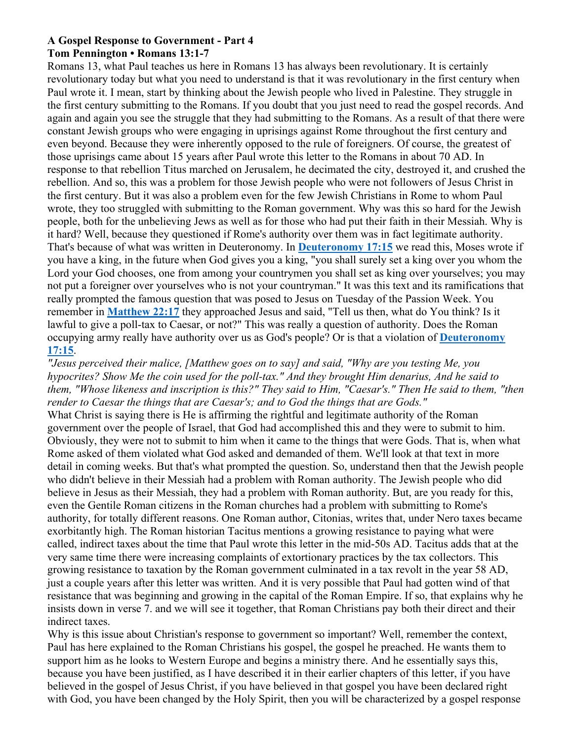## **A Gospel Response to Government - Part 4 Tom Pennington • Romans 13:1-7**

Romans 13, what Paul teaches us here in Romans 13 has always been revolutionary. It is certainly revolutionary today but what you need to understand is that it was revolutionary in the first century when Paul wrote it. I mean, start by thinking about the Jewish people who lived in Palestine. They struggle in the first century submitting to the Romans. If you doubt that you just need to read the gospel records. And again and again you see the struggle that they had submitting to the Romans. As a result of that there were constant Jewish groups who were engaging in uprisings against Rome throughout the first century and even beyond. Because they were inherently opposed to the rule of foreigners. Of course, the greatest of those uprisings came about 15 years after Paul wrote this letter to the Romans in about 70 AD. In response to that rebellion Titus marched on Jerusalem, he decimated the city, destroyed it, and crushed the rebellion. And so, this was a problem for those Jewish people who were not followers of Jesus Christ in the first century. But it was also a problem even for the few Jewish Christians in Rome to whom Paul wrote, they too struggled with submitting to the Roman government. Why was this so hard for the Jewish people, both for the unbelieving Jews as well as for those who had put their faith in their Messiah. Why is it hard? Well, because they questioned if Rome's authority over them was in fact legitimate authority. That's because of what was written in Deuteronomy. In **Deuteronomy 17:15** we read this, Moses wrote if you have a king, in the future when God gives you a king, "you shall surely set a king over you whom the Lord your God chooses, one from among your countrymen you shall set as king over yourselves; you may not put a foreigner over yourselves who is not your countryman." It was this text and its ramifications that really prompted the famous question that was posed to Jesus on Tuesday of the Passion Week. You remember in **Matthew 22:17** they approached Jesus and said, "Tell us then, what do You think? Is it lawful to give a poll-tax to Caesar, or not?" This was really a question of authority. Does the Roman occupying army really have authority over us as God's people? Or is that a violation of **Deuteronomy 17:15**.

*"Jesus perceived their malice, [Matthew goes on to say] and said, "Why are you testing Me, you hypocrites? Show Me the coin used for the poll-tax." And they brought Him denarius, And he said to them, "Whose likeness and inscription is this?" They said to Him, "Caesar's." Then He said to them, "then render to Caesar the things that are Caesar's; and to God the things that are Gods."*

What Christ is saying there is He is affirming the rightful and legitimate authority of the Roman government over the people of Israel, that God had accomplished this and they were to submit to him. Obviously, they were not to submit to him when it came to the things that were Gods. That is, when what Rome asked of them violated what God asked and demanded of them. We'll look at that text in more detail in coming weeks. But that's what prompted the question. So, understand then that the Jewish people who didn't believe in their Messiah had a problem with Roman authority. The Jewish people who did believe in Jesus as their Messiah, they had a problem with Roman authority. But, are you ready for this, even the Gentile Roman citizens in the Roman churches had a problem with submitting to Rome's authority, for totally different reasons. One Roman author, Citonias, writes that, under Nero taxes became exorbitantly high. The Roman historian Tacitus mentions a growing resistance to paying what were called, indirect taxes about the time that Paul wrote this letter in the mid-50s AD. Tacitus adds that at the very same time there were increasing complaints of extortionary practices by the tax collectors. This growing resistance to taxation by the Roman government culminated in a tax revolt in the year 58 AD, just a couple years after this letter was written. And it is very possible that Paul had gotten wind of that resistance that was beginning and growing in the capital of the Roman Empire. If so, that explains why he insists down in verse 7. and we will see it together, that Roman Christians pay both their direct and their indirect taxes.

Why is this issue about Christian's response to government so important? Well, remember the context, Paul has here explained to the Roman Christians his gospel, the gospel he preached. He wants them to support him as he looks to Western Europe and begins a ministry there. And he essentially says this, because you have been justified, as I have described it in their earlier chapters of this letter, if you have believed in the gospel of Jesus Christ, if you have believed in that gospel you have been declared right with God, you have been changed by the Holy Spirit, then you will be characterized by a gospel response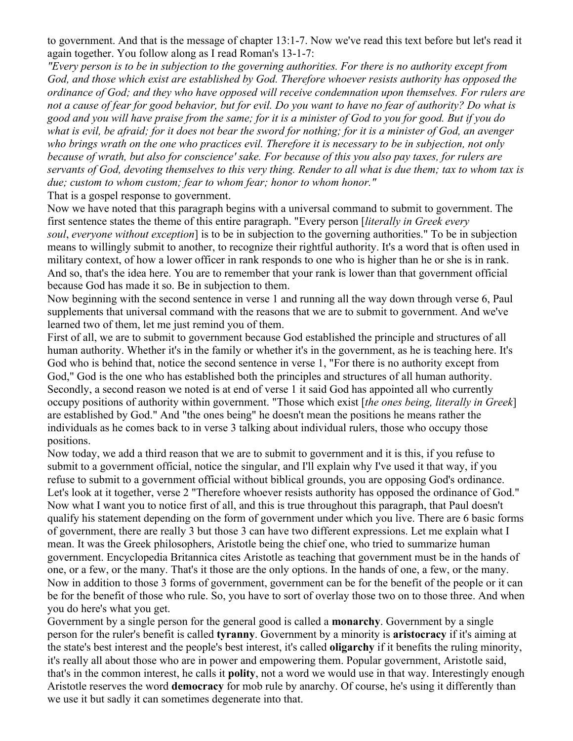to government. And that is the message of chapter 13:1-7. Now we've read this text before but let's read it again together. You follow along as I read Roman's 13-1-7:

*"Every person is to be in subjection to the governing authorities. For there is no authority except from God, and those which exist are established by God. Therefore whoever resists authority has opposed the ordinance of God; and they who have opposed will receive condemnation upon themselves. For rulers are not a cause of fear for good behavior, but for evil. Do you want to have no fear of authority? Do what is good and you will have praise from the same; for it is a minister of God to you for good. But if you do what is evil, be afraid; for it does not bear the sword for nothing; for it is a minister of God, an avenger who brings wrath on the one who practices evil. Therefore it is necessary to be in subjection, not only because of wrath, but also for conscience' sake. For because of this you also pay taxes, for rulers are servants of God, devoting themselves to this very thing. Render to all what is due them; tax to whom tax is due; custom to whom custom; fear to whom fear; honor to whom honor."*

That is a gospel response to government.

Now we have noted that this paragraph begins with a universal command to submit to government. The first sentence states the theme of this entire paragraph. "Every person [*literally in Greek every soul*, *everyone without exception*] is to be in subjection to the governing authorities." To be in subjection means to willingly submit to another, to recognize their rightful authority. It's a word that is often used in military context, of how a lower officer in rank responds to one who is higher than he or she is in rank. And so, that's the idea here. You are to remember that your rank is lower than that government official because God has made it so. Be in subjection to them.

Now beginning with the second sentence in verse 1 and running all the way down through verse 6, Paul supplements that universal command with the reasons that we are to submit to government. And we've learned two of them, let me just remind you of them.

First of all, we are to submit to government because God established the principle and structures of all human authority. Whether it's in the family or whether it's in the government, as he is teaching here. It's God who is behind that, notice the second sentence in verse 1, "For there is no authority except from God," God is the one who has established both the principles and structures of all human authority. Secondly, a second reason we noted is at end of verse 1 it said God has appointed all who currently occupy positions of authority within government. "Those which exist [*the ones being, literally in Greek*] are established by God." And "the ones being" he doesn't mean the positions he means rather the individuals as he comes back to in verse 3 talking about individual rulers, those who occupy those positions.

Now today, we add a third reason that we are to submit to government and it is this, if you refuse to submit to a government official, notice the singular, and I'll explain why I've used it that way, if you refuse to submit to a government official without biblical grounds, you are opposing God's ordinance. Let's look at it together, verse 2 "Therefore whoever resists authority has opposed the ordinance of God." Now what I want you to notice first of all, and this is true throughout this paragraph, that Paul doesn't qualify his statement depending on the form of government under which you live. There are 6 basic forms of government, there are really 3 but those 3 can have two different expressions. Let me explain what I mean. It was the Greek philosophers, Aristotle being the chief one, who tried to summarize human government. Encyclopedia Britannica cites Aristotle as teaching that government must be in the hands of one, or a few, or the many. That's it those are the only options. In the hands of one, a few, or the many. Now in addition to those 3 forms of government, government can be for the benefit of the people or it can be for the benefit of those who rule. So, you have to sort of overlay those two on to those three. And when you do here's what you get.

Government by a single person for the general good is called a **monarchy**. Government by a single person for the ruler's benefit is called **tyranny**. Government by a minority is **aristocracy** if it's aiming at the state's best interest and the people's best interest, it's called **oligarchy** if it benefits the ruling minority, it's really all about those who are in power and empowering them. Popular government, Aristotle said, that's in the common interest, he calls it **polity**, not a word we would use in that way. Interestingly enough Aristotle reserves the word **democracy** for mob rule by anarchy. Of course, he's using it differently than we use it but sadly it can sometimes degenerate into that.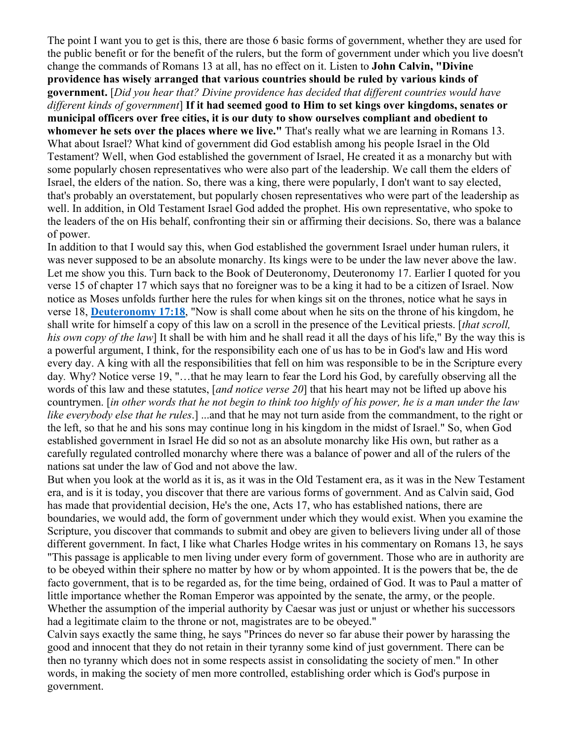The point I want you to get is this, there are those 6 basic forms of government, whether they are used for the public benefit or for the benefit of the rulers, but the form of government under which you live doesn't change the commands of Romans 13 at all, has no effect on it. Listen to **John Calvin, "Divine providence has wisely arranged that various countries should be ruled by various kinds of government.** [*Did you hear that? Divine providence has decided that different countries would have different kinds of government*] **If it had seemed good to Him to set kings over kingdoms, senates or municipal officers over free cities, it is our duty to show ourselves compliant and obedient to whomever he sets over the places where we live."** That's really what we are learning in Romans 13. What about Israel? What kind of government did God establish among his people Israel in the Old Testament? Well, when God established the government of Israel, He created it as a monarchy but with some popularly chosen representatives who were also part of the leadership. We call them the elders of Israel, the elders of the nation. So, there was a king, there were popularly, I don't want to say elected, that's probably an overstatement, but popularly chosen representatives who were part of the leadership as well. In addition, in Old Testament Israel God added the prophet. His own representative, who spoke to the leaders of the on His behalf, confronting their sin or affirming their decisions. So, there was a balance of power.

In addition to that I would say this, when God established the government Israel under human rulers, it was never supposed to be an absolute monarchy. Its kings were to be under the law never above the law. Let me show you this. Turn back to the Book of Deuteronomy, Deuteronomy 17. Earlier I quoted for you verse 15 of chapter 17 which says that no foreigner was to be a king it had to be a citizen of Israel. Now notice as Moses unfolds further here the rules for when kings sit on the thrones, notice what he says in verse 18, **Deuteronomy 17:18**, "Now is shall come about when he sits on the throne of his kingdom, he shall write for himself a copy of this law on a scroll in the presence of the Levitical priests. [*that scroll, his own copy of the law*] It shall be with him and he shall read it all the days of his life," By the way this is a powerful argument, I think, for the responsibility each one of us has to be in God's law and His word every day. A king with all the responsibilities that fell on him was responsible to be in the Scripture every day*.* Why? Notice verse 19, "…that he may learn to fear the Lord his God, by carefully observing all the words of this law and these statutes, [*and notice verse 20*] that his heart may not be lifted up above his countrymen. [*in other words that he not begin to think too highly of his power, he is a man under the law like everybody else that he rules*.] ...and that he may not turn aside from the commandment, to the right or the left, so that he and his sons may continue long in his kingdom in the midst of Israel." So, when God established government in Israel He did so not as an absolute monarchy like His own, but rather as a carefully regulated controlled monarchy where there was a balance of power and all of the rulers of the nations sat under the law of God and not above the law.

But when you look at the world as it is, as it was in the Old Testament era, as it was in the New Testament era, and is it is today, you discover that there are various forms of government. And as Calvin said, God has made that providential decision, He's the one, Acts 17, who has established nations, there are boundaries, we would add, the form of government under which they would exist. When you examine the Scripture, you discover that commands to submit and obey are given to believers living under all of those different government. In fact, I like what Charles Hodge writes in his commentary on Romans 13, he says "This passage is applicable to men living under every form of government. Those who are in authority are to be obeyed within their sphere no matter by how or by whom appointed. It is the powers that be, the de facto government, that is to be regarded as, for the time being, ordained of God. It was to Paul a matter of little importance whether the Roman Emperor was appointed by the senate, the army, or the people. Whether the assumption of the imperial authority by Caesar was just or unjust or whether his successors had a legitimate claim to the throne or not, magistrates are to be obeyed."

Calvin says exactly the same thing, he says "Princes do never so far abuse their power by harassing the good and innocent that they do not retain in their tyranny some kind of just government. There can be then no tyranny which does not in some respects assist in consolidating the society of men." In other words, in making the society of men more controlled, establishing order which is God's purpose in government.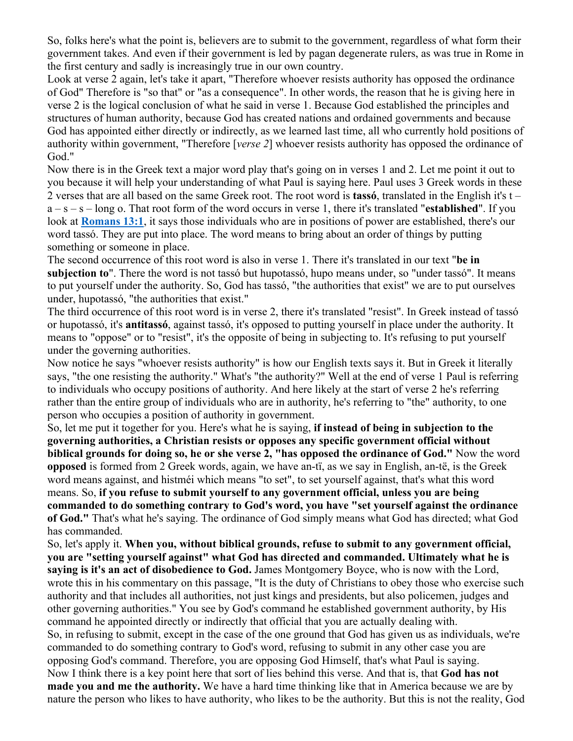So, folks here's what the point is, believers are to submit to the government, regardless of what form their government takes. And even if their government is led by pagan degenerate rulers, as was true in Rome in the first century and sadly is increasingly true in our own country.

Look at verse 2 again, let's take it apart, "Therefore whoever resists authority has opposed the ordinance of God" Therefore is "so that" or "as a consequence". In other words, the reason that he is giving here in verse 2 is the logical conclusion of what he said in verse 1. Because God established the principles and structures of human authority, because God has created nations and ordained governments and because God has appointed either directly or indirectly, as we learned last time, all who currently hold positions of authority within government, "Therefore [*verse 2*] whoever resists authority has opposed the ordinance of God."

Now there is in the Greek text a major word play that's going on in verses 1 and 2. Let me point it out to you because it will help your understanding of what Paul is saying here. Paul uses 3 Greek words in these 2 verses that are all based on the same Greek root. The root word is **tassó**, translated in the English it's t – a – s – s – long o. That root form of the word occurs in verse 1, there it's translated "**established**". If you look at **Romans 13:1**, it says those individuals who are in positions of power are established, there's our word tassó. They are put into place. The word means to bring about an order of things by putting something or someone in place.

The second occurrence of this root word is also in verse 1. There it's translated in our text "**be in subjection to**". There the word is not tassó but hupotassó, hupo means under, so "under tassó". It means to put yourself under the authority. So, God has tassó, "the authorities that exist" we are to put ourselves under, hupotassó, "the authorities that exist."

The third occurrence of this root word is in verse 2, there it's translated "resist". In Greek instead of tassó or hupotassó, it's **antitassó**, against tassó, it's opposed to putting yourself in place under the authority. It means to "oppose" or to "resist", it's the opposite of being in subjecting to. It's refusing to put yourself under the governing authorities.

Now notice he says "whoever resists authority" is how our English texts says it. But in Greek it literally says, "the one resisting the authority." What's "the authority?" Well at the end of verse 1 Paul is referring to individuals who occupy positions of authority. And here likely at the start of verse 2 he's referring rather than the entire group of individuals who are in authority, he's referring to "the" authority, to one person who occupies a position of authority in government.

So, let me put it together for you. Here's what he is saying, **if instead of being in subjection to the governing authorities, a Christian resists or opposes any specific government official without biblical grounds for doing so, he or she verse 2, "has opposed the ordinance of God."** Now the word **opposed** is formed from 2 Greek words, again, we have an-tï, as we say in English, an-të, is the Greek word means against, and histméi which means "to set", to set yourself against, that's what this word means. So, **if you refuse to submit yourself to any government official, unless you are being commanded to do something contrary to God's word, you have "set yourself against the ordinance of God."** That's what he's saying. The ordinance of God simply means what God has directed; what God has commanded.

So, let's apply it. **When you, without biblical grounds, refuse to submit to any government official, you are "setting yourself against" what God has directed and commanded. Ultimately what he is saying is it's an act of disobedience to God.** James Montgomery Boyce, who is now with the Lord, wrote this in his commentary on this passage, "It is the duty of Christians to obey those who exercise such authority and that includes all authorities, not just kings and presidents, but also policemen, judges and other governing authorities." You see by God's command he established government authority, by His command he appointed directly or indirectly that official that you are actually dealing with. So, in refusing to submit, except in the case of the one ground that God has given us as individuals, we're commanded to do something contrary to God's word, refusing to submit in any other case you are opposing God's command. Therefore, you are opposing God Himself, that's what Paul is saying. Now I think there is a key point here that sort of lies behind this verse. And that is, that **God has not made you and me the authority.** We have a hard time thinking like that in America because we are by nature the person who likes to have authority, who likes to be the authority. But this is not the reality, God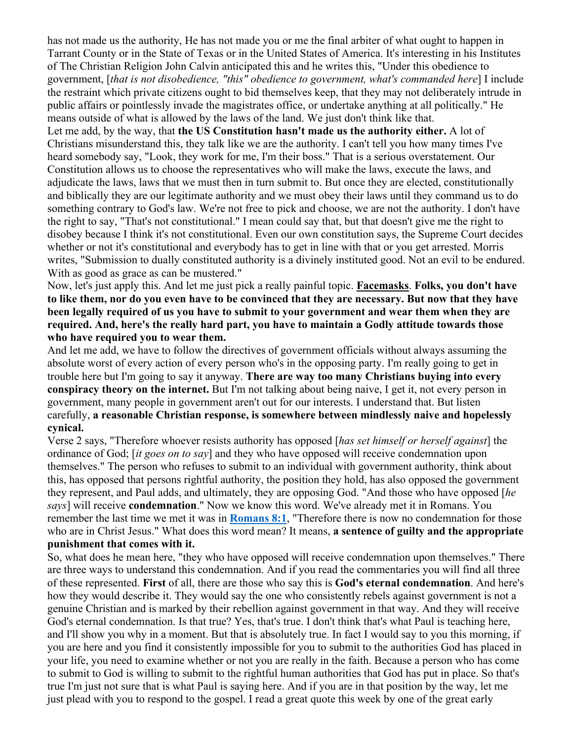has not made us the authority, He has not made you or me the final arbiter of what ought to happen in Tarrant County or in the State of Texas or in the United States of America. It's interesting in his Institutes of The Christian Religion John Calvin anticipated this and he writes this, "Under this obedience to government, [*that is not disobedience, "this" obedience to government, what's commanded here*] I include the restraint which private citizens ought to bid themselves keep, that they may not deliberately intrude in public affairs or pointlessly invade the magistrates office, or undertake anything at all politically." He means outside of what is allowed by the laws of the land. We just don't think like that.

Let me add, by the way, that **the US Constitution hasn't made us the authority either.** A lot of Christians misunderstand this, they talk like we are the authority. I can't tell you how many times I've heard somebody say, "Look, they work for me, I'm their boss." That is a serious overstatement. Our Constitution allows us to choose the representatives who will make the laws, execute the laws, and adjudicate the laws, laws that we must then in turn submit to. But once they are elected, constitutionally and biblically they are our legitimate authority and we must obey their laws until they command us to do something contrary to God's law. We're not free to pick and choose, we are not the authority. I don't have the right to say, "That's not constitutional." I mean could say that, but that doesn't give me the right to disobey because I think it's not constitutional. Even our own constitution says, the Supreme Court decides whether or not it's constitutional and everybody has to get in line with that or you get arrested. Morris writes, "Submission to dually constituted authority is a divinely instituted good. Not an evil to be endured. With as good as grace as can be mustered."

Now, let's just apply this. And let me just pick a really painful topic. **Facemasks**. **Folks, you don't have to like them, nor do you even have to be convinced that they are necessary. But now that they have been legally required of us you have to submit to your government and wear them when they are required. And, here's the really hard part, you have to maintain a Godly attitude towards those who have required you to wear them.**

And let me add, we have to follow the directives of government officials without always assuming the absolute worst of every action of every person who's in the opposing party. I'm really going to get in trouble here but I'm going to say it anyway. **There are way too many Christians buying into every conspiracy theory on the internet.** But I'm not talking about being naive, I get it, not every person in government, many people in government aren't out for our interests. I understand that. But listen carefully, **a reasonable Christian response, is somewhere between mindlessly naive and hopelessly cynical.**

Verse 2 says, "Therefore whoever resists authority has opposed [*has set himself or herself against*] the ordinance of God; [*it goes on to say*] and they who have opposed will receive condemnation upon themselves." The person who refuses to submit to an individual with government authority, think about this, has opposed that persons rightful authority, the position they hold, has also opposed the government they represent, and Paul adds, and ultimately, they are opposing God. "And those who have opposed [*he says*] will receive **condemnation**." Now we know this word. We've already met it in Romans. You remember the last time we met it was in **Romans 8:1**, "Therefore there is now no condemnation for those who are in Christ Jesus." What does this word mean? It means, **a sentence of guilty and the appropriate punishment that comes with it.**

So, what does he mean here, "they who have opposed will receive condemnation upon themselves." There are three ways to understand this condemnation. And if you read the commentaries you will find all three of these represented. **First** of all, there are those who say this is **God's eternal condemnation**. And here's how they would describe it. They would say the one who consistently rebels against government is not a genuine Christian and is marked by their rebellion against government in that way. And they will receive God's eternal condemnation. Is that true? Yes, that's true. I don't think that's what Paul is teaching here, and I'll show you why in a moment. But that is absolutely true. In fact I would say to you this morning, if you are here and you find it consistently impossible for you to submit to the authorities God has placed in your life, you need to examine whether or not you are really in the faith. Because a person who has come to submit to God is willing to submit to the rightful human authorities that God has put in place. So that's true I'm just not sure that is what Paul is saying here. And if you are in that position by the way, let me just plead with you to respond to the gospel. I read a great quote this week by one of the great early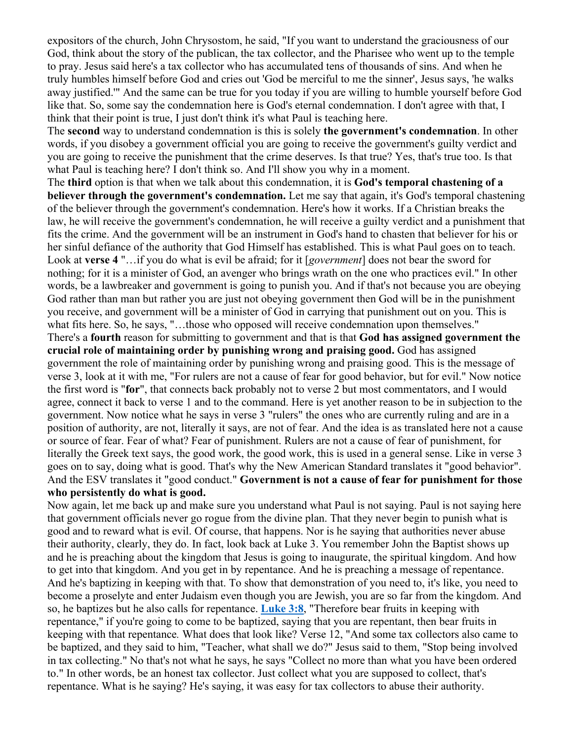expositors of the church, John Chrysostom, he said, "If you want to understand the graciousness of our God, think about the story of the publican, the tax collector, and the Pharisee who went up to the temple to pray. Jesus said here's a tax collector who has accumulated tens of thousands of sins. And when he truly humbles himself before God and cries out 'God be merciful to me the sinner', Jesus says, 'he walks away justified.'" And the same can be true for you today if you are willing to humble yourself before God like that. So, some say the condemnation here is God's eternal condemnation. I don't agree with that, I think that their point is true, I just don't think it's what Paul is teaching here.

The **second** way to understand condemnation is this is solely **the government's condemnation**. In other words, if you disobey a government official you are going to receive the government's guilty verdict and you are going to receive the punishment that the crime deserves. Is that true? Yes, that's true too. Is that what Paul is teaching here? I don't think so. And I'll show you why in a moment.

The **third** option is that when we talk about this condemnation, it is **God's temporal chastening of a believer through the government's condemnation.** Let me say that again, it's God's temporal chastening of the believer through the government's condemnation. Here's how it works. If a Christian breaks the law, he will receive the government's condemnation, he will receive a guilty verdict and a punishment that fits the crime. And the government will be an instrument in God's hand to chasten that believer for his or her sinful defiance of the authority that God Himself has established. This is what Paul goes on to teach. Look at **verse 4** "…if you do what is evil be afraid; for it [*government*] does not bear the sword for nothing; for it is a minister of God, an avenger who brings wrath on the one who practices evil." In other words, be a lawbreaker and government is going to punish you. And if that's not because you are obeying God rather than man but rather you are just not obeying government then God will be in the punishment you receive, and government will be a minister of God in carrying that punishment out on you. This is what fits here. So, he says, "...those who opposed will receive condemnation upon themselves." There's a **fourth** reason for submitting to government and that is that **God has assigned government the crucial role of maintaining order by punishing wrong and praising good.** God has assigned government the role of maintaining order by punishing wrong and praising good. This is the message of verse 3, look at it with me, "For rulers are not a cause of fear for good behavior, but for evil." Now notice the first word is "**for**", that connects back probably not to verse 2 but most commentators, and I would agree, connect it back to verse 1 and to the command. Here is yet another reason to be in subjection to the government. Now notice what he says in verse 3 "rulers" the ones who are currently ruling and are in a position of authority, are not, literally it says, are not of fear. And the idea is as translated here not a cause or source of fear. Fear of what? Fear of punishment. Rulers are not a cause of fear of punishment, for literally the Greek text says, the good work, the good work, this is used in a general sense. Like in verse 3 goes on to say, doing what is good. That's why the New American Standard translates it "good behavior". And the ESV translates it "good conduct." **Government is not a cause of fear for punishment for those who persistently do what is good.**

Now again, let me back up and make sure you understand what Paul is not saying. Paul is not saying here that government officials never go rogue from the divine plan. That they never begin to punish what is good and to reward what is evil. Of course, that happens. Nor is he saying that authorities never abuse their authority, clearly, they do. In fact, look back at Luke 3. You remember John the Baptist shows up and he is preaching about the kingdom that Jesus is going to inaugurate, the spiritual kingdom. And how to get into that kingdom. And you get in by repentance. And he is preaching a message of repentance. And he's baptizing in keeping with that. To show that demonstration of you need to, it's like, you need to become a proselyte and enter Judaism even though you are Jewish, you are so far from the kingdom. And so, he baptizes but he also calls for repentance. **Luke 3:8**, "Therefore bear fruits in keeping with repentance," if you're going to come to be baptized, saying that you are repentant, then bear fruits in keeping with that repentance*.* What does that look like? Verse 12, "And some tax collectors also came to be baptized, and they said to him, "Teacher, what shall we do?" Jesus said to them, "Stop being involved in tax collecting." No that's not what he says, he says "Collect no more than what you have been ordered to." In other words, be an honest tax collector. Just collect what you are supposed to collect, that's repentance. What is he saying? He's saying, it was easy for tax collectors to abuse their authority.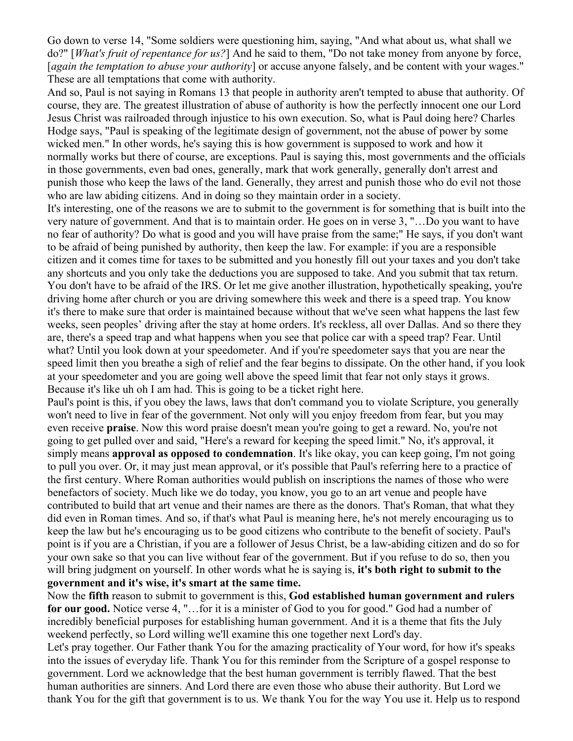Go down to verse 14, "Some soldiers were questioning him, saying, "And what about us, what shall we do?" [*What's fruit of repentance for us?*] And he said to them, "Do not take money from anyone by force, [*again the temptation to abuse your authority*] or accuse anyone falsely, and be content with your wages." These are all temptations that come with authority.

And so, Paul is not saying in Romans 13 that people in authority aren't tempted to abuse that authority. Of course, they are. The greatest illustration of abuse of authority is how the perfectly innocent one our Lord Jesus Christ was railroaded through injustice to his own execution. So, what is Paul doing here? Charles Hodge says, "Paul is speaking of the legitimate design of government, not the abuse of power by some wicked men." In other words, he's saying this is how government is supposed to work and how it normally works but there of course, are exceptions. Paul is saying this, most governments and the officials in those governments, even bad ones, generally, mark that work generally, generally don't arrest and punish those who keep the laws of the land. Generally, they arrest and punish those who do evil not those who are law abiding citizens. And in doing so they maintain order in a society.

It's interesting, one of the reasons we are to submit to the government is for something that is built into the very nature of government. And that is to maintain order. He goes on in verse 3, "…Do you want to have no fear of authority? Do what is good and you will have praise from the same;" He says, if you don't want to be afraid of being punished by authority, then keep the law. For example: if you are a responsible citizen and it comes time for taxes to be submitted and you honestly fill out your taxes and you don't take any shortcuts and you only take the deductions you are supposed to take. And you submit that tax return. You don't have to be afraid of the IRS. Or let me give another illustration, hypothetically speaking, you're driving home after church or you are driving somewhere this week and there is a speed trap. You know it's there to make sure that order is maintained because without that we've seen what happens the last few weeks, seen peoples' driving after the stay at home orders. It's reckless, all over Dallas. And so there they are, there's a speed trap and what happens when you see that police car with a speed trap? Fear. Until what? Until you look down at your speedometer. And if you're speedometer says that you are near the speed limit then you breathe a sigh of relief and the fear begins to dissipate. On the other hand, if you look at your speedometer and you are going well above the speed limit that fear not only stays it grows. Because it's like uh oh I am had. This is going to be a ticket right here.

Paul's point is this, if you obey the laws, laws that don't command you to violate Scripture, you generally won't need to live in fear of the government. Not only will you enjoy freedom from fear, but you may even receive **praise**. Now this word praise doesn't mean you're going to get a reward. No, you're not going to get pulled over and said, "Here's a reward for keeping the speed limit." No, it's approval, it simply means **approval as opposed to condemnation**. It's like okay, you can keep going, I'm not going to pull you over. Or, it may just mean approval, or it's possible that Paul's referring here to a practice of the first century. Where Roman authorities would publish on inscriptions the names of those who were benefactors of society. Much like we do today, you know, you go to an art venue and people have contributed to build that art venue and their names are there as the donors. That's Roman, that what they did even in Roman times. And so, if that's what Paul is meaning here, he's not merely encouraging us to keep the law but he's encouraging us to be good citizens who contribute to the benefit of society. Paul's point is if you are a Christian, if you are a follower of Jesus Christ, be a law-abiding citizen and do so for your own sake so that you can live without fear of the government. But if you refuse to do so, then you will bring judgment on yourself. In other words what he is saying is, **it's both right to submit to the government and it's wise, it's smart at the same time.**

Now the **fifth** reason to submit to government is this, **God established human government and rulers for our good.** Notice verse 4, "…for it is a minister of God to you for good." God had a number of incredibly beneficial purposes for establishing human government. And it is a theme that fits the July weekend perfectly, so Lord willing we'll examine this one together next Lord's day.

Let's pray together. Our Father thank You for the amazing practicality of Your word, for how it's speaks into the issues of everyday life. Thank You for this reminder from the Scripture of a gospel response to government. Lord we acknowledge that the best human government is terribly flawed. That the best human authorities are sinners. And Lord there are even those who abuse their authority. But Lord we thank You for the gift that government is to us. We thank You for the way You use it. Help us to respond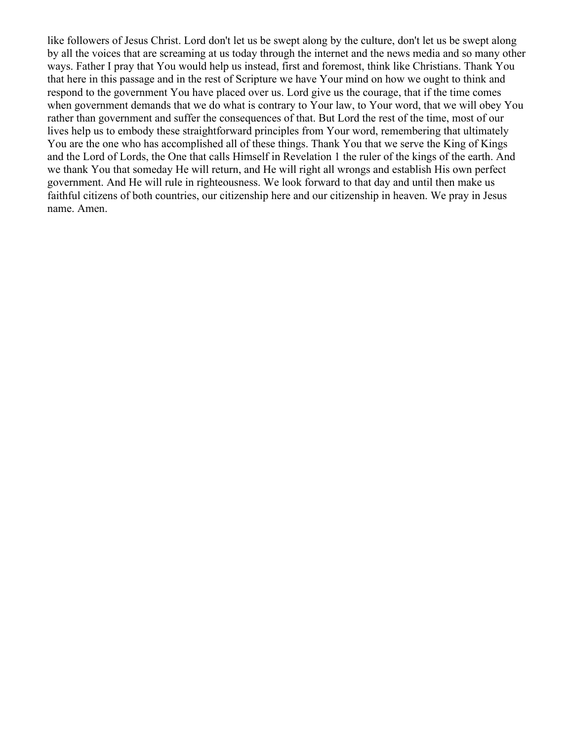like followers of Jesus Christ. Lord don't let us be swept along by the culture, don't let us be swept along by all the voices that are screaming at us today through the internet and the news media and so many other ways. Father I pray that You would help us instead, first and foremost, think like Christians. Thank You that here in this passage and in the rest of Scripture we have Your mind on how we ought to think and respond to the government You have placed over us. Lord give us the courage, that if the time comes when government demands that we do what is contrary to Your law, to Your word, that we will obey You rather than government and suffer the consequences of that. But Lord the rest of the time, most of our lives help us to embody these straightforward principles from Your word, remembering that ultimately You are the one who has accomplished all of these things. Thank You that we serve the King of Kings and the Lord of Lords, the One that calls Himself in Revelation 1 the ruler of the kings of the earth. And we thank You that someday He will return, and He will right all wrongs and establish His own perfect government. And He will rule in righteousness. We look forward to that day and until then make us faithful citizens of both countries, our citizenship here and our citizenship in heaven. We pray in Jesus name. Amen.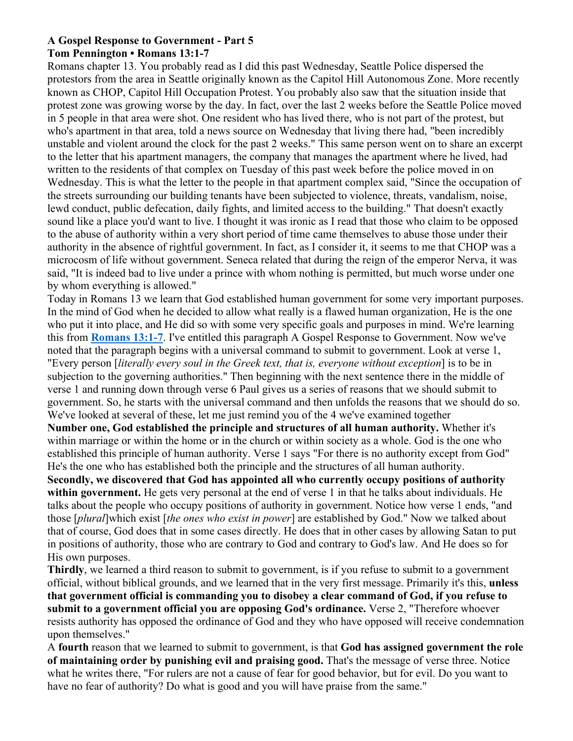#### **A Gospel Response to Government - Part 5 Tom Pennington • Romans 13:1-7**

Romans chapter 13. You probably read as I did this past Wednesday, Seattle Police dispersed the protestors from the area in Seattle originally known as the Capitol Hill Autonomous Zone. More recently known as CHOP, Capitol Hill Occupation Protest. You probably also saw that the situation inside that protest zone was growing worse by the day. In fact, over the last 2 weeks before the Seattle Police moved in 5 people in that area were shot. One resident who has lived there, who is not part of the protest, but who's apartment in that area, told a news source on Wednesday that living there had, "been incredibly unstable and violent around the clock for the past 2 weeks." This same person went on to share an excerpt to the letter that his apartment managers, the company that manages the apartment where he lived, had written to the residents of that complex on Tuesday of this past week before the police moved in on Wednesday. This is what the letter to the people in that apartment complex said, "Since the occupation of the streets surrounding our building tenants have been subjected to violence, threats, vandalism, noise, lewd conduct, public defecation, daily fights, and limited access to the building." That doesn't exactly sound like a place you'd want to live. I thought it was ironic as I read that those who claim to be opposed to the abuse of authority within a very short period of time came themselves to abuse those under their authority in the absence of rightful government. In fact, as I consider it, it seems to me that CHOP was a microcosm of life without government. Seneca related that during the reign of the emperor Nerva, it was said, "It is indeed bad to live under a prince with whom nothing is permitted, but much worse under one by whom everything is allowed."

Today in Romans 13 we learn that God established human government for some very important purposes. In the mind of God when he decided to allow what really is a flawed human organization, He is the one who put it into place, and He did so with some very specific goals and purposes in mind. We're learning this from **Romans 13:1-7**. I've entitled this paragraph A Gospel Response to Government. Now we've noted that the paragraph begins with a universal command to submit to government. Look at verse 1, "Every person [*literally every soul in the Greek text, that is, everyone without exception*] is to be in subjection to the governing authorities." Then beginning with the next sentence there in the middle of verse 1 and running down through verse 6 Paul gives us a series of reasons that we should submit to government. So, he starts with the universal command and then unfolds the reasons that we should do so. We've looked at several of these, let me just remind you of the 4 we've examined together

**Number one, God established the principle and structures of all human authority.** Whether it's within marriage or within the home or in the church or within society as a whole. God is the one who established this principle of human authority. Verse 1 says "For there is no authority except from God" He's the one who has established both the principle and the structures of all human authority.

**Secondly, we discovered that God has appointed all who currently occupy positions of authority within government.** He gets very personal at the end of verse 1 in that he talks about individuals. He talks about the people who occupy positions of authority in government. Notice how verse 1 ends, "and those [*plural*]which exist [*the ones who exist in power*] are established by God." Now we talked about that of course, God does that in some cases directly. He does that in other cases by allowing Satan to put in positions of authority, those who are contrary to God and contrary to God's law. And He does so for His own purposes.

**Thirdly**, we learned a third reason to submit to government, is if you refuse to submit to a government official, without biblical grounds, and we learned that in the very first message. Primarily it's this, **unless that government official is commanding you to disobey a clear command of God, if you refuse to submit to a government official you are opposing God's ordinance.** Verse 2, "Therefore whoever resists authority has opposed the ordinance of God and they who have opposed will receive condemnation upon themselves."

A **fourth** reason that we learned to submit to government, is that **God has assigned government the role of maintaining order by punishing evil and praising good.** That's the message of verse three. Notice what he writes there, "For rulers are not a cause of fear for good behavior, but for evil. Do you want to have no fear of authority? Do what is good and you will have praise from the same."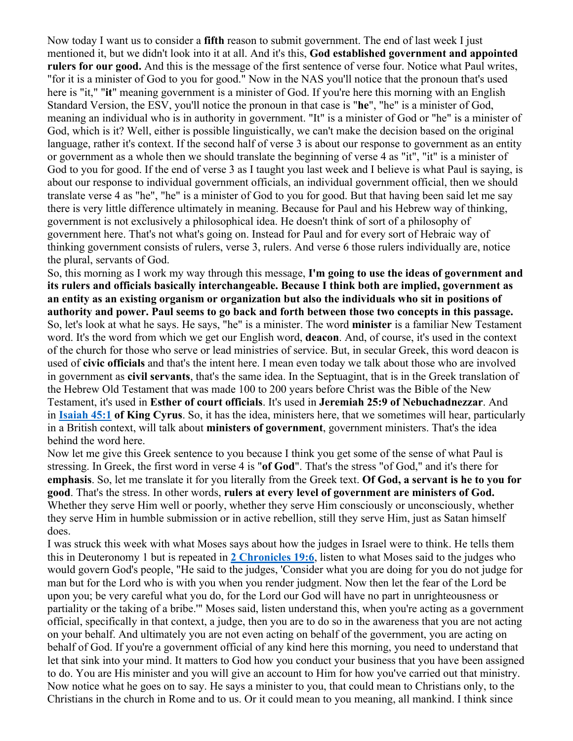Now today I want us to consider a **fifth** reason to submit government. The end of last week I just mentioned it, but we didn't look into it at all. And it's this, **God established government and appointed rulers for our good.** And this is the message of the first sentence of verse four. Notice what Paul writes, "for it is a minister of God to you for good." Now in the NAS you'll notice that the pronoun that's used here is "it," "**it**" meaning government is a minister of God. If you're here this morning with an English Standard Version, the ESV, you'll notice the pronoun in that case is "**he**", "he" is a minister of God, meaning an individual who is in authority in government. "It" is a minister of God or "he" is a minister of God, which is it? Well, either is possible linguistically, we can't make the decision based on the original language, rather it's context. If the second half of verse 3 is about our response to government as an entity or government as a whole then we should translate the beginning of verse 4 as "it", "it" is a minister of God to you for good. If the end of verse 3 as I taught you last week and I believe is what Paul is saying, is about our response to individual government officials, an individual government official, then we should translate verse 4 as "he", "he" is a minister of God to you for good. But that having been said let me say there is very little difference ultimately in meaning. Because for Paul and his Hebrew way of thinking, government is not exclusively a philosophical idea. He doesn't think of sort of a philosophy of government here. That's not what's going on. Instead for Paul and for every sort of Hebraic way of thinking government consists of rulers, verse 3, rulers. And verse 6 those rulers individually are, notice the plural, servants of God.

So, this morning as I work my way through this message, **I'm going to use the ideas of government and its rulers and officials basically interchangeable. Because I think both are implied, government as an entity as an existing organism or organization but also the individuals who sit in positions of authority and power. Paul seems to go back and forth between those two concepts in this passage.** So, let's look at what he says. He says, "he" is a minister. The word **minister** is a familiar New Testament word. It's the word from which we get our English word, **deacon**. And, of course, it's used in the context of the church for those who serve or lead ministries of service. But, in secular Greek, this word deacon is used of **civic officials** and that's the intent here. I mean even today we talk about those who are involved in government as **civil servants**, that's the same idea. In the Septuagint, that is in the Greek translation of the Hebrew Old Testament that was made 100 to 200 years before Christ was the Bible of the New Testament, it's used in **Esther of court officials**. It's used in **Jeremiah 25:9 of Nebuchadnezzar**. And in **Isaiah 45:1 of King Cyrus**. So, it has the idea, ministers here, that we sometimes will hear, particularly in a British context, will talk about **ministers of government**, government ministers. That's the idea behind the word here.

Now let me give this Greek sentence to you because I think you get some of the sense of what Paul is stressing. In Greek, the first word in verse 4 is "**of God**". That's the stress "of God," and it's there for **emphasis**. So, let me translate it for you literally from the Greek text. **Of God, a servant is he to you for good**. That's the stress. In other words, **rulers at every level of government are ministers of God.** Whether they serve Him well or poorly, whether they serve Him consciously or unconsciously, whether they serve Him in humble submission or in active rebellion, still they serve Him, just as Satan himself does.

I was struck this week with what Moses says about how the judges in Israel were to think. He tells them this in Deuteronomy 1 but is repeated in **2 Chronicles 19:6**, listen to what Moses said to the judges who would govern God's people, "He said to the judges, 'Consider what you are doing for you do not judge for man but for the Lord who is with you when you render judgment. Now then let the fear of the Lord be upon you; be very careful what you do, for the Lord our God will have no part in unrighteousness or partiality or the taking of a bribe.'" Moses said, listen understand this, when you're acting as a government official, specifically in that context, a judge, then you are to do so in the awareness that you are not acting on your behalf. And ultimately you are not even acting on behalf of the government, you are acting on behalf of God. If you're a government official of any kind here this morning, you need to understand that let that sink into your mind. It matters to God how you conduct your business that you have been assigned to do. You are His minister and you will give an account to Him for how you've carried out that ministry. Now notice what he goes on to say. He says a minister to you, that could mean to Christians only, to the Christians in the church in Rome and to us. Or it could mean to you meaning, all mankind. I think since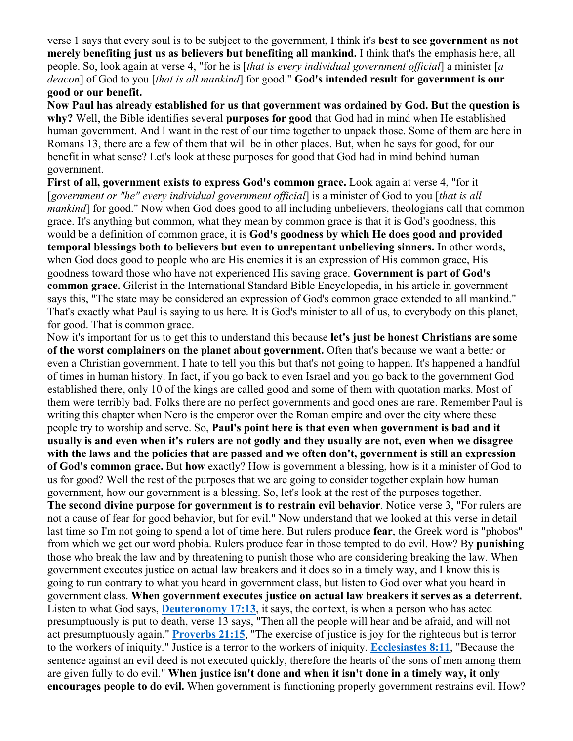verse 1 says that every soul is to be subject to the government, I think it's **best to see government as not merely benefiting just us as believers but benefiting all mankind.** I think that's the emphasis here, all people. So, look again at verse 4, "for he is [*that is every individual government official*] a minister [*a deacon*] of God to you [*that is all mankind*] for good." **God's intended result for government is our good or our benefit.**

**Now Paul has already established for us that government was ordained by God. But the question is why?** Well, the Bible identifies several **purposes for good** that God had in mind when He established human government. And I want in the rest of our time together to unpack those. Some of them are here in Romans 13, there are a few of them that will be in other places. But, when he says for good, for our benefit in what sense? Let's look at these purposes for good that God had in mind behind human government.

**First of all, government exists to express God's common grace.** Look again at verse 4, "for it [*government or "he" every individual government official*] is a minister of God to you [*that is all mankind* for good." Now when God does good to all including unbelievers, theologians call that common grace. It's anything but common, what they mean by common grace is that it is God's goodness, this would be a definition of common grace, it is **God's goodness by which He does good and provided temporal blessings both to believers but even to unrepentant unbelieving sinners.** In other words, when God does good to people who are His enemies it is an expression of His common grace, His goodness toward those who have not experienced His saving grace. **Government is part of God's common grace.** Gilcrist in the International Standard Bible Encyclopedia, in his article in government says this, "The state may be considered an expression of God's common grace extended to all mankind." That's exactly what Paul is saying to us here. It is God's minister to all of us, to everybody on this planet, for good. That is common grace.

Now it's important for us to get this to understand this because **let's just be honest Christians are some of the worst complainers on the planet about government.** Often that's because we want a better or even a Christian government. I hate to tell you this but that's not going to happen. It's happened a handful of times in human history. In fact, if you go back to even Israel and you go back to the government God established there, only 10 of the kings are called good and some of them with quotation marks. Most of them were terribly bad. Folks there are no perfect governments and good ones are rare. Remember Paul is writing this chapter when Nero is the emperor over the Roman empire and over the city where these people try to worship and serve. So, **Paul's point here is that even when government is bad and it usually is and even when it's rulers are not godly and they usually are not, even when we disagree with the laws and the policies that are passed and we often don't, government is still an expression of God's common grace.** But **how** exactly? How is government a blessing, how is it a minister of God to us for good? Well the rest of the purposes that we are going to consider together explain how human government, how our government is a blessing. So, let's look at the rest of the purposes together. **The second divine purpose for government is to restrain evil behavior**. Notice verse 3, "For rulers are not a cause of fear for good behavior, but for evil." Now understand that we looked at this verse in detail last time so I'm not going to spend a lot of time here. But rulers produce **fear**, the Greek word is "phobos" from which we get our word phobia. Rulers produce fear in those tempted to do evil. How? By **punishing** those who break the law and by threatening to punish those who are considering breaking the law. When government executes justice on actual law breakers and it does so in a timely way, and I know this is going to run contrary to what you heard in government class, but listen to God over what you heard in government class. **When government executes justice on actual law breakers it serves as a deterrent.** Listen to what God says, **Deuteronomy 17:13**, it says, the context, is when a person who has acted presumptuously is put to death, verse 13 says, "Then all the people will hear and be afraid, and will not act presumptuously again." **Proverbs 21:15**, "The exercise of justice is joy for the righteous but is terror to the workers of iniquity." Justice is a terror to the workers of iniquity. **Ecclesiastes 8:11**, "Because the sentence against an evil deed is not executed quickly, therefore the hearts of the sons of men among them are given fully to do evil." **When justice isn't done and when it isn't done in a timely way, it only encourages people to do evil.** When government is functioning properly government restrains evil. How?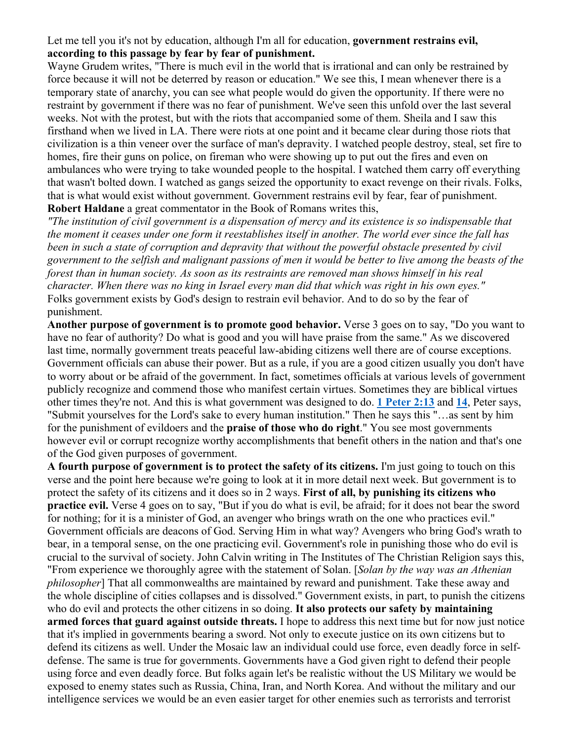# Let me tell you it's not by education, although I'm all for education, **government restrains evil, according to this passage by fear by fear of punishment.**

Wayne Grudem writes, "There is much evil in the world that is irrational and can only be restrained by force because it will not be deterred by reason or education." We see this, I mean whenever there is a temporary state of anarchy, you can see what people would do given the opportunity. If there were no restraint by government if there was no fear of punishment. We've seen this unfold over the last several weeks. Not with the protest, but with the riots that accompanied some of them. Sheila and I saw this firsthand when we lived in LA. There were riots at one point and it became clear during those riots that civilization is a thin veneer over the surface of man's depravity. I watched people destroy, steal, set fire to homes, fire their guns on police, on fireman who were showing up to put out the fires and even on ambulances who were trying to take wounded people to the hospital. I watched them carry off everything that wasn't bolted down. I watched as gangs seized the opportunity to exact revenge on their rivals. Folks, that is what would exist without government. Government restrains evil by fear, fear of punishment. **Robert Haldane** a great commentator in the Book of Romans writes this,

*"The institution of civil government is a dispensation of mercy and its existence is so indispensable that the moment it ceases under one form it reestablishes itself in another. The world ever since the fall has been in such a state of corruption and depravity that without the powerful obstacle presented by civil government to the selfish and malignant passions of men it would be better to live among the beasts of the forest than in human society. As soon as its restraints are removed man shows himself in his real character. When there was no king in Israel every man did that which was right in his own eyes."* Folks government exists by God's design to restrain evil behavior. And to do so by the fear of punishment.

**Another purpose of government is to promote good behavior.** Verse 3 goes on to say, "Do you want to have no fear of authority? Do what is good and you will have praise from the same." As we discovered last time, normally government treats peaceful law-abiding citizens well there are of course exceptions. Government officials can abuse their power. But as a rule, if you are a good citizen usually you don't have to worry about or be afraid of the government. In fact, sometimes officials at various levels of government publicly recognize and commend those who manifest certain virtues. Sometimes they are biblical virtues other times they're not. And this is what government was designed to do. **1 Peter 2:13** and **14**, Peter says, "Submit yourselves for the Lord's sake to every human institution." Then he says this "…as sent by him for the punishment of evildoers and the **praise of those who do right**." You see most governments however evil or corrupt recognize worthy accomplishments that benefit others in the nation and that's one of the God given purposes of government.

**A fourth purpose of government is to protect the safety of its citizens.** I'm just going to touch on this verse and the point here because we're going to look at it in more detail next week. But government is to protect the safety of its citizens and it does so in 2 ways. **First of all, by punishing its citizens who practice evil.** Verse 4 goes on to say, "But if you do what is evil, be afraid; for it does not bear the sword for nothing; for it is a minister of God, an avenger who brings wrath on the one who practices evil." Government officials are deacons of God. Serving Him in what way? Avengers who bring God's wrath to bear, in a temporal sense, on the one practicing evil. Government's role in punishing those who do evil is crucial to the survival of society. John Calvin writing in The Institutes of The Christian Religion says this, "From experience we thoroughly agree with the statement of Solan. [*Solan by the way was an Athenian philosopher*] That all commonwealths are maintained by reward and punishment. Take these away and the whole discipline of cities collapses and is dissolved." Government exists, in part, to punish the citizens who do evil and protects the other citizens in so doing. **It also protects our safety by maintaining armed forces that guard against outside threats.** I hope to address this next time but for now just notice that it's implied in governments bearing a sword. Not only to execute justice on its own citizens but to defend its citizens as well. Under the Mosaic law an individual could use force, even deadly force in selfdefense. The same is true for governments. Governments have a God given right to defend their people using force and even deadly force. But folks again let's be realistic without the US Military we would be exposed to enemy states such as Russia, China, Iran, and North Korea. And without the military and our intelligence services we would be an even easier target for other enemies such as terrorists and terrorist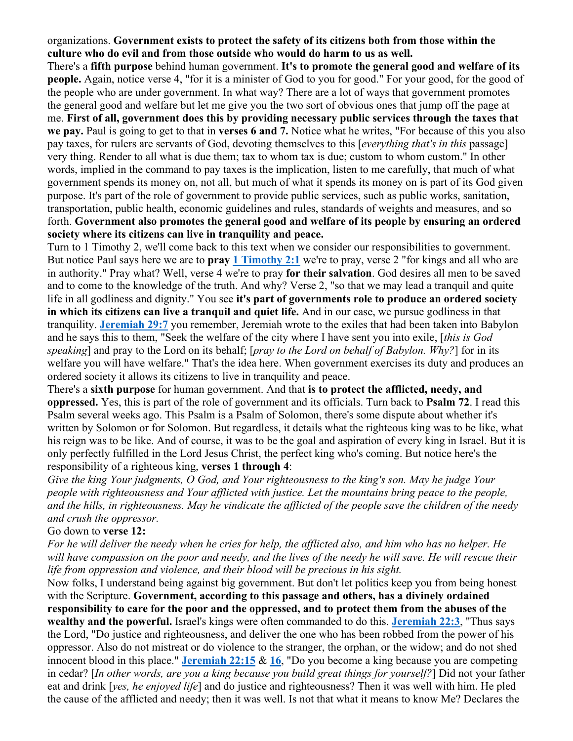# organizations. **Government exists to protect the safety of its citizens both from those within the culture who do evil and from those outside who would do harm to us as well.**

There's a **fifth purpose** behind human government. **It's to promote the general good and welfare of its people.** Again, notice verse 4, "for it is a minister of God to you for good." For your good, for the good of the people who are under government. In what way? There are a lot of ways that government promotes the general good and welfare but let me give you the two sort of obvious ones that jump off the page at me. **First of all, government does this by providing necessary public services through the taxes that we pay.** Paul is going to get to that in **verses 6 and 7.** Notice what he writes, "For because of this you also pay taxes, for rulers are servants of God, devoting themselves to this [*everything that's in this* passage] very thing. Render to all what is due them; tax to whom tax is due; custom to whom custom." In other words, implied in the command to pay taxes is the implication, listen to me carefully, that much of what government spends its money on, not all, but much of what it spends its money on is part of its God given purpose. It's part of the role of government to provide public services, such as public works, sanitation, transportation, public health, economic guidelines and rules, standards of weights and measures, and so forth. **Government also promotes the general good and welfare of its people by ensuring an ordered society where its citizens can live in tranquility and peace.**

Turn to 1 Timothy 2, we'll come back to this text when we consider our responsibilities to government. But notice Paul says here we are to **pray 1 Timothy 2:1** we're to pray, verse 2 "for kings and all who are in authority." Pray what? Well, verse 4 we're to pray **for their salvation**. God desires all men to be saved and to come to the knowledge of the truth. And why? Verse 2, "so that we may lead a tranquil and quite life in all godliness and dignity." You see **it's part of governments role to produce an ordered society in which its citizens can live a tranquil and quiet life.** And in our case, we pursue godliness in that tranquility. **Jeremiah 29:7** you remember, Jeremiah wrote to the exiles that had been taken into Babylon and he says this to them, "Seek the welfare of the city where I have sent you into exile, [*this is God speaking*] and pray to the Lord on its behalf; [*pray to the Lord on behalf of Babylon. Why?*] for in its welfare you will have welfare." That's the idea here. When government exercises its duty and produces an ordered society it allows its citizens to live in tranquility and peace.

There's a **sixth purpose** for human government. And that **is to protect the afflicted, needy, and oppressed.** Yes, this is part of the role of government and its officials. Turn back to **Psalm 72**. I read this Psalm several weeks ago. This Psalm is a Psalm of Solomon, there's some dispute about whether it's written by Solomon or for Solomon. But regardless, it details what the righteous king was to be like, what his reign was to be like. And of course, it was to be the goal and aspiration of every king in Israel. But it is only perfectly fulfilled in the Lord Jesus Christ, the perfect king who's coming. But notice here's the responsibility of a righteous king, **verses 1 through 4**:

*Give the king Your judgments, O God, and Your righteousness to the king's son. May he judge Your people with righteousness and Your afflicted with justice. Let the mountains bring peace to the people, and the hills, in righteousness. May he vindicate the afflicted of the people save the children of the needy and crush the oppressor.*

## Go down to **verse 12:**

*For he will deliver the needy when he cries for help, the afflicted also, and him who has no helper. He will have compassion on the poor and needy, and the lives of the needy he will save. He will rescue their life from oppression and violence, and their blood will be precious in his sight.*

Now folks, I understand being against big government. But don't let politics keep you from being honest with the Scripture. **Government, according to this passage and others, has a divinely ordained responsibility to care for the poor and the oppressed, and to protect them from the abuses of the wealthy and the powerful.** Israel's kings were often commanded to do this. **Jeremiah 22:3**, "Thus says the Lord, "Do justice and righteousness, and deliver the one who has been robbed from the power of his oppressor. Also do not mistreat or do violence to the stranger, the orphan, or the widow; and do not shed innocent blood in this place." **Jeremiah 22:15** & **16**, "Do you become a king because you are competing in cedar? [*In other words, are you a king because you build great things for yourself?*] Did not your father eat and drink [*yes, he enjoyed life*] and do justice and righteousness? Then it was well with him. He pled the cause of the afflicted and needy; then it was well. Is not that what it means to know Me? Declares the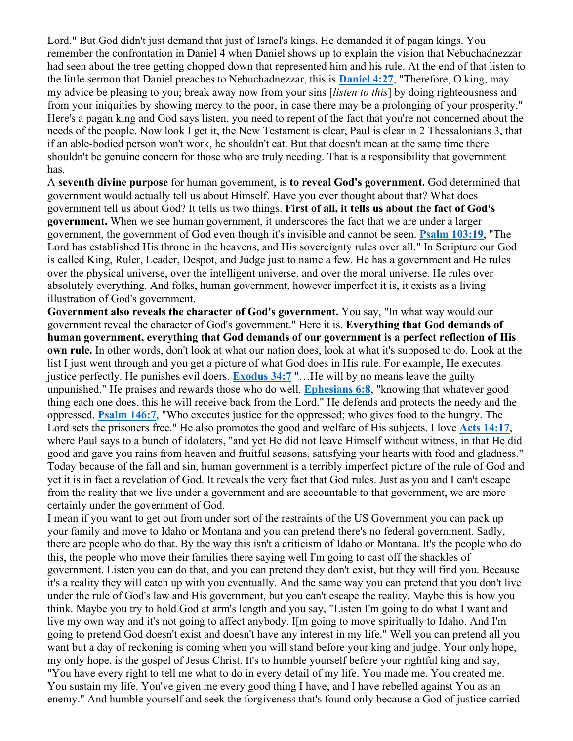Lord." But God didn't just demand that just of Israel's kings, He demanded it of pagan kings. You remember the confrontation in Daniel 4 when Daniel shows up to explain the vision that Nebuchadnezzar had seen about the tree getting chopped down that represented him and his rule. At the end of that listen to the little sermon that Daniel preaches to Nebuchadnezzar, this is **Daniel 4:27**, "Therefore, O king, may my advice be pleasing to you; break away now from your sins [*listen to this*] by doing righteousness and from your iniquities by showing mercy to the poor, in case there may be a prolonging of your prosperity." Here's a pagan king and God says listen, you need to repent of the fact that you're not concerned about the needs of the people. Now look I get it, the New Testament is clear, Paul is clear in 2 Thessalonians 3, that if an able-bodied person won't work, he shouldn't eat. But that doesn't mean at the same time there shouldn't be genuine concern for those who are truly needing. That is a responsibility that government has.

A **seventh divine purpose** for human government, is **to reveal God's government.** God determined that government would actually tell us about Himself. Have you ever thought about that? What does government tell us about God? It tells us two things. **First of all, it tells us about the fact of God's government.** When we see human government, it underscores the fact that we are under a larger government, the government of God even though it's invisible and cannot be seen. **Psalm 103:19**, "The Lord has established His throne in the heavens, and His sovereignty rules over all." In Scripture our God is called King, Ruler, Leader, Despot, and Judge just to name a few. He has a government and He rules over the physical universe, over the intelligent universe, and over the moral universe. He rules over absolutely everything. And folks, human government, however imperfect it is, it exists as a living illustration of God's government.

**Government also reveals the character of God's government.** You say, "In what way would our government reveal the character of God's government." Here it is. **Everything that God demands of human government, everything that God demands of our government is a perfect reflection of His own rule.** In other words, don't look at what our nation does, look at what it's supposed to do. Look at the list I just went through and you get a picture of what God does in His rule. For example, He executes justice perfectly. He punishes evil doers. **Exodus 34:7** "...He will by no means leave the guilty unpunished." He praises and rewards those who do well. **Ephesians 6:8**, "knowing that whatever good thing each one does, this he will receive back from the Lord." He defends and protects the needy and the oppressed. **Psalm 146:7**, "Who executes justice for the oppressed; who gives food to the hungry. The Lord sets the prisoners free." He also promotes the good and welfare of His subjects. I love **Acts 14:17**, where Paul says to a bunch of idolaters, "and yet He did not leave Himself without witness, in that He did good and gave you rains from heaven and fruitful seasons, satisfying your hearts with food and gladness." Today because of the fall and sin, human government is a terribly imperfect picture of the rule of God and yet it is in fact a revelation of God. It reveals the very fact that God rules. Just as you and I can't escape from the reality that we live under a government and are accountable to that government, we are more certainly under the government of God.

I mean if you want to get out from under sort of the restraints of the US Government you can pack up your family and move to Idaho or Montana and you can pretend there's no federal government. Sadly, there are people who do that. By the way this isn't a criticism of Idaho or Montana. It's the people who do this, the people who move their families there saying well I'm going to cast off the shackles of government. Listen you can do that, and you can pretend they don't exist, but they will find you. Because it's a reality they will catch up with you eventually. And the same way you can pretend that you don't live under the rule of God's law and His government, but you can't escape the reality. Maybe this is how you think. Maybe you try to hold God at arm's length and you say, "Listen I'm going to do what I want and live my own way and it's not going to affect anybody. I[m going to move spiritually to Idaho. And I'm going to pretend God doesn't exist and doesn't have any interest in my life." Well you can pretend all you want but a day of reckoning is coming when you will stand before your king and judge. Your only hope, my only hope, is the gospel of Jesus Christ. It's to humble yourself before your rightful king and say, "You have every right to tell me what to do in every detail of my life. You made me. You created me. You sustain my life. You've given me every good thing I have, and I have rebelled against You as an enemy." And humble yourself and seek the forgiveness that's found only because a God of justice carried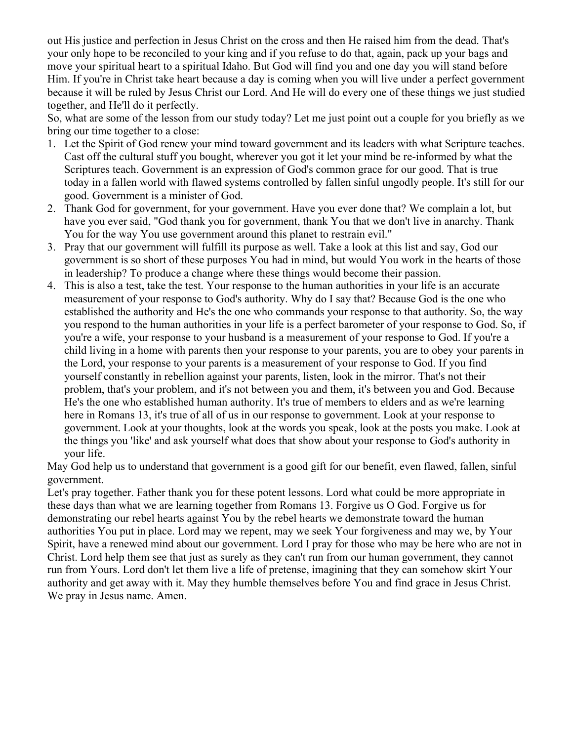out His justice and perfection in Jesus Christ on the cross and then He raised him from the dead. That's your only hope to be reconciled to your king and if you refuse to do that, again, pack up your bags and move your spiritual heart to a spiritual Idaho. But God will find you and one day you will stand before Him. If you're in Christ take heart because a day is coming when you will live under a perfect government because it will be ruled by Jesus Christ our Lord. And He will do every one of these things we just studied together, and He'll do it perfectly.

So, what are some of the lesson from our study today? Let me just point out a couple for you briefly as we bring our time together to a close:

- 1. Let the Spirit of God renew your mind toward government and its leaders with what Scripture teaches. Cast off the cultural stuff you bought, wherever you got it let your mind be re-informed by what the Scriptures teach. Government is an expression of God's common grace for our good. That is true today in a fallen world with flawed systems controlled by fallen sinful ungodly people. It's still for our good. Government is a minister of God.
- 2. Thank God for government, for your government. Have you ever done that? We complain a lot, but have you ever said, "God thank you for government, thank You that we don't live in anarchy. Thank You for the way You use government around this planet to restrain evil."
- 3. Pray that our government will fulfill its purpose as well. Take a look at this list and say, God our government is so short of these purposes You had in mind, but would You work in the hearts of those in leadership? To produce a change where these things would become their passion.
- 4. This is also a test, take the test. Your response to the human authorities in your life is an accurate measurement of your response to God's authority. Why do I say that? Because God is the one who established the authority and He's the one who commands your response to that authority. So, the way you respond to the human authorities in your life is a perfect barometer of your response to God. So, if you're a wife, your response to your husband is a measurement of your response to God. If you're a child living in a home with parents then your response to your parents, you are to obey your parents in the Lord, your response to your parents is a measurement of your response to God. If you find yourself constantly in rebellion against your parents, listen, look in the mirror. That's not their problem, that's your problem, and it's not between you and them, it's between you and God. Because He's the one who established human authority. It's true of members to elders and as we're learning here in Romans 13, it's true of all of us in our response to government. Look at your response to government. Look at your thoughts, look at the words you speak, look at the posts you make. Look at the things you 'like' and ask yourself what does that show about your response to God's authority in your life.

May God help us to understand that government is a good gift for our benefit, even flawed, fallen, sinful government.

Let's pray together. Father thank you for these potent lessons. Lord what could be more appropriate in these days than what we are learning together from Romans 13. Forgive us O God. Forgive us for demonstrating our rebel hearts against You by the rebel hearts we demonstrate toward the human authorities You put in place. Lord may we repent, may we seek Your forgiveness and may we, by Your Spirit, have a renewed mind about our government. Lord I pray for those who may be here who are not in Christ. Lord help them see that just as surely as they can't run from our human government, they cannot run from Yours. Lord don't let them live a life of pretense, imagining that they can somehow skirt Your authority and get away with it. May they humble themselves before You and find grace in Jesus Christ. We pray in Jesus name. Amen.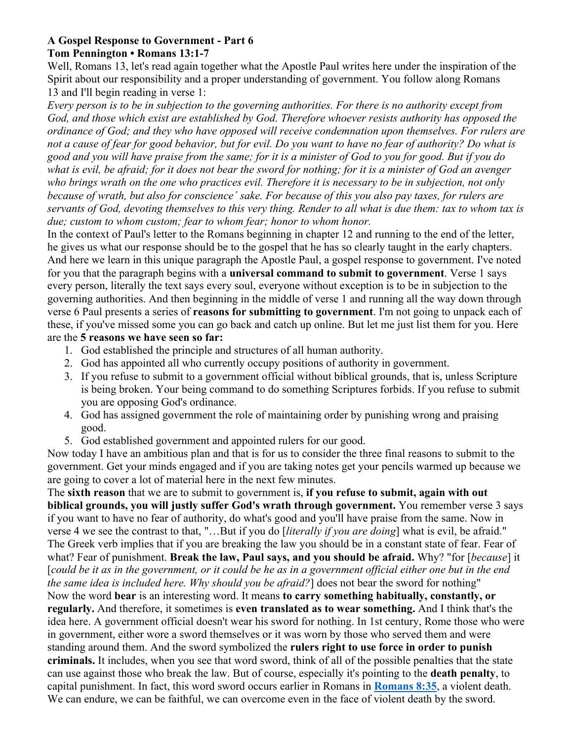#### **A Gospel Response to Government - Part 6 Tom Pennington • Romans 13:1-7**

Well, Romans 13, let's read again together what the Apostle Paul writes here under the inspiration of the Spirit about our responsibility and a proper understanding of government. You follow along Romans 13 and I'll begin reading in verse 1:

*Every person is to be in subjection to the governing authorities. For there is no authority except from God, and those which exist are established by God. Therefore whoever resists authority has opposed the ordinance of God; and they who have opposed will receive condemnation upon themselves. For rulers are not a cause of fear for good behavior, but for evil. Do you want to have no fear of authority? Do what is good and you will have praise from the same; for it is a minister of God to you for good. But if you do what is evil, be afraid; for it does not bear the sword for nothing; for it is a minister of God an avenger who brings wrath on the one who practices evil. Therefore it is necessary to be in subjection, not only because of wrath, but also for conscience´ sake. For because of this you also pay taxes, for rulers are servants of God, devoting themselves to this very thing. Render to all what is due them: tax to whom tax is due; custom to whom custom; fear to whom fear; honor to whom honor.*

In the context of Paul's letter to the Romans beginning in chapter 12 and running to the end of the letter, he gives us what our response should be to the gospel that he has so clearly taught in the early chapters. And here we learn in this unique paragraph the Apostle Paul, a gospel response to government. I've noted for you that the paragraph begins with a **universal command to submit to government**. Verse 1 says every person, literally the text says every soul, everyone without exception is to be in subjection to the governing authorities. And then beginning in the middle of verse 1 and running all the way down through verse 6 Paul presents a series of **reasons for submitting to government**. I'm not going to unpack each of these, if you've missed some you can go back and catch up online. But let me just list them for you. Here are the **5 reasons we have seen so far:**

- 1. God established the principle and structures of all human authority.
- 2. God has appointed all who currently occupy positions of authority in government.
- 3. If you refuse to submit to a government official without biblical grounds, that is, unless Scripture is being broken. Your being command to do something Scriptures forbids. If you refuse to submit you are opposing God's ordinance.
- 4. God has assigned government the role of maintaining order by punishing wrong and praising good.
- 5. God established government and appointed rulers for our good.

Now today I have an ambitious plan and that is for us to consider the three final reasons to submit to the government. Get your minds engaged and if you are taking notes get your pencils warmed up because we are going to cover a lot of material here in the next few minutes.

The **sixth reason** that we are to submit to government is, **if you refuse to submit, again with out biblical grounds, you will justly suffer God's wrath through government.** You remember verse 3 says if you want to have no fear of authority, do what's good and you'll have praise from the same. Now in verse 4 we see the contrast to that, "…But if you do [*literally if you are doing*] what is evil, be afraid." The Greek verb implies that if you are breaking the law you should be in a constant state of fear. Fear of what? Fear of punishment. **Break the law, Paul says, and you should be afraid.** Why? "for [*because*] it [*could be it as in the government, or it could be he as in a government official either one but in the end the same idea is included here. Why should you be afraid?*] does not bear the sword for nothing" Now the word **bear** is an interesting word. It means **to carry something habitually, constantly, or regularly.** And therefore, it sometimes is **even translated as to wear something.** And I think that's the idea here. A government official doesn't wear his sword for nothing. In 1st century, Rome those who were in government, either wore a sword themselves or it was worn by those who served them and were standing around them. And the sword symbolized the **rulers right to use force in order to punish criminals.** It includes, when you see that word sword, think of all of the possible penalties that the state can use against those who break the law. But of course, especially it's pointing to the **death penalty**, to capital punishment. In fact, this word sword occurs earlier in Romans in **Romans 8:35**, a violent death. We can endure, we can be faithful, we can overcome even in the face of violent death by the sword.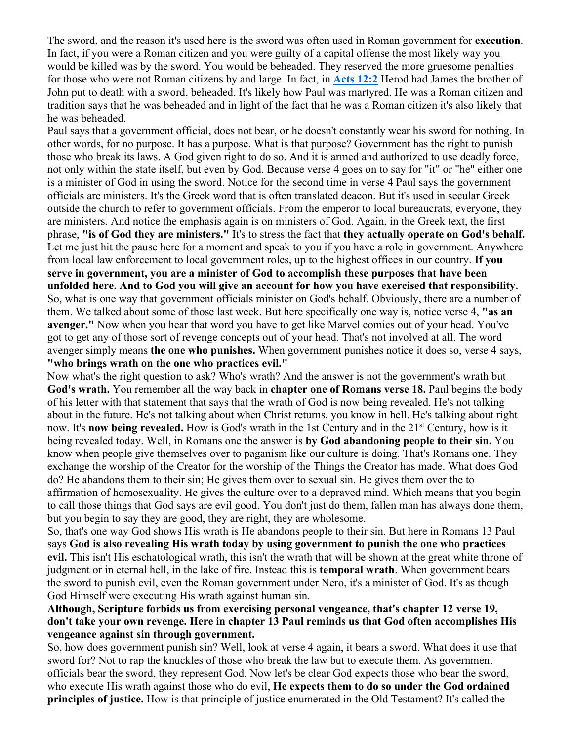The sword, and the reason it's used here is the sword was often used in Roman government for **execution**. In fact, if you were a Roman citizen and you were guilty of a capital offense the most likely way you would be killed was by the sword. You would be beheaded. They reserved the more gruesome penalties for those who were not Roman citizens by and large. In fact, in **Acts 12:2** Herod had James the brother of John put to death with a sword, beheaded. It's likely how Paul was martyred. He was a Roman citizen and tradition says that he was beheaded and in light of the fact that he was a Roman citizen it's also likely that he was beheaded.

Paul says that a government official, does not bear, or he doesn't constantly wear his sword for nothing. In other words, for no purpose. It has a purpose. What is that purpose? Government has the right to punish those who break its laws. A God given right to do so. And it is armed and authorized to use deadly force, not only within the state itself, but even by God. Because verse 4 goes on to say for "it" or "he" either one is a minister of God in using the sword. Notice for the second time in verse 4 Paul says the government officials are ministers. It's the Greek word that is often translated deacon. But it's used in secular Greek outside the church to refer to government officials. From the emperor to local bureaucrats, everyone, they are ministers. And notice the emphasis again is on ministers of God. Again, in the Greek text, the first phrase, **"is of God they are ministers."** It's to stress the fact that **they actually operate on God's behalf.** Let me just hit the pause here for a moment and speak to you if you have a role in government. Anywhere from local law enforcement to local government roles, up to the highest offices in our country. **If you serve in government, you are a minister of God to accomplish these purposes that have been unfolded here. And to God you will give an account for how you have exercised that responsibility.** So, what is one way that government officials minister on God's behalf. Obviously, there are a number of them. We talked about some of those last week. But here specifically one way is, notice verse 4, **"as an avenger."** Now when you hear that word you have to get like Marvel comics out of your head. You've got to get any of those sort of revenge concepts out of your head. That's not involved at all. The word avenger simply means **the one who punishes.** When government punishes notice it does so, verse 4 says, **"who brings wrath on the one who practices evil."**

Now what's the right question to ask? Who's wrath? And the answer is not the government's wrath but **God's wrath.** You remember all the way back in **chapter one of Romans verse 18.** Paul begins the body of his letter with that statement that says that the wrath of God is now being revealed. He's not talking about in the future. He's not talking about when Christ returns, you know in hell. He's talking about right now. It's **now being revealed.** How is God's wrath in the 1st Century and in the 21st Century, how is it being revealed today. Well, in Romans one the answer is **by God abandoning people to their sin.** You know when people give themselves over to paganism like our culture is doing. That's Romans one. They exchange the worship of the Creator for the worship of the Things the Creator has made. What does God do? He abandons them to their sin; He gives them over to sexual sin. He gives them over the to affirmation of homosexuality. He gives the culture over to a depraved mind. Which means that you begin to call those things that God says are evil good. You don't just do them, fallen man has always done them, but you begin to say they are good, they are right, they are wholesome.

So, that's one way God shows His wrath is He abandons people to their sin. But here in Romans 13 Paul says **God is also revealing His wrath today by using government to punish the one who practices evil.** This isn't His eschatological wrath, this isn't the wrath that will be shown at the great white throne of judgment or in eternal hell, in the lake of fire. Instead this is **temporal wrath**. When government bears the sword to punish evil, even the Roman government under Nero, it's a minister of God. It's as though God Himself were executing His wrath against human sin.

## **Although, Scripture forbids us from exercising personal vengeance, that's chapter 12 verse 19, don't take your own revenge. Here in chapter 13 Paul reminds us that God often accomplishes His vengeance against sin through government.**

So, how does government punish sin? Well, look at verse 4 again, it bears a sword. What does it use that sword for? Not to rap the knuckles of those who break the law but to execute them. As government officials bear the sword, they represent God. Now let's be clear God expects those who bear the sword, who execute His wrath against those who do evil, **He expects them to do so under the God ordained principles of justice.** How is that principle of justice enumerated in the Old Testament? It's called the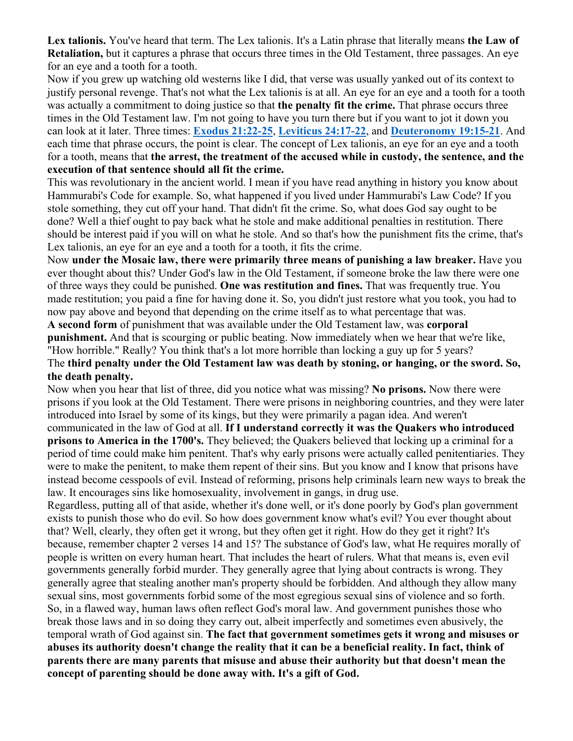**Lex talionis.** You've heard that term. The Lex talionis. It's a Latin phrase that literally means **the Law of Retaliation,** but it captures a phrase that occurs three times in the Old Testament, three passages. An eye for an eye and a tooth for a tooth.

Now if you grew up watching old westerns like I did, that verse was usually yanked out of its context to justify personal revenge. That's not what the Lex talionis is at all. An eye for an eye and a tooth for a tooth was actually a commitment to doing justice so that **the penalty fit the crime.** That phrase occurs three times in the Old Testament law. I'm not going to have you turn there but if you want to jot it down you can look at it later. Three times: **Exodus 21:22-25**, **Leviticus 24:17-22**, and **Deuteronomy 19:15-21**. And each time that phrase occurs, the point is clear. The concept of Lex talionis, an eye for an eye and a tooth for a tooth, means that **the arrest, the treatment of the accused while in custody, the sentence, and the execution of that sentence should all fit the crime.**

This was revolutionary in the ancient world. I mean if you have read anything in history you know about Hammurabi's Code for example. So, what happened if you lived under Hammurabi's Law Code? If you stole something, they cut off your hand. That didn't fit the crime. So, what does God say ought to be done? Well a thief ought to pay back what he stole and make additional penalties in restitution. There should be interest paid if you will on what he stole. And so that's how the punishment fits the crime, that's Lex talionis, an eye for an eye and a tooth for a tooth, it fits the crime.

Now **under the Mosaic law, there were primarily three means of punishing a law breaker.** Have you ever thought about this? Under God's law in the Old Testament, if someone broke the law there were one of three ways they could be punished. **One was restitution and fines.** That was frequently true. You made restitution; you paid a fine for having done it. So, you didn't just restore what you took, you had to now pay above and beyond that depending on the crime itself as to what percentage that was.

**A second form** of punishment that was available under the Old Testament law, was **corporal punishment.** And that is scourging or public beating. Now immediately when we hear that we're like, "How horrible." Really? You think that's a lot more horrible than locking a guy up for 5 years? The **third penalty under the Old Testament law was death by stoning, or hanging, or the sword. So, the death penalty.**

Now when you hear that list of three, did you notice what was missing? **No prisons.** Now there were prisons if you look at the Old Testament. There were prisons in neighboring countries, and they were later introduced into Israel by some of its kings, but they were primarily a pagan idea. And weren't communicated in the law of God at all. **If I understand correctly it was the Quakers who introduced prisons to America in the 1700's.** They believed; the Quakers believed that locking up a criminal for a period of time could make him penitent. That's why early prisons were actually called penitentiaries. They were to make the penitent, to make them repent of their sins. But you know and I know that prisons have instead become cesspools of evil. Instead of reforming, prisons help criminals learn new ways to break the law. It encourages sins like homosexuality, involvement in gangs, in drug use.

Regardless, putting all of that aside, whether it's done well, or it's done poorly by God's plan government exists to punish those who do evil. So how does government know what's evil? You ever thought about that? Well, clearly, they often get it wrong, but they often get it right. How do they get it right? It's because, remember chapter 2 verses 14 and 15? The substance of God's law, what He requires morally of people is written on every human heart. That includes the heart of rulers. What that means is, even evil governments generally forbid murder. They generally agree that lying about contracts is wrong. They generally agree that stealing another man's property should be forbidden. And although they allow many sexual sins, most governments forbid some of the most egregious sexual sins of violence and so forth. So, in a flawed way, human laws often reflect God's moral law. And government punishes those who break those laws and in so doing they carry out, albeit imperfectly and sometimes even abusively, the temporal wrath of God against sin. **The fact that government sometimes gets it wrong and misuses or abuses its authority doesn't change the reality that it can be a beneficial reality. In fact, think of parents there are many parents that misuse and abuse their authority but that doesn't mean the concept of parenting should be done away with. It's a gift of God.**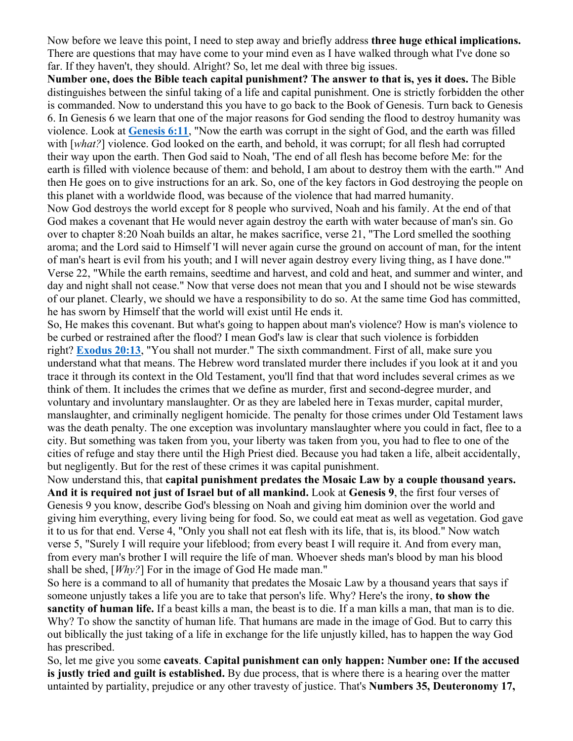Now before we leave this point, I need to step away and briefly address **three huge ethical implications.** There are questions that may have come to your mind even as I have walked through what I've done so far. If they haven't, they should. Alright? So, let me deal with three big issues.

**Number one, does the Bible teach capital punishment? The answer to that is, yes it does.** The Bible distinguishes between the sinful taking of a life and capital punishment. One is strictly forbidden the other is commanded. Now to understand this you have to go back to the Book of Genesis. Turn back to Genesis 6. In Genesis 6 we learn that one of the major reasons for God sending the flood to destroy humanity was violence. Look at **Genesis 6:11**, "Now the earth was corrupt in the sight of God, and the earth was filled with [*what?*] violence. God looked on the earth, and behold, it was corrupt; for all flesh had corrupted their way upon the earth. Then God said to Noah, 'The end of all flesh has become before Me: for the earth is filled with violence because of them: and behold, I am about to destroy them with the earth.'" And then He goes on to give instructions for an ark. So, one of the key factors in God destroying the people on this planet with a worldwide flood, was because of the violence that had marred humanity.

Now God destroys the world except for 8 people who survived, Noah and his family. At the end of that God makes a covenant that He would never again destroy the earth with water because of man's sin. Go over to chapter 8:20 Noah builds an altar, he makes sacrifice, verse 21, "The Lord smelled the soothing aroma; and the Lord said to Himself 'I will never again curse the ground on account of man, for the intent of man's heart is evil from his youth; and I will never again destroy every living thing, as I have done.'" Verse 22, "While the earth remains, seedtime and harvest, and cold and heat, and summer and winter, and day and night shall not cease." Now that verse does not mean that you and I should not be wise stewards of our planet. Clearly, we should we have a responsibility to do so. At the same time God has committed, he has sworn by Himself that the world will exist until He ends it.

So, He makes this covenant. But what's going to happen about man's violence? How is man's violence to be curbed or restrained after the flood? I mean God's law is clear that such violence is forbidden right? **Exodus 20:13**, "You shall not murder." The sixth commandment. First of all, make sure you understand what that means. The Hebrew word translated murder there includes if you look at it and you trace it through its context in the Old Testament, you'll find that that word includes several crimes as we think of them. It includes the crimes that we define as murder, first and second-degree murder, and voluntary and involuntary manslaughter. Or as they are labeled here in Texas murder, capital murder, manslaughter, and criminally negligent homicide. The penalty for those crimes under Old Testament laws was the death penalty. The one exception was involuntary manslaughter where you could in fact, flee to a city. But something was taken from you, your liberty was taken from you, you had to flee to one of the cities of refuge and stay there until the High Priest died. Because you had taken a life, albeit accidentally, but negligently. But for the rest of these crimes it was capital punishment.

Now understand this, that **capital punishment predates the Mosaic Law by a couple thousand years. And it is required not just of Israel but of all mankind.** Look at **Genesis 9**, the first four verses of Genesis 9 you know, describe God's blessing on Noah and giving him dominion over the world and giving him everything, every living being for food. So, we could eat meat as well as vegetation. God gave it to us for that end. Verse 4, "Only you shall not eat flesh with its life, that is, its blood." Now watch verse 5, "Surely I will require your lifeblood; from every beast I will require it. And from every man, from every man's brother I will require the life of man. Whoever sheds man's blood by man his blood shall be shed, [*Why?*] For in the image of God He made man."

So here is a command to all of humanity that predates the Mosaic Law by a thousand years that says if someone unjustly takes a life you are to take that person's life. Why? Here's the irony, **to show the sanctity of human life.** If a beast kills a man, the beast is to die. If a man kills a man, that man is to die. Why? To show the sanctity of human life. That humans are made in the image of God. But to carry this out biblically the just taking of a life in exchange for the life unjustly killed, has to happen the way God has prescribed.

So, let me give you some **caveats**. **Capital punishment can only happen: Number one: If the accused is justly tried and guilt is established.** By due process, that is where there is a hearing over the matter untainted by partiality, prejudice or any other travesty of justice. That's **Numbers 35, Deuteronomy 17,**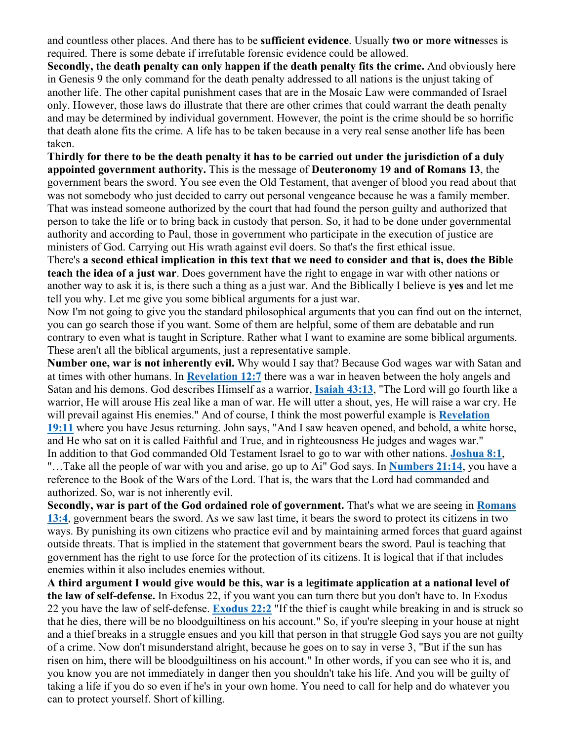and countless other places. And there has to be **sufficient evidence**. Usually **two or more witne**sses is required. There is some debate if irrefutable forensic evidence could be allowed.

**Secondly, the death penalty can only happen if the death penalty fits the crime.** And obviously here in Genesis 9 the only command for the death penalty addressed to all nations is the unjust taking of another life. The other capital punishment cases that are in the Mosaic Law were commanded of Israel only. However, those laws do illustrate that there are other crimes that could warrant the death penalty and may be determined by individual government. However, the point is the crime should be so horrific that death alone fits the crime. A life has to be taken because in a very real sense another life has been taken.

**Thirdly for there to be the death penalty it has to be carried out under the jurisdiction of a duly appointed government authority.** This is the message of **Deuteronomy 19 and of Romans 13**, the government bears the sword. You see even the Old Testament, that avenger of blood you read about that was not somebody who just decided to carry out personal vengeance because he was a family member. That was instead someone authorized by the court that had found the person guilty and authorized that person to take the life or to bring back in custody that person. So, it had to be done under governmental authority and according to Paul, those in government who participate in the execution of justice are ministers of God. Carrying out His wrath against evil doers. So that's the first ethical issue.

There's **a second ethical implication in this text that we need to consider and that is, does the Bible teach the idea of a just war**. Does government have the right to engage in war with other nations or another way to ask it is, is there such a thing as a just war. And the Biblically I believe is **yes** and let me tell you why. Let me give you some biblical arguments for a just war.

Now I'm not going to give you the standard philosophical arguments that you can find out on the internet, you can go search those if you want. Some of them are helpful, some of them are debatable and run contrary to even what is taught in Scripture. Rather what I want to examine are some biblical arguments. These aren't all the biblical arguments, just a representative sample.

**Number one, war is not inherently evil.** Why would I say that? Because God wages war with Satan and at times with other humans. In **Revelation 12:7** there was a war in heaven between the holy angels and Satan and his demons. God describes Himself as a warrior, **Isaiah 43:13**, "The Lord will go fourth like a warrior, He will arouse His zeal like a man of war. He will utter a shout, yes, He will raise a war cry. He will prevail against His enemies." And of course, I think the most powerful example is **Revelation 19:11** where you have Jesus returning. John says, "And I saw heaven opened, and behold, a white horse, and He who sat on it is called Faithful and True, and in righteousness He judges and wages war." In addition to that God commanded Old Testament Israel to go to war with other nations. **Joshua 8:1**, "…Take all the people of war with you and arise, go up to Ai" God says. In **Numbers 21:14**, you have a reference to the Book of the Wars of the Lord. That is, the wars that the Lord had commanded and authorized. So, war is not inherently evil.

**Secondly, war is part of the God ordained role of government.** That's what we are seeing in **Romans 13:4**, government bears the sword. As we saw last time, it bears the sword to protect its citizens in two ways. By punishing its own citizens who practice evil and by maintaining armed forces that guard against outside threats. That is implied in the statement that government bears the sword. Paul is teaching that government has the right to use force for the protection of its citizens. It is logical that if that includes enemies within it also includes enemies without.

**A third argument I would give would be this, war is a legitimate application at a national level of the law of self-defense.** In Exodus 22, if you want you can turn there but you don't have to. In Exodus 22 you have the law of self-defense. **Exodus 22:2** "If the thief is caught while breaking in and is struck so that he dies, there will be no bloodguiltiness on his account." So, if you're sleeping in your house at night and a thief breaks in a struggle ensues and you kill that person in that struggle God says you are not guilty of a crime. Now don't misunderstand alright, because he goes on to say in verse 3, "But if the sun has risen on him, there will be bloodguiltiness on his account." In other words, if you can see who it is, and you know you are not immediately in danger then you shouldn't take his life. And you will be guilty of taking a life if you do so even if he's in your own home. You need to call for help and do whatever you can to protect yourself. Short of killing.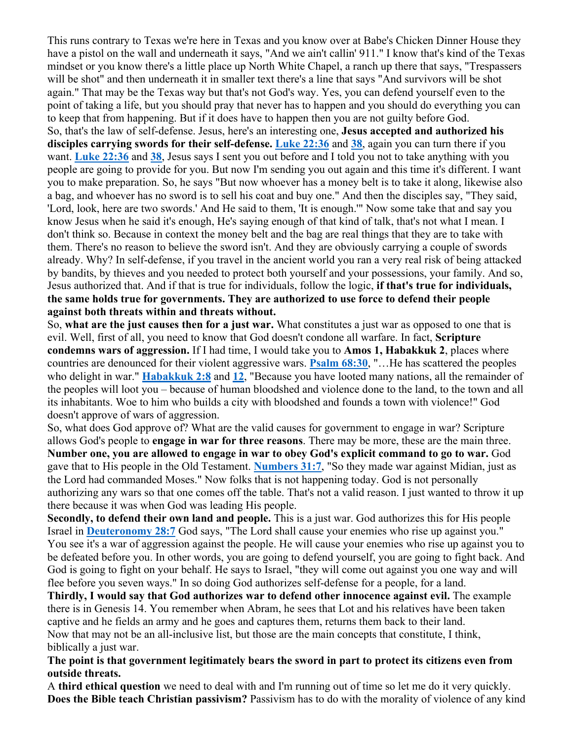This runs contrary to Texas we're here in Texas and you know over at Babe's Chicken Dinner House they have a pistol on the wall and underneath it says, "And we ain't callin' 911." I know that's kind of the Texas mindset or you know there's a little place up North White Chapel, a ranch up there that says, "Trespassers will be shot" and then underneath it in smaller text there's a line that says "And survivors will be shot again." That may be the Texas way but that's not God's way. Yes, you can defend yourself even to the point of taking a life, but you should pray that never has to happen and you should do everything you can to keep that from happening. But if it does have to happen then you are not guilty before God. So, that's the law of self-defense. Jesus, here's an interesting one, **Jesus accepted and authorized his disciples carrying swords for their self-defense. Luke 22:36** and **38**, again you can turn there if you want. **Luke 22:36** and **38**, Jesus says I sent you out before and I told you not to take anything with you people are going to provide for you. But now I'm sending you out again and this time it's different. I want you to make preparation. So, he says "But now whoever has a money belt is to take it along, likewise also a bag, and whoever has no sword is to sell his coat and buy one." And then the disciples say, "They said, 'Lord, look, here are two swords.' And He said to them, 'It is enough.'" Now some take that and say you know Jesus when he said it's enough, He's saying enough of that kind of talk, that's not what I mean. I don't think so. Because in context the money belt and the bag are real things that they are to take with them. There's no reason to believe the sword isn't. And they are obviously carrying a couple of swords already. Why? In self-defense, if you travel in the ancient world you ran a very real risk of being attacked by bandits, by thieves and you needed to protect both yourself and your possessions, your family. And so, Jesus authorized that. And if that is true for individuals, follow the logic, **if that's true for individuals, the same holds true for governments. They are authorized to use force to defend their people against both threats within and threats without.**

So, **what are the just causes then for a just war.** What constitutes a just war as opposed to one that is evil. Well, first of all, you need to know that God doesn't condone all warfare. In fact, **Scripture condemns wars of aggression.** If I had time, I would take you to **Amos 1, Habakkuk 2**, places where countries are denounced for their violent aggressive wars. **Psalm 68:30**, "…He has scattered the peoples who delight in war." **Habakkuk 2:8** and **12**, "Because you have looted many nations, all the remainder of the peoples will loot you – because of human bloodshed and violence done to the land, to the town and all its inhabitants. Woe to him who builds a city with bloodshed and founds a town with violence!" God doesn't approve of wars of aggression.

So, what does God approve of? What are the valid causes for government to engage in war? Scripture allows God's people to **engage in war for three reasons**. There may be more, these are the main three. **Number one, you are allowed to engage in war to obey God's explicit command to go to war.** God gave that to His people in the Old Testament. **Numbers 31:7**, "So they made war against Midian, just as the Lord had commanded Moses." Now folks that is not happening today. God is not personally authorizing any wars so that one comes off the table. That's not a valid reason. I just wanted to throw it up there because it was when God was leading His people.

**Secondly, to defend their own land and people.** This is a just war. God authorizes this for His people Israel in **Deuteronomy 28:7** God says, "The Lord shall cause your enemies who rise up against you." You see it's a war of aggression against the people. He will cause your enemies who rise up against you to be defeated before you. In other words, you are going to defend yourself, you are going to fight back. And God is going to fight on your behalf. He says to Israel, "they will come out against you one way and will flee before you seven ways." In so doing God authorizes self-defense for a people, for a land.

**Thirdly, I would say that God authorizes war to defend other innocence against evil.** The example there is in Genesis 14. You remember when Abram, he sees that Lot and his relatives have been taken captive and he fields an army and he goes and captures them, returns them back to their land. Now that may not be an all-inclusive list, but those are the main concepts that constitute, I think, biblically a just war.

## **The point is that government legitimately bears the sword in part to protect its citizens even from outside threats.**

A **third ethical question** we need to deal with and I'm running out of time so let me do it very quickly. **Does the Bible teach Christian passivism?** Passivism has to do with the morality of violence of any kind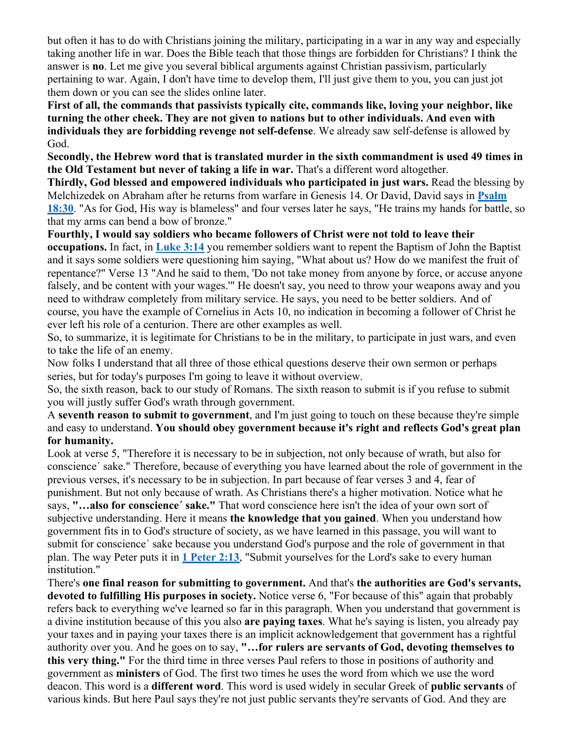but often it has to do with Christians joining the military, participating in a war in any way and especially taking another life in war. Does the Bible teach that those things are forbidden for Christians? I think the answer is **no**. Let me give you several biblical arguments against Christian passivism, particularly pertaining to war. Again, I don't have time to develop them, I'll just give them to you, you can just jot them down or you can see the slides online later.

**First of all, the commands that passivists typically cite, commands like, loving your neighbor, like turning the other cheek. They are not given to nations but to other individuals. And even with individuals they are forbidding revenge not self-defense**. We already saw self-defense is allowed by God.

**Secondly, the Hebrew word that is translated murder in the sixth commandment is used 49 times in the Old Testament but never of taking a life in war.** That's a different word altogether.

**Thirdly, God blessed and empowered individuals who participated in just wars.** Read the blessing by Melchizedek on Abraham after he returns from warfare in Genesis 14. Or David, David says in **Psalm 18:30**. "As for God, His way is blameless" and four verses later he says, "He trains my hands for battle, so that my arms can bend a bow of bronze."

**Fourthly, I would say soldiers who became followers of Christ were not told to leave their** 

**occupations.** In fact, in **Luke 3:14** you remember soldiers want to repent the Baptism of John the Baptist and it says some soldiers were questioning him saying, "What about us? How do we manifest the fruit of repentance?" Verse 13 "And he said to them, 'Do not take money from anyone by force, or accuse anyone falsely, and be content with your wages.'" He doesn't say, you need to throw your weapons away and you need to withdraw completely from military service. He says, you need to be better soldiers. And of course, you have the example of Cornelius in Acts 10, no indication in becoming a follower of Christ he ever left his role of a centurion. There are other examples as well.

So, to summarize, it is legitimate for Christians to be in the military, to participate in just wars, and even to take the life of an enemy.

Now folks I understand that all three of those ethical questions deserve their own sermon or perhaps series, but for today's purposes I'm going to leave it without overview.

So, the sixth reason, back to our study of Romans. The sixth reason to submit is if you refuse to submit you will justly suffer God's wrath through government.

A **seventh reason to submit to government**, and I'm just going to touch on these because they're simple and easy to understand. **You should obey government because it's right and reflects God's great plan for humanity.**

Look at verse 5, "Therefore it is necessary to be in subjection, not only because of wrath, but also for conscience´ sake." Therefore, because of everything you have learned about the role of government in the previous verses, it's necessary to be in subjection. In part because of fear verses 3 and 4, fear of punishment. But not only because of wrath. As Christians there's a higher motivation. Notice what he says, **"…also for conscience´ sake."** That word conscience here isn't the idea of your own sort of subjective understanding. Here it means **the knowledge that you gained**. When you understand how government fits in to God's structure of society, as we have learned in this passage, you will want to submit for conscience´ sake because you understand God's purpose and the role of government in that plan. The way Peter puts it in **1 Peter 2:13**, "Submit yourselves for the Lord's sake to every human institution."

There's **one final reason for submitting to government.** And that's **the authorities are God's servants, devoted to fulfilling His purposes in society.** Notice verse 6, "For because of this" again that probably refers back to everything we've learned so far in this paragraph. When you understand that government is a divine institution because of this you also **are paying taxes**. What he's saying is listen, you already pay your taxes and in paying your taxes there is an implicit acknowledgement that government has a rightful authority over you. And he goes on to say, **"…for rulers are servants of God, devoting themselves to this very thing."** For the third time in three verses Paul refers to those in positions of authority and government as **ministers** of God. The first two times he uses the word from which we use the word deacon. This word is a **different word**. This word is used widely in secular Greek of **public servants** of various kinds. But here Paul says they're not just public servants they're servants of God. And they are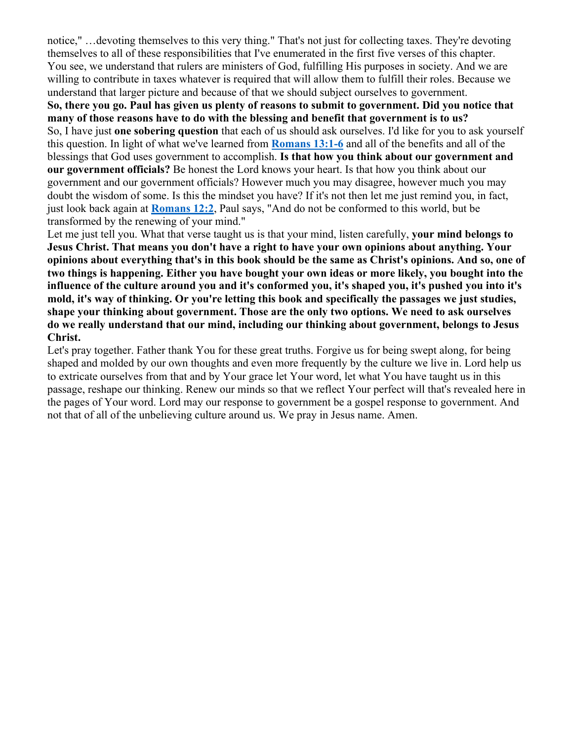notice," …devoting themselves to this very thing." That's not just for collecting taxes. They're devoting themselves to all of these responsibilities that I've enumerated in the first five verses of this chapter. You see, we understand that rulers are ministers of God, fulfilling His purposes in society. And we are willing to contribute in taxes whatever is required that will allow them to fulfill their roles. Because we understand that larger picture and because of that we should subject ourselves to government.

**So, there you go. Paul has given us plenty of reasons to submit to government. Did you notice that many of those reasons have to do with the blessing and benefit that government is to us?** So, I have just **one sobering question** that each of us should ask ourselves. I'd like for you to ask yourself this question. In light of what we've learned from **Romans 13:1-6** and all of the benefits and all of the blessings that God uses government to accomplish. **Is that how you think about our government and our government officials?** Be honest the Lord knows your heart. Is that how you think about our government and our government officials? However much you may disagree, however much you may doubt the wisdom of some. Is this the mindset you have? If it's not then let me just remind you, in fact, just look back again at **Romans 12:2**, Paul says, "And do not be conformed to this world, but be transformed by the renewing of your mind."

Let me just tell you. What that verse taught us is that your mind, listen carefully, **your mind belongs to Jesus Christ. That means you don't have a right to have your own opinions about anything. Your opinions about everything that's in this book should be the same as Christ's opinions. And so, one of two things is happening. Either you have bought your own ideas or more likely, you bought into the influence of the culture around you and it's conformed you, it's shaped you, it's pushed you into it's mold, it's way of thinking. Or you're letting this book and specifically the passages we just studies, shape your thinking about government. Those are the only two options. We need to ask ourselves do we really understand that our mind, including our thinking about government, belongs to Jesus Christ.**

Let's pray together. Father thank You for these great truths. Forgive us for being swept along, for being shaped and molded by our own thoughts and even more frequently by the culture we live in. Lord help us to extricate ourselves from that and by Your grace let Your word, let what You have taught us in this passage, reshape our thinking. Renew our minds so that we reflect Your perfect will that's revealed here in the pages of Your word. Lord may our response to government be a gospel response to government. And not that of all of the unbelieving culture around us. We pray in Jesus name. Amen.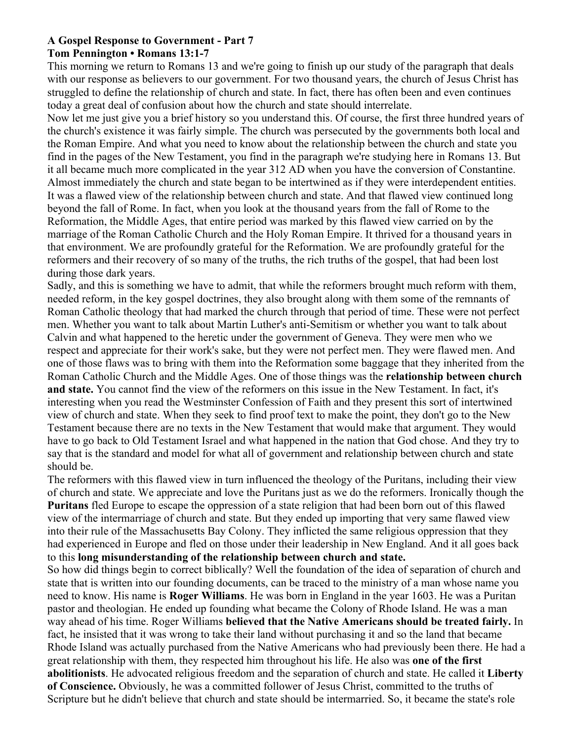#### **A Gospel Response to Government - Part 7 Tom Pennington • Romans 13:1-7**

This morning we return to Romans 13 and we're going to finish up our study of the paragraph that deals with our response as believers to our government. For two thousand years, the church of Jesus Christ has struggled to define the relationship of church and state. In fact, there has often been and even continues today a great deal of confusion about how the church and state should interrelate.

Now let me just give you a brief history so you understand this. Of course, the first three hundred years of the church's existence it was fairly simple. The church was persecuted by the governments both local and the Roman Empire. And what you need to know about the relationship between the church and state you find in the pages of the New Testament, you find in the paragraph we're studying here in Romans 13. But it all became much more complicated in the year 312 AD when you have the conversion of Constantine. Almost immediately the church and state began to be intertwined as if they were interdependent entities. It was a flawed view of the relationship between church and state. And that flawed view continued long beyond the fall of Rome. In fact, when you look at the thousand years from the fall of Rome to the Reformation, the Middle Ages, that entire period was marked by this flawed view carried on by the marriage of the Roman Catholic Church and the Holy Roman Empire. It thrived for a thousand years in that environment. We are profoundly grateful for the Reformation. We are profoundly grateful for the reformers and their recovery of so many of the truths, the rich truths of the gospel, that had been lost during those dark years.

Sadly, and this is something we have to admit, that while the reformers brought much reform with them, needed reform, in the key gospel doctrines, they also brought along with them some of the remnants of Roman Catholic theology that had marked the church through that period of time. These were not perfect men. Whether you want to talk about Martin Luther's anti-Semitism or whether you want to talk about Calvin and what happened to the heretic under the government of Geneva. They were men who we respect and appreciate for their work's sake, but they were not perfect men. They were flawed men. And one of those flaws was to bring with them into the Reformation some baggage that they inherited from the Roman Catholic Church and the Middle Ages. One of those things was the **relationship between church and state.** You cannot find the view of the reformers on this issue in the New Testament. In fact, it's interesting when you read the Westminster Confession of Faith and they present this sort of intertwined view of church and state. When they seek to find proof text to make the point, they don't go to the New Testament because there are no texts in the New Testament that would make that argument. They would have to go back to Old Testament Israel and what happened in the nation that God chose. And they try to say that is the standard and model for what all of government and relationship between church and state should be.

The reformers with this flawed view in turn influenced the theology of the Puritans, including their view of church and state. We appreciate and love the Puritans just as we do the reformers. Ironically though the **Puritans** fled Europe to escape the oppression of a state religion that had been born out of this flawed view of the intermarriage of church and state. But they ended up importing that very same flawed view into their rule of the Massachusetts Bay Colony. They inflicted the same religious oppression that they had experienced in Europe and fled on those under their leadership in New England. And it all goes back to this **long misunderstanding of the relationship between church and state.**

So how did things begin to correct biblically? Well the foundation of the idea of separation of church and state that is written into our founding documents, can be traced to the ministry of a man whose name you need to know. His name is **Roger Williams**. He was born in England in the year 1603. He was a Puritan pastor and theologian. He ended up founding what became the Colony of Rhode Island. He was a man way ahead of his time. Roger Williams **believed that the Native Americans should be treated fairly.** In fact, he insisted that it was wrong to take their land without purchasing it and so the land that became Rhode Island was actually purchased from the Native Americans who had previously been there. He had a great relationship with them, they respected him throughout his life. He also was **one of the first abolitionists**. He advocated religious freedom and the separation of church and state. He called it **Liberty of Conscience.** Obviously, he was a committed follower of Jesus Christ, committed to the truths of Scripture but he didn't believe that church and state should be intermarried. So, it became the state's role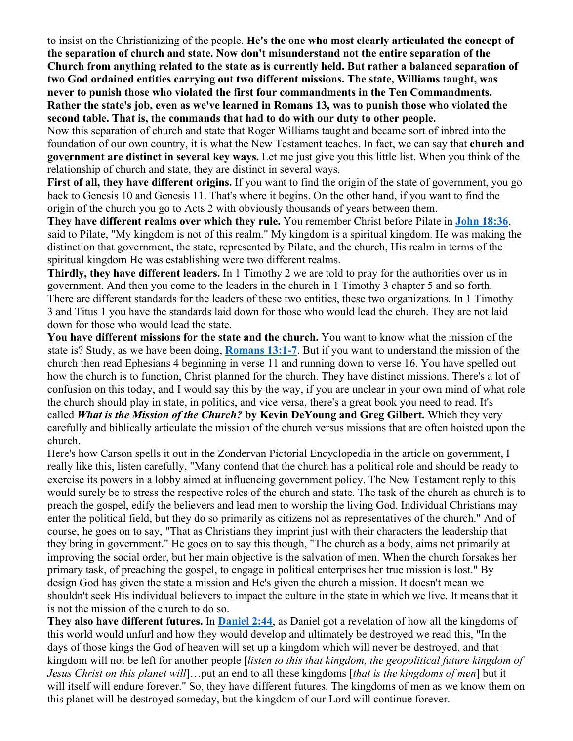to insist on the Christianizing of the people. **He's the one who most clearly articulated the concept of the separation of church and state. Now don't misunderstand not the entire separation of the Church from anything related to the state as is currently held. But rather a balanced separation of two God ordained entities carrying out two different missions. The state, Williams taught, was never to punish those who violated the first four commandments in the Ten Commandments. Rather the state's job, even as we've learned in Romans 13, was to punish those who violated the second table. That is, the commands that had to do with our duty to other people.**

Now this separation of church and state that Roger Williams taught and became sort of inbred into the foundation of our own country, it is what the New Testament teaches. In fact, we can say that **church and government are distinct in several key ways.** Let me just give you this little list. When you think of the relationship of church and state, they are distinct in several ways.

**First of all, they have different origins.** If you want to find the origin of the state of government, you go back to Genesis 10 and Genesis 11. That's where it begins. On the other hand, if you want to find the origin of the church you go to Acts 2 with obviously thousands of years between them.

**They have different realms over which they rule.** You remember Christ before Pilate in **John 18:36**, said to Pilate, "My kingdom is not of this realm." My kingdom is a spiritual kingdom. He was making the distinction that government, the state, represented by Pilate, and the church, His realm in terms of the spiritual kingdom He was establishing were two different realms.

**Thirdly, they have different leaders.** In 1 Timothy 2 we are told to pray for the authorities over us in government. And then you come to the leaders in the church in 1 Timothy 3 chapter 5 and so forth. There are different standards for the leaders of these two entities, these two organizations. In 1 Timothy 3 and Titus 1 you have the standards laid down for those who would lead the church. They are not laid down for those who would lead the state.

**You have different missions for the state and the church.** You want to know what the mission of the state is? Study, as we have been doing, **Romans 13:1-7**. But if you want to understand the mission of the church then read Ephesians 4 beginning in verse 11 and running down to verse 16. You have spelled out how the church is to function, Christ planned for the church. They have distinct missions. There's a lot of confusion on this today, and I would say this by the way, if you are unclear in your own mind of what role the church should play in state, in politics, and vice versa, there's a great book you need to read. It's called *What is the Mission of the Church?* **by Kevin DeYoung and Greg Gilbert.** Which they very carefully and biblically articulate the mission of the church versus missions that are often hoisted upon the church.

Here's how Carson spells it out in the Zondervan Pictorial Encyclopedia in the article on government, I really like this, listen carefully, "Many contend that the church has a political role and should be ready to exercise its powers in a lobby aimed at influencing government policy. The New Testament reply to this would surely be to stress the respective roles of the church and state. The task of the church as church is to preach the gospel, edify the believers and lead men to worship the living God. Individual Christians may enter the political field, but they do so primarily as citizens not as representatives of the church." And of course, he goes on to say, "That as Christians they imprint just with their characters the leadership that they bring in government." He goes on to say this though, "The church as a body, aims not primarily at improving the social order, but her main objective is the salvation of men. When the church forsakes her primary task, of preaching the gospel, to engage in political enterprises her true mission is lost." By design God has given the state a mission and He's given the church a mission. It doesn't mean we shouldn't seek His individual believers to impact the culture in the state in which we live. It means that it is not the mission of the church to do so.

**They also have different futures.** In **Daniel 2:44**, as Daniel got a revelation of how all the kingdoms of this world would unfurl and how they would develop and ultimately be destroyed we read this, "In the days of those kings the God of heaven will set up a kingdom which will never be destroyed, and that kingdom will not be left for another people [*listen to this that kingdom, the geopolitical future kingdom of Jesus Christ on this planet will*]…put an end to all these kingdoms [*that is the kingdoms of men*] but it will itself will endure forever." So, they have different futures. The kingdoms of men as we know them on this planet will be destroyed someday, but the kingdom of our Lord will continue forever.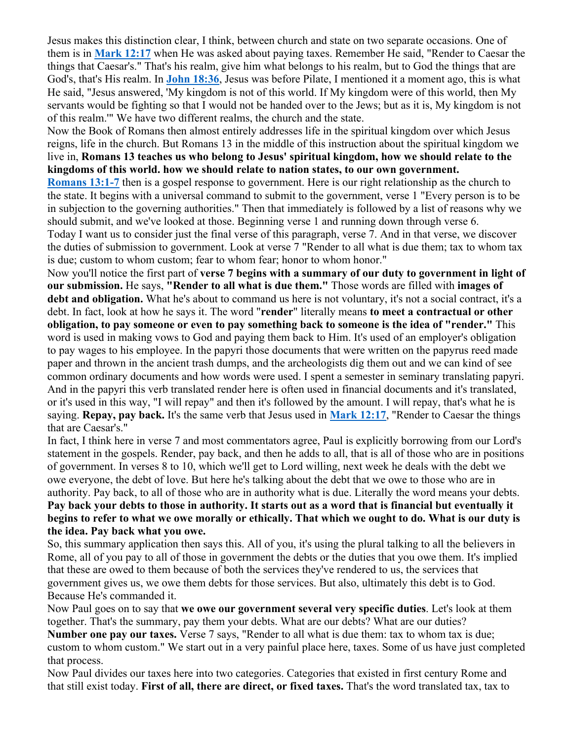Jesus makes this distinction clear, I think, between church and state on two separate occasions. One of them is in **Mark 12:17** when He was asked about paying taxes. Remember He said, "Render to Caesar the things that Caesar's." That's his realm, give him what belongs to his realm, but to God the things that are God's, that's His realm. In **John 18:36**, Jesus was before Pilate, I mentioned it a moment ago, this is what He said, "Jesus answered, 'My kingdom is not of this world. If My kingdom were of this world, then My servants would be fighting so that I would not be handed over to the Jews; but as it is, My kingdom is not of this realm.'" We have two different realms, the church and the state.

Now the Book of Romans then almost entirely addresses life in the spiritual kingdom over which Jesus reigns, life in the church. But Romans 13 in the middle of this instruction about the spiritual kingdom we live in, **Romans 13 teaches us who belong to Jesus' spiritual kingdom, how we should relate to the kingdoms of this world. how we should relate to nation states, to our own government.**

**Romans 13:1-7** then is a gospel response to government. Here is our right relationship as the church to the state. It begins with a universal command to submit to the government, verse 1 "Every person is to be in subjection to the governing authorities." Then that immediately is followed by a list of reasons why we should submit, and we've looked at those. Beginning verse 1 and running down through verse 6. Today I want us to consider just the final verse of this paragraph, verse 7. And in that verse, we discover the duties of submission to government. Look at verse 7 "Render to all what is due them; tax to whom tax is due; custom to whom custom; fear to whom fear; honor to whom honor."

Now you'll notice the first part of **verse 7 begins with a summary of our duty to government in light of our submission.** He says, **"Render to all what is due them."** Those words are filled with **images of debt and obligation.** What he's about to command us here is not voluntary, it's not a social contract, it's a debt. In fact, look at how he says it. The word "**render**" literally means **to meet a contractual or other obligation, to pay someone or even to pay something back to someone is the idea of "render."** This word is used in making vows to God and paying them back to Him. It's used of an employer's obligation to pay wages to his employee. In the papyri those documents that were written on the papyrus reed made paper and thrown in the ancient trash dumps, and the archeologists dig them out and we can kind of see common ordinary documents and how words were used. I spent a semester in seminary translating papyri. And in the papyri this verb translated render here is often used in financial documents and it's translated, or it's used in this way, "I will repay" and then it's followed by the amount. I will repay, that's what he is saying. **Repay, pay back.** It's the same verb that Jesus used in **Mark 12:17**, "Render to Caesar the things that are Caesar's."

In fact, I think here in verse 7 and most commentators agree, Paul is explicitly borrowing from our Lord's statement in the gospels. Render, pay back, and then he adds to all, that is all of those who are in positions of government. In verses 8 to 10, which we'll get to Lord willing, next week he deals with the debt we owe everyone, the debt of love. But here he's talking about the debt that we owe to those who are in authority. Pay back, to all of those who are in authority what is due. Literally the word means your debts. **Pay back your debts to those in authority. It starts out as a word that is financial but eventually it begins to refer to what we owe morally or ethically. That which we ought to do. What is our duty is the idea. Pay back what you owe.**

So, this summary application then says this. All of you, it's using the plural talking to all the believers in Rome, all of you pay to all of those in government the debts or the duties that you owe them. It's implied that these are owed to them because of both the services they've rendered to us, the services that government gives us, we owe them debts for those services. But also, ultimately this debt is to God. Because He's commanded it.

Now Paul goes on to say that **we owe our government several very specific duties**. Let's look at them together. That's the summary, pay them your debts. What are our debts? What are our duties?

**Number one pay our taxes.** Verse 7 says, "Render to all what is due them: tax to whom tax is due; custom to whom custom." We start out in a very painful place here, taxes. Some of us have just completed that process.

Now Paul divides our taxes here into two categories. Categories that existed in first century Rome and that still exist today. **First of all, there are direct, or fixed taxes.** That's the word translated tax, tax to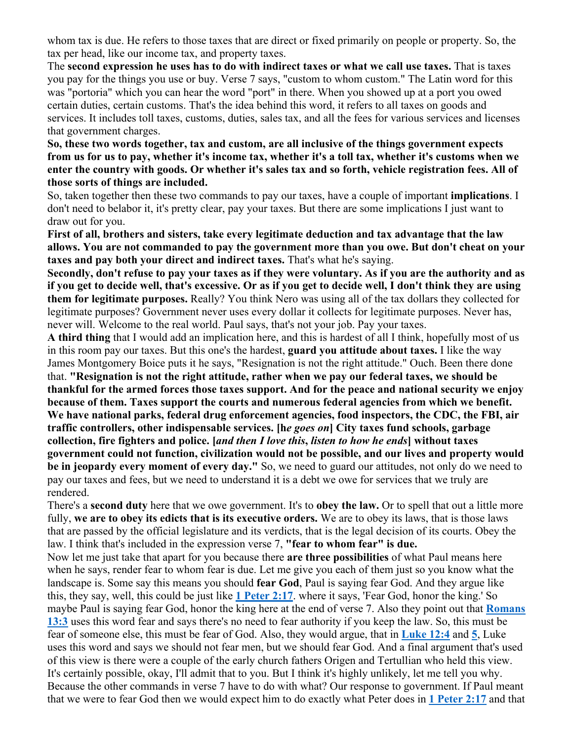whom tax is due. He refers to those taxes that are direct or fixed primarily on people or property. So, the tax per head, like our income tax, and property taxes.

The **second expression he uses has to do with indirect taxes or what we call use taxes.** That is taxes you pay for the things you use or buy. Verse 7 says, "custom to whom custom." The Latin word for this was "portoria" which you can hear the word "port" in there. When you showed up at a port you owed certain duties, certain customs. That's the idea behind this word, it refers to all taxes on goods and services. It includes toll taxes, customs, duties, sales tax, and all the fees for various services and licenses that government charges.

# **So, these two words together, tax and custom, are all inclusive of the things government expects from us for us to pay, whether it's income tax, whether it's a toll tax, whether it's customs when we enter the country with goods. Or whether it's sales tax and so forth, vehicle registration fees. All of those sorts of things are included.**

So, taken together then these two commands to pay our taxes, have a couple of important **implications**. I don't need to belabor it, it's pretty clear, pay your taxes. But there are some implications I just want to draw out for you.

**First of all, brothers and sisters, take every legitimate deduction and tax advantage that the law allows. You are not commanded to pay the government more than you owe. But don't cheat on your taxes and pay both your direct and indirect taxes.** That's what he's saying.

**Secondly, don't refuse to pay your taxes as if they were voluntary. As if you are the authority and as if you get to decide well, that's excessive. Or as if you get to decide well, I don't think they are using them for legitimate purposes.** Really? You think Nero was using all of the tax dollars they collected for legitimate purposes? Government never uses every dollar it collects for legitimate purposes. Never has, never will. Welcome to the real world. Paul says, that's not your job. Pay your taxes.

**A third thing** that I would add an implication here, and this is hardest of all I think, hopefully most of us in this room pay our taxes. But this one's the hardest, **guard you attitude about taxes.** I like the way James Montgomery Boice puts it he says, "Resignation is not the right attitude." Ouch. Been there done that. **"Resignation is not the right attitude, rather when we pay our federal taxes, we should be thankful for the armed forces those taxes support. And for the peace and national security we enjoy because of them. Taxes support the courts and numerous federal agencies from which we benefit. We have national parks, federal drug enforcement agencies, food inspectors, the CDC, the FBI, air traffic controllers, other indispensable services. [h***e goes on***] City taxes fund schools, garbage collection, fire fighters and police. [***and then I love this***,** *listen to how he ends***] without taxes government could not function, civilization would not be possible, and our lives and property would be in jeopardy every moment of every day."** So, we need to guard our attitudes, not only do we need to pay our taxes and fees, but we need to understand it is a debt we owe for services that we truly are rendered.

There's a **second duty** here that we owe government. It's to **obey the law.** Or to spell that out a little more fully, **we are to obey its edicts that is its executive orders.** We are to obey its laws, that is those laws that are passed by the official legislature and its verdicts, that is the legal decision of its courts. Obey the law. I think that's included in the expression verse 7, **"fear to whom fear" is due.**

Now let me just take that apart for you because there **are three possibilities** of what Paul means here when he says, render fear to whom fear is due. Let me give you each of them just so you know what the landscape is. Some say this means you should **fear God**, Paul is saying fear God. And they argue like this, they say, well, this could be just like **1 Peter 2:17**. where it says, 'Fear God, honor the king.' So maybe Paul is saying fear God, honor the king here at the end of verse 7. Also they point out that **Romans 13:3** uses this word fear and says there's no need to fear authority if you keep the law. So, this must be fear of someone else, this must be fear of God. Also, they would argue, that in **Luke 12:4** and **5**, Luke uses this word and says we should not fear men, but we should fear God. And a final argument that's used of this view is there were a couple of the early church fathers Origen and Tertullian who held this view. It's certainly possible, okay, I'll admit that to you. But I think it's highly unlikely, let me tell you why. Because the other commands in verse 7 have to do with what? Our response to government. If Paul meant that we were to fear God then we would expect him to do exactly what Peter does in **1 Peter 2:17** and that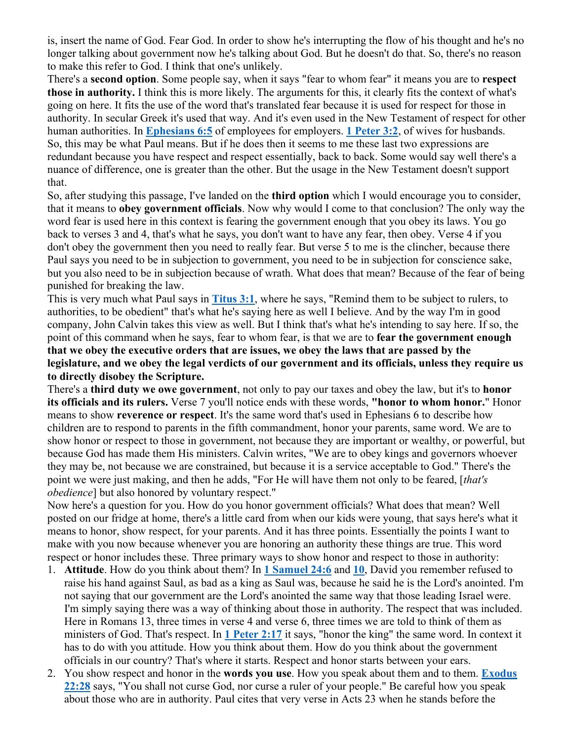is, insert the name of God. Fear God. In order to show he's interrupting the flow of his thought and he's no longer talking about government now he's talking about God. But he doesn't do that. So, there's no reason to make this refer to God. I think that one's unlikely.

There's a **second option**. Some people say, when it says "fear to whom fear" it means you are to **respect those in authority.** I think this is more likely. The arguments for this, it clearly fits the context of what's going on here. It fits the use of the word that's translated fear because it is used for respect for those in authority. In secular Greek it's used that way. And it's even used in the New Testament of respect for other human authorities. In **Ephesians 6:5** of employees for employers. **1 Peter 3:2**, of wives for husbands. So, this may be what Paul means. But if he does then it seems to me these last two expressions are redundant because you have respect and respect essentially, back to back. Some would say well there's a nuance of difference, one is greater than the other. But the usage in the New Testament doesn't support that.

So, after studying this passage, I've landed on the **third option** which I would encourage you to consider, that it means to **obey government officials**. Now why would I come to that conclusion? The only way the word fear is used here in this context is fearing the government enough that you obey its laws. You go back to verses 3 and 4, that's what he says, you don't want to have any fear, then obey. Verse 4 if you don't obey the government then you need to really fear. But verse 5 to me is the clincher, because there Paul says you need to be in subjection to government, you need to be in subjection for conscience sake, but you also need to be in subjection because of wrath. What does that mean? Because of the fear of being punished for breaking the law.

This is very much what Paul says in **Titus 3:1**, where he says, "Remind them to be subject to rulers, to authorities, to be obedient" that's what he's saying here as well I believe. And by the way I'm in good company, John Calvin takes this view as well. But I think that's what he's intending to say here. If so, the point of this command when he says, fear to whom fear, is that we are to **fear the government enough that we obey the executive orders that are issues, we obey the laws that are passed by the legislature, and we obey the legal verdicts of our government and its officials, unless they require us to directly disobey the Scripture.**

There's a **third duty we owe government**, not only to pay our taxes and obey the law, but it's to **honor its officials and its rulers.** Verse 7 you'll notice ends with these words, **"honor to whom honor.**" Honor means to show **reverence or respect**. It's the same word that's used in Ephesians 6 to describe how children are to respond to parents in the fifth commandment, honor your parents, same word. We are to show honor or respect to those in government, not because they are important or wealthy, or powerful, but because God has made them His ministers. Calvin writes, "We are to obey kings and governors whoever they may be, not because we are constrained, but because it is a service acceptable to God." There's the point we were just making, and then he adds, "For He will have them not only to be feared, [*that's obedience*] but also honored by voluntary respect."

Now here's a question for you. How do you honor government officials? What does that mean? Well posted on our fridge at home, there's a little card from when our kids were young, that says here's what it means to honor, show respect, for your parents. And it has three points. Essentially the points I want to make with you now because whenever you are honoring an authority these things are true. This word respect or honor includes these. Three primary ways to show honor and respect to those in authority:

- 1. **Attitude**. How do you think about them? In **1 Samuel 24:6** and **10**, David you remember refused to raise his hand against Saul, as bad as a king as Saul was, because he said he is the Lord's anointed. I'm not saying that our government are the Lord's anointed the same way that those leading Israel were. I'm simply saying there was a way of thinking about those in authority. The respect that was included. Here in Romans 13, three times in verse 4 and verse 6, three times we are told to think of them as ministers of God. That's respect. In **1 Peter 2:17** it says, "honor the king" the same word. In context it has to do with you attitude. How you think about them. How do you think about the government officials in our country? That's where it starts. Respect and honor starts between your ears.
- 2. You show respect and honor in the **words you use**. How you speak about them and to them. **Exodus 22:28** says, "You shall not curse God, nor curse a ruler of your people." Be careful how you speak about those who are in authority. Paul cites that very verse in Acts 23 when he stands before the